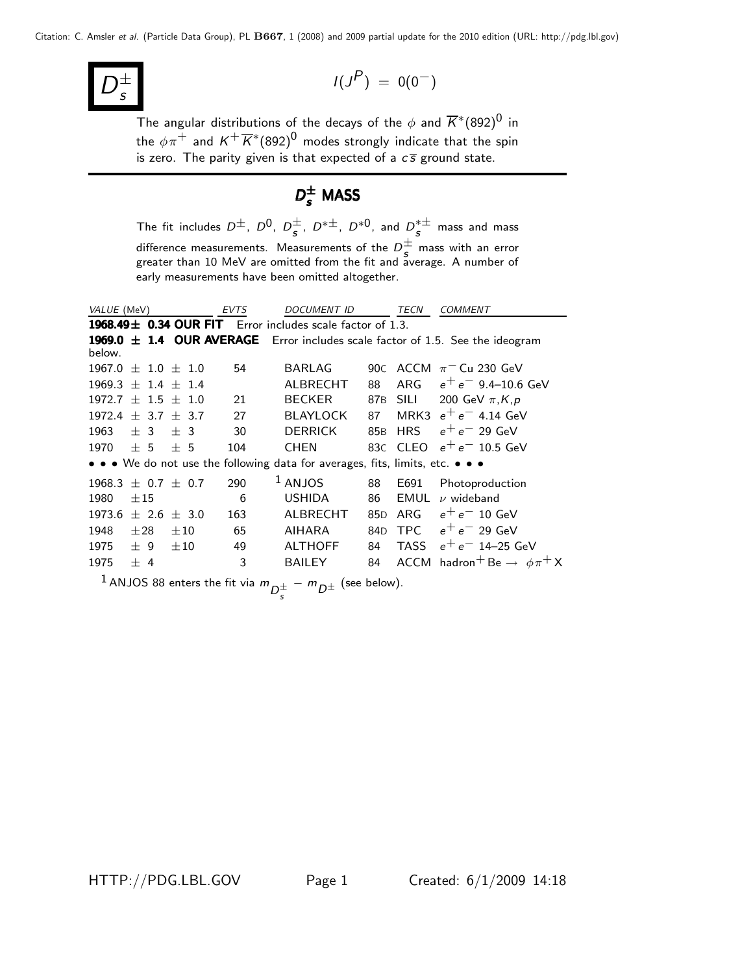D ± s

$$
I(J^P) = 0(0^-)
$$

The angular distributions of the decays of the  $\phi$  and  $\overline{K}^*(892)^0$  in the  $\phi\pi^+$  and  $K^+\overline{K}{}^*(892)^0$  modes strongly indicate that the spin is zero. The parity given is that expected of a  $c\bar{s}$  ground state.

# $D_{\sf s}^{\pm}$  MASS

The fit includes  $D^{\pm}$ ,  $D^{0}$ ,  $D^{\pm}_{s}$ ,  $D^{*\pm}$ ,  $D^{*0}$ , and  $D^{\ast\pm}_{s}$  mass and mass difference measurements. Measurements of the  $D_s^{\pm}$  mass with an error greater than 10 MeV are omitted from the fit and average. A number of early measurements have been omitted altogether.

| VALUE (MeV)              |          |                     |          |         | <b>EVTS</b> | <b>DOCUMENT ID</b> |                                                                                                                                                                                                                                                                                                                     | TECN            | <b>COMMENT</b> |                                                                               |
|--------------------------|----------|---------------------|----------|---------|-------------|--------------------|---------------------------------------------------------------------------------------------------------------------------------------------------------------------------------------------------------------------------------------------------------------------------------------------------------------------|-----------------|----------------|-------------------------------------------------------------------------------|
|                          |          |                     |          |         |             |                    | 1968.49± 0.34 OUR FIT Error includes scale factor of 1.3.                                                                                                                                                                                                                                                           |                 |                |                                                                               |
|                          |          |                     |          |         |             |                    |                                                                                                                                                                                                                                                                                                                     |                 |                | 1969.0 ± 1.4 OUR AVERAGE Error includes scale factor of 1.5. See the ideogram |
| below.                   |          |                     |          |         |             |                    |                                                                                                                                                                                                                                                                                                                     |                 |                |                                                                               |
| $1967.0 \pm 1.0 \pm 1.0$ |          |                     |          |         | 54          |                    | <b>BARLAG</b>                                                                                                                                                                                                                                                                                                       |                 |                | 90C ACCM $\pi$ <sup>-</sup> Cu 230 GeV                                        |
| $1969.3 + 1.4 + 1.4$     |          |                     |          |         |             |                    | ALBRECHT                                                                                                                                                                                                                                                                                                            | 88              | ARG            | $e^+e^-$ 9.4–10.6 GeV                                                         |
| $1972.7 \pm 1.5 \pm 1.0$ |          |                     |          |         | 21          |                    | <b>BECKER</b>                                                                                                                                                                                                                                                                                                       | 87B             | <b>SILI</b>    | 200 GeV $\pi$ , K, p                                                          |
| 1972.4                   |          | $\pm$ 3.7 $\pm$ 3.7 |          |         | 27          |                    | <b>BLAYLOCK</b>                                                                                                                                                                                                                                                                                                     | 87              |                | MRK3 $e^+e^-$ 4.14 GeV                                                        |
| 1963                     | $+3$     |                     | $+3$     |         | 30          |                    | <b>DERRICK</b>                                                                                                                                                                                                                                                                                                      | 85B             | <b>HRS</b>     | $e^+e^-$ 29 GeV                                                               |
| 1970                     | ± 5      |                     | $+5$     |         | 104         |                    | <b>CHEN</b>                                                                                                                                                                                                                                                                                                         |                 |                | 83C CLEO $e^+e^-$ 10.5 GeV                                                    |
|                          |          |                     |          |         |             |                    | • • • We do not use the following data for averages, fits, limits, etc. • • •                                                                                                                                                                                                                                       |                 |                |                                                                               |
| $1968.3 + 0.7$           |          |                     |          | $+ 0.7$ | 290         |                    | $1$ ANJOS                                                                                                                                                                                                                                                                                                           | 88              | E691           | Photoproduction                                                               |
| 1980                     | $\pm 15$ |                     |          |         | 6           |                    | <b>USHIDA</b>                                                                                                                                                                                                                                                                                                       | 86              | EMUL           | $\nu$ wideband                                                                |
| 1973.6                   |          | $\pm$ 2.6 $\pm$ 3.0 |          |         | 163         |                    | ALBRECHT                                                                                                                                                                                                                                                                                                            | 85 <sub>D</sub> | ARG            | $e^+e^-$ 10 GeV                                                               |
| 1948                     | $\pm 28$ |                     | $\pm 10$ |         | 65          |                    | AIHARA                                                                                                                                                                                                                                                                                                              | 84 <sub>D</sub> | <b>TPC</b>     | $e^+e^-$ 29 GeV                                                               |
| 1975                     | ± 9      |                     | $\pm 10$ |         | 49          |                    | <b>ALTHOFF</b>                                                                                                                                                                                                                                                                                                      | 84              | TASS           | $e^+e^-$ 14–25 GeV                                                            |
| 1975                     | $+4$     |                     |          |         | 3           |                    | <b>BAILEY</b>                                                                                                                                                                                                                                                                                                       | 84              |                | ACCM hadron <sup>+</sup> Be $\rightarrow \phi \pi^+ X$                        |
|                          |          |                     |          |         |             |                    | $\frac{1}{2}$ $\frac{1}{2}$ $\frac{1}{2}$ $\frac{1}{2}$ $\frac{1}{2}$ $\frac{1}{2}$ $\frac{1}{2}$ $\frac{1}{2}$ $\frac{1}{2}$ $\frac{1}{2}$ $\frac{1}{2}$ $\frac{1}{2}$ $\frac{1}{2}$ $\frac{1}{2}$ $\frac{1}{2}$ $\frac{1}{2}$ $\frac{1}{2}$ $\frac{1}{2}$ $\frac{1}{2}$ $\frac{1}{2}$ $\frac{1}{2}$ $\frac{1}{2}$ |                 |                |                                                                               |

 $^1$  ANJOS 88 enters the fit via  $m_{\stackrel{\pm}{D^{\pm}_{\infty}}}$  $_{s}^{\pm}$  –  $m_{\displaystyle D^{\pm}}$  (see below).

HTTP://PDG.LBL.GOV Page 1 Created: 6/1/2009 14:18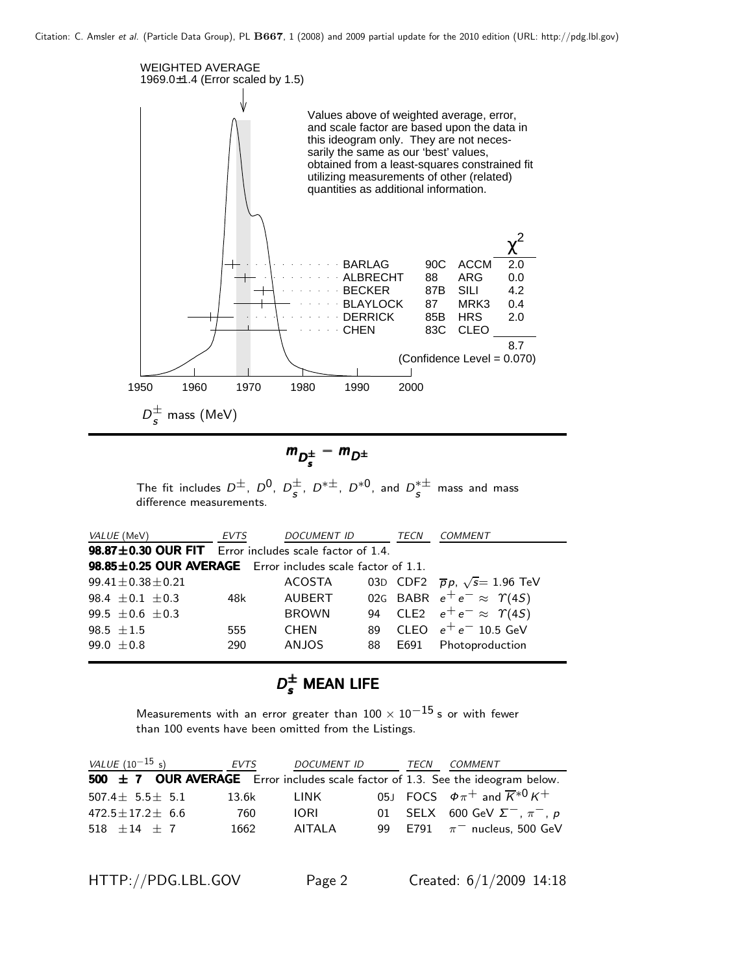

$$
m_{D_s^{\pm}} - m_{D^{\pm}}
$$

The fit includes  $D^{\pm}$ ,  $D^{0}$ ,  $D^{\pm}_{s}$ ,  $D^{*\pm}$ ,  $D^{*0}$ , and  $D^{\ast\pm}_{s}$  mass and mass difference measurements.

| VALUE (MeV)                                                | <b>EVTS</b> | <i>DOCUMENT ID</i> |    | TECN | COMMENT                                     |  |  |  |  |
|------------------------------------------------------------|-------------|--------------------|----|------|---------------------------------------------|--|--|--|--|
| 98.87±0.30 OUR FIT Error includes scale factor of 1.4.     |             |                    |    |      |                                             |  |  |  |  |
| 98.85±0.25 OUR AVERAGE Error includes scale factor of 1.1. |             |                    |    |      |                                             |  |  |  |  |
| $99.41 \pm 0.38 \pm 0.21$                                  |             | ACOSTA             |    |      | 03D CDF2 $\bar{p}p$ , $\sqrt{s}$ = 1.96 TeV |  |  |  |  |
| 98.4 $\pm$ 0.1 $\pm$ 0.3                                   | 48k         | AUBERT             |    |      | 02G BABR $e^+e^- \approx \Upsilon(45)$      |  |  |  |  |
| 99.5 $\pm$ 0.6 $\pm$ 0.3                                   |             | <b>BROWN</b>       |    |      | 94 CLE2 $e^+e^- \approx \Upsilon(45)$       |  |  |  |  |
| 98.5 $\pm 1.5$                                             | 555         | <b>CHEN</b>        | 89 |      | CLEO $e^+e^-$ 10.5 GeV                      |  |  |  |  |
| 99.0 $\pm$ 0.8                                             | 290         | <b>ANJOS</b>       | 88 | E691 | Photoproduction                             |  |  |  |  |

# $D_s^{\pm}$  Mean life

Measurements with an error greater than  $100 \times 10^{-15}$  s or with fewer than 100 events have been omitted from the Listings.

| <i>VALUE</i> $(10^{-15} s)$ |  |  | EVTS  |        | DOCUMENT ID                                                                         | TECN | <i>COMMENT</i>                                    |  |
|-----------------------------|--|--|-------|--------|-------------------------------------------------------------------------------------|------|---------------------------------------------------|--|
|                             |  |  |       |        | 500 $\pm$ 7 OUR AVERAGE Error includes scale factor of 1.3. See the ideogram below. |      |                                                   |  |
| 507.4 $\pm$ 5.5 $\pm$ 5.1   |  |  | 13.6k | LINK   |                                                                                     |      | 05J FOCS $\phi \pi^+$ and $\overline{K}^{*0} K^+$ |  |
| $472.5 \pm 17.2 \pm 6.6$    |  |  | 760   | IORI.  |                                                                                     |      | 01 SELX 600 GeV $\Sigma^-$ , $\pi^-$ , p          |  |
| 518 $\pm 14$ $\pm$ 7        |  |  | 1662  | AITALA |                                                                                     |      | 99 E791 $\pi^-$ nucleus, 500 GeV                  |  |
|                             |  |  |       |        |                                                                                     |      |                                                   |  |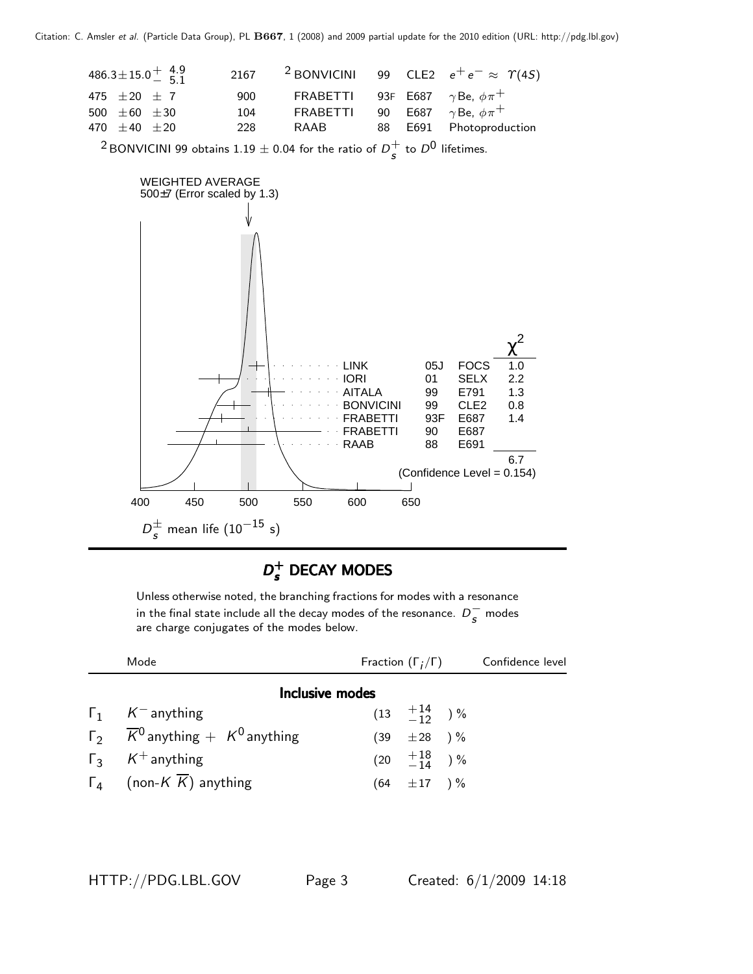

#### $D_{\epsilon}^+$  $D_s^+$  DECAY MODES

Unless otherwise noted, the branching fractions for modes with a resonance in the final state include all the decay modes of the resonance.  $D_s^-$  modes are charge conjugates of the modes below.

| Mode                                                    | Fraction $(\Gamma_i/\Gamma)$ |                           | Confidence level |  |
|---------------------------------------------------------|------------------------------|---------------------------|------------------|--|
| Inclusive modes                                         |                              |                           |                  |  |
| $\Gamma_1$ K <sup>-</sup> anything                      |                              | $(13 \tfrac{+14}{-12})\%$ |                  |  |
| $\Gamma_2$ $\overline{K}^0$ anything $+$ $K^0$ anything |                              | $(39 \pm 28)$ %           |                  |  |
| $\Gamma_3$ K <sup>+</sup> anything                      |                              | $(20 \t +18 \t -14 \t)$ % |                  |  |
| $\Gamma_4$ (non-K $\overline{K}$ ) anything             |                              | $(64 \pm 17) \%$          |                  |  |

HTTP://PDG.LBL.GOV Page 3 Created: 6/1/2009 14:18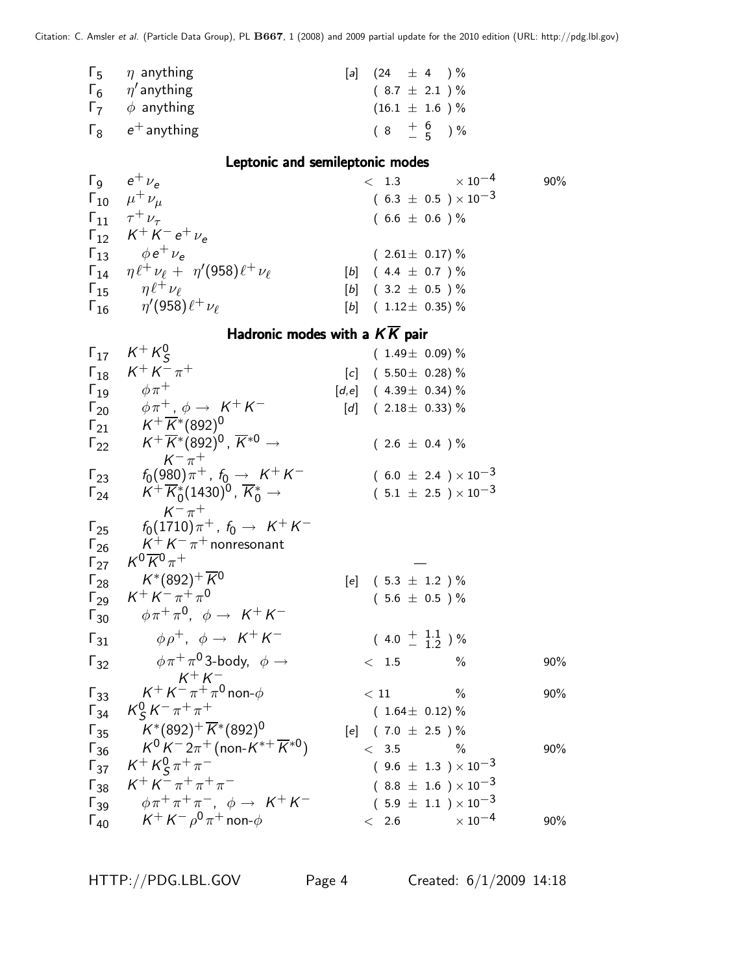| $\Gamma_5$ $\eta$ anything            | [a] $(24 \pm 4) \%$  |  |  |
|---------------------------------------|----------------------|--|--|
| $\Gamma_6$ $\eta'$ anything           | $(8.7 \pm 2.1) \%$   |  |  |
| $\Gamma$ <sub>7</sub> $\phi$ anything | $(16.1 \pm 1.6)$ %   |  |  |
| $\Gamma_{8}$ $e^{+}$ anything         | $(8 + \frac{6}{5})%$ |  |  |

## Leptonic and semileptonic modes

| $\Gamma_{9}$ $e^{+} \nu_{e}$                                      | $< 1.3 \times 10^{-4}$         | 90% |
|-------------------------------------------------------------------|--------------------------------|-----|
| $\Gamma_{10}$ $\mu^+ \nu_\mu$                                     | $(6.3 \pm 0.5) \times 10^{-3}$ |     |
| $\Gamma_{11}$ $\tau^+ \nu_{\tau}$                                 | $(6.6 \pm 0.6) \%$             |     |
| $\Gamma_{12}$ $K^+ K^- e^+ \nu_e$                                 |                                |     |
| $\Gamma_{13}$ $\phi e^+ \nu_e$                                    | $(2.61 \pm 0.17)\%$            |     |
| $\Gamma_{14}$ $\eta \ell^+ \nu_\ell + \eta'(958) \ell^+ \nu_\ell$ | $[b]$ (4.4 $\pm$ 0.7 ) %       |     |
| $\Gamma_{15}$ $\eta \ell^+ \nu_\ell$                              | $[b]$ (3.2 $\pm$ 0.5 ) %       |     |
| $\Gamma_{16}$ $\eta'(958)\ell^{+}\nu_{\ell}$                      | $[b]$ (1.12 $\pm$ 0.35) %      |     |

## Hadronic modes with a  $K\overline{K}$  pair

| $\Gamma_{17}$          | $K^+ K^0_S$                                                                             |                   | $(1.49 \pm 0.09)$ %           |                                |     |
|------------------------|-----------------------------------------------------------------------------------------|-------------------|-------------------------------|--------------------------------|-----|
| $\Gamma_{18}$          | $K^{+} K^{-} \pi^{+}$                                                                   |                   | $[c]$ (5.50 $\pm$ 0.28) %     |                                |     |
| $\Gamma_{19}$          | $\phi \pi^+$                                                                            |                   | $[d,e]$ (4.39 ± 0.34) %       |                                |     |
| $\Gamma_{20}$          | $\phi \, \pi^+$ , $\phi \rightarrow \; \mathcal{K}^+ \, \mathcal{K}^-$                  | $\lceil d \rceil$ | $(2.18\pm 0.33)\%$            |                                |     |
| $\mathsf{\Gamma}_{21}$ | $\mathcal{K}^+\,\overline{\mathcal{K}}{}^*(892)^0$                                      |                   |                               |                                |     |
| $\Gamma_{22}$          | $\mathcal{K}^+\,\overline{\mathcal{K}}{}^*(892)^0$ , $\overline{\mathcal{K}}{}^{*0}\to$ |                   | $(2.6 \pm 0.4) \%$            |                                |     |
|                        | $K^{-} \pi^{+}$                                                                         |                   |                               |                                |     |
| $\Gamma_{23}$          | $f_0(980)\,\pi^+$ , $f_0 \rightarrow\ K^+K^-$                                           |                   |                               | $(6.0 \pm 2.4) \times 10^{-3}$ |     |
| $\Gamma_{24}$          | $K^+\,\overline{K}^*_0(1430)^0$ , $\overline{K}^*_0\rightarrow$                         |                   |                               | $(5.1 \pm 2.5) \times 10^{-3}$ |     |
| $\Gamma_{25}$          | $K^{-}$ $\pi^{+}$<br>$f_0(1710)\pi^+$ , $f_0 \rightarrow K^+K^-$                        |                   |                               |                                |     |
| $\Gamma_{26}$          | $K^+ K^- \pi^+$ nonresonant                                                             |                   |                               |                                |     |
| $\Gamma_{27}$          | $\mathcal{K}^0 \overline{\mathcal{K}}{}^0 \pi^+$                                        |                   |                               |                                |     |
| $\Gamma_{28}$          | $K^*(892)^+ \overline{K}{}^0$                                                           | [e]               | $(5.3 \pm 1.2) \%$            |                                |     |
| $\Gamma_{29}$          | $K^+ K^- \pi^+ \pi^0$                                                                   |                   | $(5.6 \pm 0.5) \%$            |                                |     |
| $\Gamma_{30}$          | $\phi \pi^+ \pi^0$ , $\phi \rightarrow K^+ K^-$                                         |                   |                               |                                |     |
| $\Gamma_{31}$          | $\phi \rho^+$ , $\phi \rightarrow K^+ K^-$                                              |                   | $(4.0 \pm \frac{1.1}{1.2})$ % |                                |     |
| $\Gamma_{32}$          | $\phi \pi^+ \pi^0$ 3-body, $\phi \rightarrow$                                           |                   | $\langle$ 1.5                 | $\%$                           | 90% |
|                        | $K^+ K^-$                                                                               |                   |                               |                                |     |
| $\Gamma_{33}$          | $K^+ K^- \pi^+ \pi^0$ non- $\phi$                                                       |                   | < 11                          | $\%$                           | 90% |
| $\Gamma_{34}$          | $K_S^0 K^- \pi^+ \pi^+$                                                                 |                   | $(1.64 \pm 0.12)\%$           |                                |     |
| $\Gamma_{35}$          | $K^*(892)^+ \overline{K}^*(892)^0$                                                      |                   | [e] $(7.0 \pm 2.5)$ %         |                                |     |
| $\Gamma_{36}$          | $K^0 K^- 2\pi^+$ (non- $K^{*+} \overline{K}^{*0}$ )                                     |                   | < 3.5                         | $\%$                           | 90% |
| $\Gamma_{37}$          | $K^{+} K^{0}_{S} \pi^{+} \pi^{-}$                                                       |                   |                               | $(9.6 \pm 1.3) \times 10^{-3}$ |     |
| $\Gamma_{38}$          | $K^+ K^- \pi^+ \pi^+ \pi^-$                                                             |                   |                               | $(8.8 \pm 1.6) \times 10^{-3}$ |     |
| $\Gamma_{39}$          | $\phi \pi^+ \pi^+ \pi^-$ , $\phi \rightarrow K^+ K^-$                                   |                   |                               | $(5.9 \pm 1.1) \times 10^{-3}$ |     |
| $\Gamma_{40}$          | $K^+ \, K^- \, \rho^0 \, \pi^+$ non- $\phi$                                             |                   | $< 2.6$                       | $\times$ 10 <sup>-4</sup>      | 90% |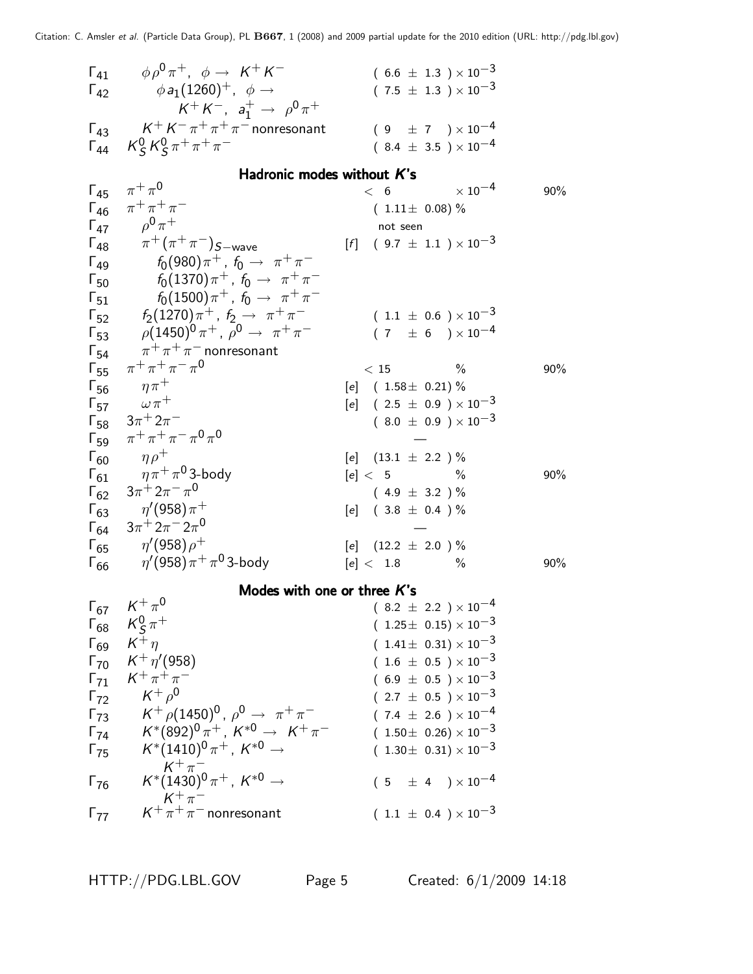| $\Gamma_{41}$<br>$\Gamma_{42}$<br>$\Gamma_{43}$ | $\phi \rho^0 \pi^+$ , $\phi \rightarrow K^+ K^-$<br>$\phi a_1(1260)^+$ , $\phi \rightarrow$<br>$K^+ K^-$ , $a_1^+ \rightarrow \rho^0 \pi^+$<br>$K^+ K^- \pi^+ \pi^+ \pi^-$ nonresonant | $(6.6 \pm 1.3) \times 10^{-3}$<br>$(7.5 \pm 1.3) \times 10^{-3}$<br>$(9 \pm 7) \times 10^{-4}$ |     |
|-------------------------------------------------|----------------------------------------------------------------------------------------------------------------------------------------------------------------------------------------|------------------------------------------------------------------------------------------------|-----|
| $\Gamma_{44}$                                   | $K_S^0 K_S^0 \pi^+ \pi^+ \pi^-$                                                                                                                                                        | $(8.4 \pm 3.5) \times 10^{-4}$                                                                 |     |
|                                                 | Hadronic modes without K's                                                                                                                                                             |                                                                                                |     |
| $\Gamma_{45}$                                   | $\pi^+\pi^0$                                                                                                                                                                           | $\times$ 10 <sup>-4</sup><br>< 6                                                               | 90% |
| $\Gamma_{46}$                                   | $\pi^{+}\pi^{+}\pi^{-}$                                                                                                                                                                | $(1.11 \pm 0.08)\%$                                                                            |     |
|                                                 | $\Gamma_{47}$ $\rho^0 \pi^+$                                                                                                                                                           | not seen                                                                                       |     |
|                                                 | $\Gamma_{48}$ $\pi^{+}(\pi^{+}\pi^{-})_{S-wave}$                                                                                                                                       | $[f]$ (9.7 $\pm$ 1.1 ) $\times$ 10 <sup>-3</sup>                                               |     |
| $\Gamma_{49}$                                   | $f_0(980)\pi^+$ , $f_0 \to \pi^+\pi^-$                                                                                                                                                 |                                                                                                |     |
| $\Gamma_{50}$                                   | $f_0(1370)\pi^+$ , $f_0 \to \pi^+\pi^-$                                                                                                                                                |                                                                                                |     |
| $\mathsf{F}_{51}$                               | $f_0(1500)\pi^+$ , $f_0 \to \pi^+\pi^-$                                                                                                                                                |                                                                                                |     |
|                                                 | $\Gamma_{52}$ $f_2(1270)\pi^+$ , $f_2 \rightarrow \pi^+\pi^-$                                                                                                                          | $(1.1 \pm 0.6) \times 10^{-3}$                                                                 |     |
|                                                 | $\Gamma_{53}$ $\rho (1450)^0 \pi^+$ , $\rho^0 \rightarrow \pi^+ \pi^-$                                                                                                                 | $(7 \pm 6) \times 10^{-4}$                                                                     |     |
| $\Gamma_{54}$                                   | $\pi^+\pi^+\pi^-$ nonresonant                                                                                                                                                          |                                                                                                |     |
| $\Gamma_{55}$                                   | $\pi^{+}\pi^{+}\pi^{-}\pi^{0}$                                                                                                                                                         | $\%$<br>< 15                                                                                   | 90% |
| $\Gamma_{56}$                                   | $\eta \pi^+$                                                                                                                                                                           | $[e]$ (1.58 ± 0.21) %                                                                          |     |
|                                                 | $\Gamma_{57}$ $\omega \pi^+$                                                                                                                                                           | $[e]$ (2.5 $\pm$ 0.9 ) $\times$ 10 <sup>-3</sup>                                               |     |
|                                                 | $\Gamma_{58}$ $3\pi^{+}2\pi^{-}$                                                                                                                                                       | $(8.0 \pm 0.9) \times 10^{-3}$                                                                 |     |
| $\Gamma_{59}$                                   | $\pi^+ \pi^+ \pi^- \pi^0 \pi^0$                                                                                                                                                        |                                                                                                |     |
| $\Gamma_{60}$                                   | $\eta \rho^+$                                                                                                                                                                          | [e] $(13.1 \pm 2.2)$ %                                                                         |     |
| $\Gamma_{61}$                                   | $\eta \pi^+ \pi^0$ 3-body                                                                                                                                                              | $[e]5$ %                                                                                       | 90% |
| $\Gamma_{62}$                                   | $3\pi$ <sup>+</sup> $2\pi$ <sup>-</sup> $\pi$ <sup>0</sup>                                                                                                                             | $(4.9 \pm 3.2) \%$                                                                             |     |
|                                                 | $\Gamma_{63}$ $\eta'(958)\pi^+$                                                                                                                                                        | [e] $(3.8 \pm 0.4)$ %                                                                          |     |
| $\Gamma_{64}$                                   | $3\pi$ <sup>+</sup> $2\pi$ <sup>-</sup> $2\pi$ <sup>0</sup>                                                                                                                            |                                                                                                |     |
|                                                 | $\Gamma_{65}$ $\eta'(958)\rho^+$                                                                                                                                                       | [e] $(12.2 \pm 2.0)$ %                                                                         |     |
| $\Gamma_{66}$                                   | $\eta^\prime$ (958) $\pi^+\pi^0$ 3-body                                                                                                                                                | $\frac{0}{0}$<br>[e]< 1.8                                                                      | 90% |
|                                                 | Modes with one or three $K$ 's                                                                                                                                                         |                                                                                                |     |
|                                                 | $\Gamma_{67}$ $K^{+}\pi^{0}$                                                                                                                                                           | $(8.2~\pm~2.2~)\times10^{-4}$                                                                  |     |
|                                                 | $\Gamma_{68}$ $K^0_S \pi^+$                                                                                                                                                            | $(1.25 \pm 0.15) \times 10^{-3}$                                                               |     |
|                                                 | $\Gamma_{69}$ $K^+\eta$                                                                                                                                                                | $(1.41 \pm 0.31) \times 10^{-3}$                                                               |     |
|                                                 | $\Gamma_{70}$ $K^+ \eta' (958)$                                                                                                                                                        | $(1.6 \pm 0.5) \times 10^{-3}$                                                                 |     |
|                                                 | $\Gamma_{71}$ $K^+\pi^+\pi^-$                                                                                                                                                          | $(6.9 \pm 0.5) \times 10^{-3}$                                                                 |     |
|                                                 | $\Gamma_{72}$ $K^+ \rho^0$                                                                                                                                                             | $(2.7 \pm 0.5) \times 10^{-3}$                                                                 |     |
|                                                 | $\Gamma_{73}$ $K^+ \rho (1450)^0$ , $\rho^0 \rightarrow \pi^+ \pi^-$                                                                                                                   | $(7.4 \pm 2.6) \times 10^{-4}$                                                                 |     |
|                                                 | $\Gamma_{74}$ $K^*(892)^0 \pi^+$ , $K^{*0} \rightarrow K^+ \pi^-$                                                                                                                      | $(1.50\pm 0.26)\times 10^{-3}$                                                                 |     |
|                                                 | $\Gamma_{75}$ $K^*(1410)^0 \pi^+$ , $K^{*0} \rightarrow$                                                                                                                               | $(1.30 \pm 0.31) \times 10^{-3}$                                                               |     |
|                                                 | $K^+\pi^-$<br>$K^*(1430)^0\pi^+$ , $K^{*0} \rightarrow$<br>$K^+\pi^-$                                                                                                                  | $(5 \pm 4) \times 10^{-4}$                                                                     |     |
|                                                 | $\Gamma_{77}$ $K^+\pi^+\pi^-$ nonresonant                                                                                                                                              | $(1.1 \pm 0.4) \times 10^{-3}$                                                                 |     |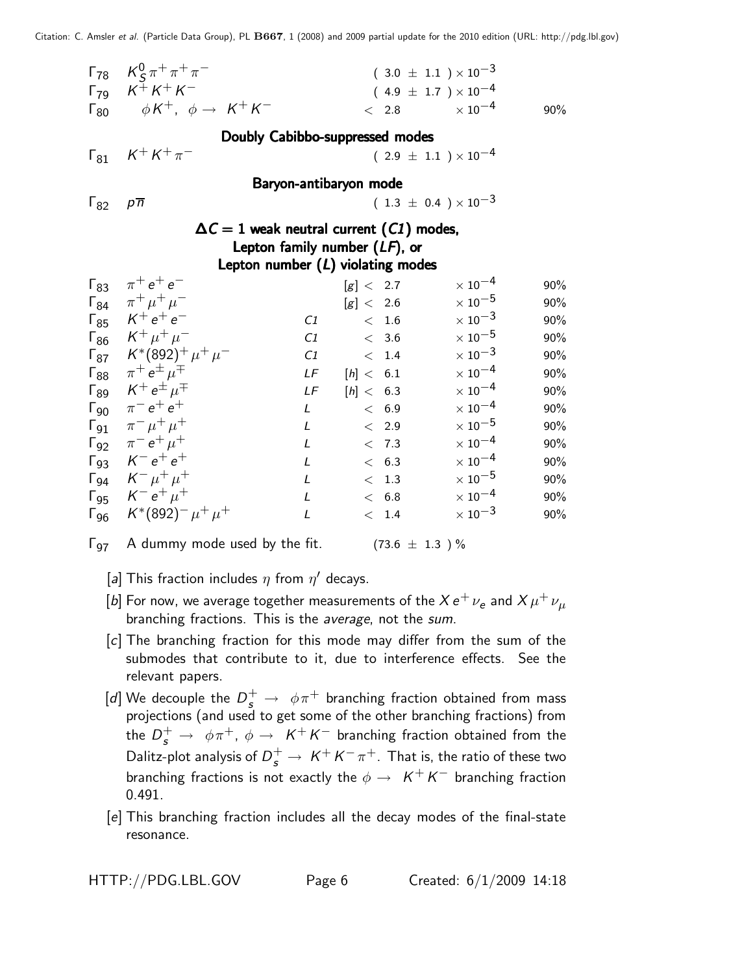|                                 | $\Gamma_{78}$ $K_S^0 \pi^+ \pi^+ \pi^-$<br>$\begin{bmatrix} 79 & K^{\pm} K^+ K^- \end{bmatrix}$<br>$\Gamma_{80}$ $\phi K^+$ , $\phi \rightarrow K^+ K^-$ |              | < 2.8                               | $(3.0 \pm 1.1) \times 10^{-3}$<br>$(4.9 \pm 1.7) \times 10^{-4}$<br>$\times$ 10 <sup>-4</sup> | 90% |  |  |  |  |  |
|---------------------------------|----------------------------------------------------------------------------------------------------------------------------------------------------------|--------------|-------------------------------------|-----------------------------------------------------------------------------------------------|-----|--|--|--|--|--|
| Doubly Cabibbo-suppressed modes |                                                                                                                                                          |              |                                     |                                                                                               |     |  |  |  |  |  |
| $\Gamma_{81}$                   | $K^{+} K^{+} \pi^{-}$                                                                                                                                    |              |                                     | $(2.9 \pm 1.1) \times 10^{-4}$                                                                |     |  |  |  |  |  |
|                                 |                                                                                                                                                          |              | Baryon-antibaryon mode              |                                                                                               |     |  |  |  |  |  |
| $\Gamma_{82}$                   | $p\overline{n}$                                                                                                                                          |              |                                     | $(1.3 \pm 0.4) \times 10^{-3}$                                                                |     |  |  |  |  |  |
|                                 | $\Delta C = 1$ weak neutral current $(C1)$ modes,                                                                                                        |              |                                     |                                                                                               |     |  |  |  |  |  |
|                                 |                                                                                                                                                          |              | Lepton family number $(LF)$ , or    |                                                                                               |     |  |  |  |  |  |
|                                 |                                                                                                                                                          |              | Lepton number $(L)$ violating modes |                                                                                               |     |  |  |  |  |  |
| $\Gamma_{83}$                   | $\pi^{+}e^{+}e^{-}$                                                                                                                                      |              | [g] < 2.7                           | $\times$ $10^{-4}$                                                                            | 90% |  |  |  |  |  |
|                                 | $\Gamma_{84}$ $\pi^+ \mu^+ \mu^-$                                                                                                                        |              | [g] < 2.6                           | $\times$ 10 $^{-5}$                                                                           | 90% |  |  |  |  |  |
|                                 | $\Gamma_{85}$ $K^+e^+e^-$                                                                                                                                | C1           | < 1.6                               | $\times$ 10 <sup>-3</sup>                                                                     | 90% |  |  |  |  |  |
|                                 | $\Gamma_{86}$ $K^+ \mu^+ \mu^-$                                                                                                                          | C1           | $< 3.6$                             | $\times$ 10 $^{-5}$                                                                           | 90% |  |  |  |  |  |
|                                 | $\Gamma_{87}$ $K^*(892)^+ \mu^+ \mu^-$                                                                                                                   | C1           | < 1.4                               | $\times$ 10 $^{-3}$                                                                           | 90% |  |  |  |  |  |
| $\mathsf{\Gamma}_{88}$          | $\pi^+ e^{\pm} \mu^{\mp}$                                                                                                                                | LF           | [h] < 6.1                           | $\times$ 10 $^{-4}$                                                                           | 90% |  |  |  |  |  |
| $\Gamma_{89}$                   | $K^+e^{\pm} \mu^{\mp}$                                                                                                                                   | LF           | [h] < 6.3                           | $\times$ 10 $^{-4}$                                                                           | 90% |  |  |  |  |  |
| $\Gamma_{90}$                   | $\pi^{-} e^{+} e^{+}$                                                                                                                                    | L            | < 6.9                               | $\times$ 10 $^{-4}$                                                                           | 90% |  |  |  |  |  |
|                                 | $\Gamma_{91}$ $\pi^{-} \mu^{+} \mu^{+}$                                                                                                                  | L            | $\rm <$ 2.9 $\,$                    | $\times$ $10^{-5}$                                                                            | 90% |  |  |  |  |  |
|                                 | $\Gamma_{92}$ $\pi^- e^+ \mu^+$                                                                                                                          | L            | < 7.3                               | $\times$ 10 $^{-4}$                                                                           | 90% |  |  |  |  |  |
|                                 | $\Gamma_{93}$ $K^-e^+e^+$                                                                                                                                | L            | < 6.3                               | $\times$ 10 <sup>-4</sup>                                                                     | 90% |  |  |  |  |  |
|                                 | $\Gamma_{94}$ $K^ \mu^+$ $\mu^+$                                                                                                                         | L            | < 1.3                               | $\times$ 10 $^{-5}$                                                                           | 90% |  |  |  |  |  |
|                                 | $\Gamma_{95}$ $K^- e^+ \mu^+$                                                                                                                            | $\mathsf{L}$ | < 6.8                               | $\times$ 10 $^{-4}$                                                                           | 90% |  |  |  |  |  |
|                                 | $K^*(892)^- \mu^+ \mu^+$                                                                                                                                 | L            | $< 1.4$                             | $\times$ 10 <sup>-3</sup>                                                                     | 90% |  |  |  |  |  |
| $\mathsf{\Gamma}_{96}$          |                                                                                                                                                          |              |                                     |                                                                                               |     |  |  |  |  |  |



 $\Gamma_{97}$  A dummy mode used by the fit. (73.6  $\pm$  1.3 ) %

- [a] This fraction includes  $\eta$  from  $\eta'$  decays.
- [b] For now, we average together measurements of the  $X\, e^+\,\nu_e$  and  $X\,\mu^+\,\nu_\mu$ branching fractions. This is the average, not the sum.
- [c] The branching fraction for this mode may differ from the sum of the submodes that contribute to it, due to interference effects. See the relevant papers.
- [d] We decouple the  $D_s^+ \rightarrow~\phi \pi^+$  branching fraction obtained from mass projections (and used to get some of the other branching fractions) from the  $D^+_s\,\rightarrow\,\,\phi\pi^+$ ,  $\phi\,\rightarrow\,\,K^+K^-$  branching fraction obtained from the Dalitz-plot analysis of  $D_s^+ \rightarrow \ K^+ K^- \pi^+.$  That is, the ratio of these two branching fractions is not exactly the  $\phi \rightarrow \; \; \mathcal{K}^{+} \, \mathcal{K}^{-}$  branching fraction 0.491.
- [e] This branching fraction includes all the decay modes of the final-state resonance.

HTTP://PDG.LBL.GOV Page 6 Created: 6/1/2009 14:18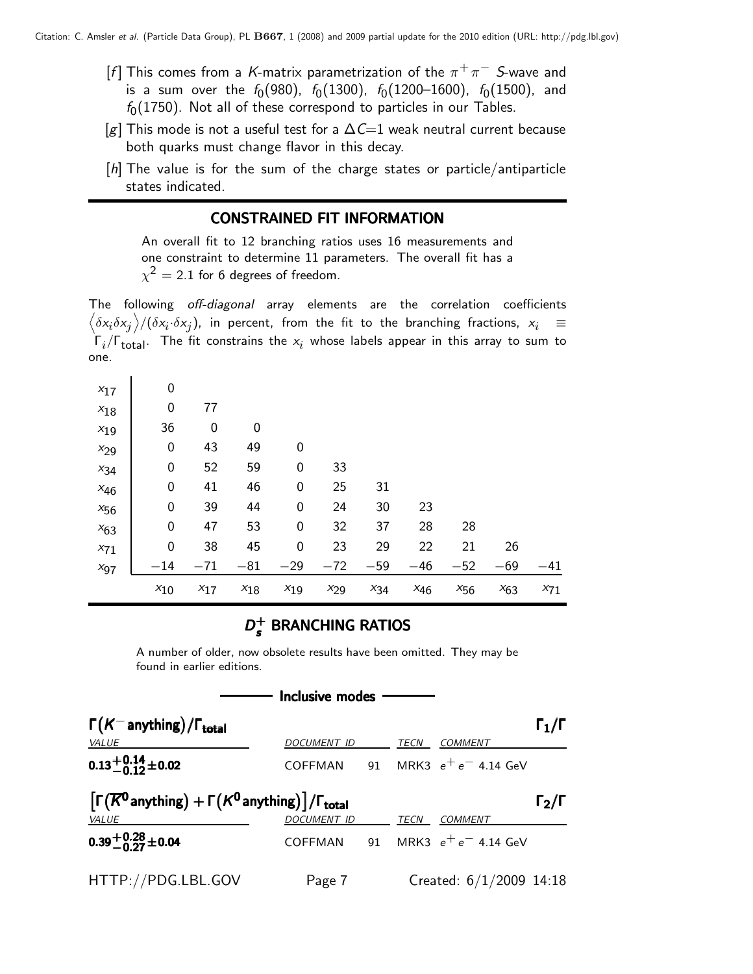- [f] This comes from a K-matrix parametrization of the  $\pi^+\pi^-$  S-wave and is a sum over the  $f_{0}(980)$ ,  $f_{0}(1300)$ ,  $f_{0}(1200\hbox{--}1600)$ ,  $f_{0}(1500)$ , and  $f_0(1750)$ . Not all of these correspond to particles in our Tables.
- [g] This mode is not a useful test for a  $\Delta C=1$  weak neutral current because both quarks must change flavor in this decay.
- [h] The value is for the sum of the charge states or particle/antiparticle states indicated.

#### CONSTRAINED FIT INFORMATION

An overall fit to 12 branching ratios uses 16 measurements and one constraint to determine 11 parameters. The overall fit has a  $\chi^2=$  2.1 for 6 degrees of freedom.

The following off-diagonal array elements are the correlation coefficients  $\left<\delta x_i\delta x_j\right>$ /( $\delta x_i\cdot\delta x_j$ ), in percent, from the fit to the branching fractions,  $x_i$   $\;\equiv$  $\mathsf{\Gamma}_i/\mathsf{\Gamma}_{\mathsf{total}}$ . The fit constrains the  $\mathsf{x}_i$  whose labels appear in this array to sum to one.

| $x_{71}$<br>$x_{97}$ | $\mathbf 0$<br>$-14$ | 38<br>$-71$ | 45<br>$-81$ | $\boldsymbol{0}$<br>$-29$ | 23<br>$-72$ | 29<br>$-59$ | 22<br>$-46$ | 21<br>$-52$ | 26<br>$-69$ | $-41$ |
|----------------------|----------------------|-------------|-------------|---------------------------|-------------|-------------|-------------|-------------|-------------|-------|
| $x_{63}$             | $\boldsymbol{0}$     | 47          | 53          | $\boldsymbol{0}$          | 32          | 37          | 28          | 28          |             |       |
| $x_{56}$             | 0                    | 39          | 44          | 0                         | 24          | 30          | 23          |             |             |       |
| $x_{46}$             | $\boldsymbol{0}$     | 41          | 46          | 0                         | 25          | 31          |             |             |             |       |
| $x_{34}$             | 0                    | 52          | 59          | 0                         | 33          |             |             |             |             |       |
| $x_{29}$             | $\boldsymbol{0}$     | 43          | 49          | 0                         |             |             |             |             |             |       |
| $x_{19}$             | 36                   | 0           | 0           |                           |             |             |             |             |             |       |
| $x_{18}$             | 0                    | 77          |             |                           |             |             |             |             |             |       |
| $x_{17}$             | 0                    |             |             |                           |             |             |             |             |             |       |

#### $D_{\epsilon}^+$  $D_s^+$  BRANCHING RATIOS

A number of older, now obsolete results have been omitted. They may be found in earlier editions.

| Inclusive modes                                                                                |                    |    |             |                                   |                   |  |  |  |  |  |
|------------------------------------------------------------------------------------------------|--------------------|----|-------------|-----------------------------------|-------------------|--|--|--|--|--|
| $\Gamma(K^-$ anything) / $\Gamma_{\text{total}}$                                               |                    |    |             |                                   | $\Gamma_1/\Gamma$ |  |  |  |  |  |
| VALUE                                                                                          | <b>DOCUMENT ID</b> |    | <b>TECN</b> | <b>COMMENT</b>                    |                   |  |  |  |  |  |
| $0.13 + 0.14 + 0.02$                                                                           |                    |    |             | COFFMAN 91 MRK3 $e^+e^-$ 4.14 GeV |                   |  |  |  |  |  |
| $\left[\Gamma(\overline{K}^0\!$ anything) + $\Gamma(K^0\!$ anything) $]/\Gamma_{\text{total}}$ |                    |    |             |                                   | $\Gamma_2/\Gamma$ |  |  |  |  |  |
| VALUE                                                                                          | DOCUMENT ID        |    | <b>TECN</b> | <b>COMMENT</b>                    |                   |  |  |  |  |  |
| $0.39 + 0.28 + 0.04$                                                                           | COFFMAN            | 91 |             | MRK3 $e^+e^-$ 4.14 GeV            |                   |  |  |  |  |  |
| HTTP://PDG.LBL.GOV                                                                             | Page 7             |    |             | Created: $6/1/2009$ 14:18         |                   |  |  |  |  |  |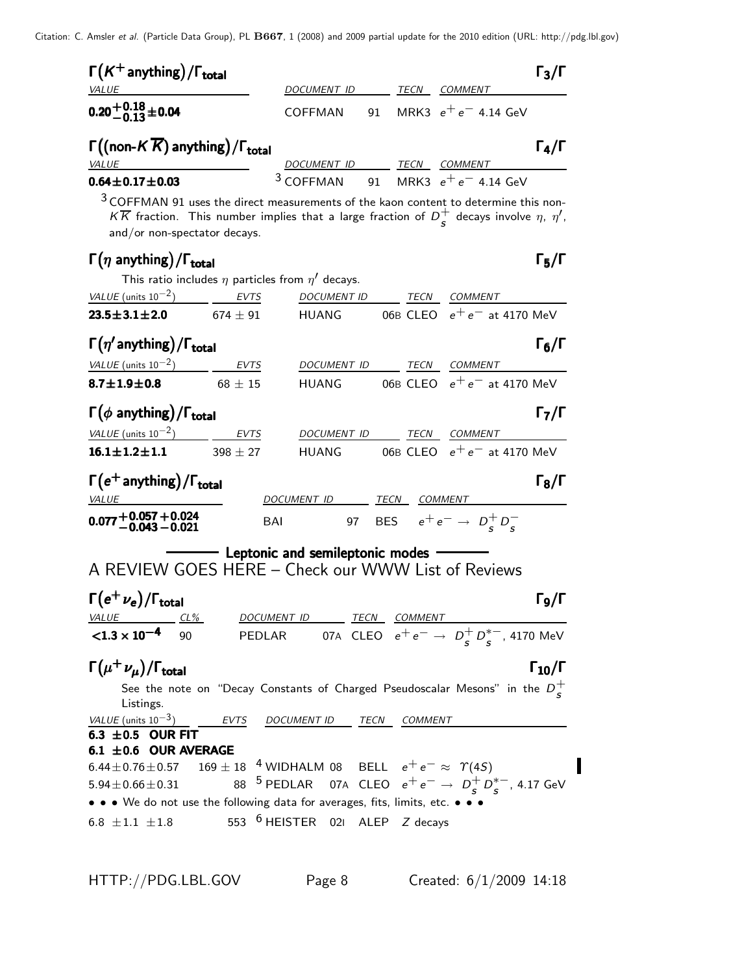| $\Gamma(K^+$ anything) / $\Gamma_{\text{total}}$                                                                                                                                                                                           |                                                                                           |  |              |                                | $\Gamma_3/\Gamma$    |
|--------------------------------------------------------------------------------------------------------------------------------------------------------------------------------------------------------------------------------------------|-------------------------------------------------------------------------------------------|--|--------------|--------------------------------|----------------------|
| <i>VALUE</i>                                                                                                                                                                                                                               | <u>DOCUMENT ID TECN COMMENT</u>                                                           |  |              |                                |                      |
| $0.20 + 0.18 + 0.04$                                                                                                                                                                                                                       | COFFMAN                                                                                   |  |              | 91 MRK3 $e^+e^-$ 4.14 GeV      |                      |
| $\Gamma((\text{non-}K\overline{K})$ anything) / $\Gamma_{\text{total}}$<br><b>VALUE</b>                                                                                                                                                    | DOCUMENT ID TECN COMMENT                                                                  |  |              |                                | $\Gamma_4/\Gamma$    |
| $0.64 \pm 0.17 \pm 0.03$                                                                                                                                                                                                                   | $3$ COFFMAN 91 MRK3 $e^+e^-$ 4.14 GeV                                                     |  |              |                                |                      |
| $3$ COFFMAN 91 uses the direct measurements of the kaon content to determine this non-<br>$K\overline{K}$ fraction. This number implies that a large fraction of $D^+_S$ decays involve $\eta$ , $\eta'$ ,<br>and/or non-spectator decays. |                                                                                           |  |              |                                |                      |
| $\Gamma(\eta \text{ anything})/\Gamma_{\text{total}}$                                                                                                                                                                                      |                                                                                           |  |              |                                | $\Gamma_5/\Gamma$    |
| This ratio includes $\eta$ particles from $\eta'$ decays.                                                                                                                                                                                  |                                                                                           |  |              |                                |                      |
| VALUE (units $10^{-2}$ )<br><b>EVTS</b>                                                                                                                                                                                                    | DOCUMENT ID TECN                                                                          |  | COMMENT      |                                |                      |
| $23.5 \pm 3.1 \pm 2.0$<br>674 $\pm$ 91                                                                                                                                                                                                     | HUANG                                                                                     |  |              | 06B CLEO $e^+e^-$ at 4170 MeV  |                      |
| $\Gamma(\eta'$ anything) / $\Gamma_{total}$                                                                                                                                                                                                |                                                                                           |  |              |                                | $\Gamma_6/\Gamma$    |
| VALUE (units $10^{-2}$ ) EVTS                                                                                                                                                                                                              | DOCUMENT ID                                                                               |  | TECN COMMENT |                                |                      |
| $8.7 \pm 1.9 \pm 0.8$<br>$68\,\pm\,15$                                                                                                                                                                                                     | HUANG 06B CLEO $e^+e^-$ at 4170 MeV                                                       |  |              |                                |                      |
| $\Gamma(\phi \text{ anything})/\Gamma_{\text{total}}$                                                                                                                                                                                      |                                                                                           |  |              |                                | $\Gamma_7/\Gamma$    |
| VALUE $(\text{units } 10^{-2})$ EVTS                                                                                                                                                                                                       | DOCUMENT ID                                                                               |  | TECN COMMENT |                                |                      |
| $16.1 \pm 1.2 \pm 1.1$ 398 $\pm$ 27                                                                                                                                                                                                        | <b>HUANG</b>                                                                              |  |              | 06B CLEO $e^+e^-$ at 4170 MeV  |                      |
| $\Gamma(e^+$ anything) / $\Gamma_{total}$                                                                                                                                                                                                  | DOCUMENT ID TECN COMMENT                                                                  |  |              |                                | $\Gamma_8/\Gamma$    |
| <b>VALUE</b>                                                                                                                                                                                                                               |                                                                                           |  |              |                                |                      |
| $0.077{+0.057}{+0.043}{-0.024}$<br>BAI                                                                                                                                                                                                     |                                                                                           |  |              | 97 BES $e^+e^- \to D_c^+D_c^-$ |                      |
| A REVIEW GOES HERE - Check our WWW List of Reviews                                                                                                                                                                                         | Leptonic and semileptonic modes                                                           |  |              |                                |                      |
| $\Gamma(e^+\nu_e)/\Gamma_{\rm total}$                                                                                                                                                                                                      |                                                                                           |  |              |                                | Го/Г                 |
| VALUE CL%<br>$\leq 1.3 \times 10^{-4}$ 90                                                                                                                                                                                                  | DOCUMENT ID TECN COMMENT<br>PEDLAR 07A CLEO $e^+e^- \rightarrow D_s^+D_s^{*-}$ , 4170 MeV |  |              |                                |                      |
|                                                                                                                                                                                                                                            |                                                                                           |  |              |                                |                      |
| $\Gamma(\mu^+\nu_{\mu})/\Gamma_{\rm total}$<br>See the note on "Decay Constants of Charged Pseudoscalar Mesons" in the $D^+_c$<br>Listings.                                                                                                |                                                                                           |  |              |                                | $\Gamma_{10}/\Gamma$ |
| $VALUE$ (units $10^{-3}$ ) $-$ EVTS                                                                                                                                                                                                        | DOCUMENT ID TECN COMMENT                                                                  |  |              |                                |                      |
| 6.3 $\pm$ 0.5 OUR FIT<br>6.1 $\pm$ 0.6 OUR AVERAGE                                                                                                                                                                                         |                                                                                           |  |              |                                |                      |
| 6.44 ± 0.76 ± 0.57 169 ± 18 <sup>4</sup> WIDHALM 08 BELL $e^+e^- \approx \Upsilon(4S)$                                                                                                                                                     |                                                                                           |  |              |                                |                      |
| $5.94 \pm 0.66 \pm 0.31$                                                                                                                                                                                                                   | 88 <sup>5</sup> PEDLAR 07A CLEO $e^+e^- \rightarrow D_s^+D_s^{*-}$ , 4.17 GeV             |  |              |                                |                      |
| • • • We do not use the following data for averages, fits, limits, etc. • • •                                                                                                                                                              |                                                                                           |  |              |                                |                      |
| 6.8 $\pm 1.1$ $\pm 1.8$                                                                                                                                                                                                                    | 553 <sup>6</sup> HEISTER 021 ALEP Z decays                                                |  |              |                                |                      |

 $\blacksquare$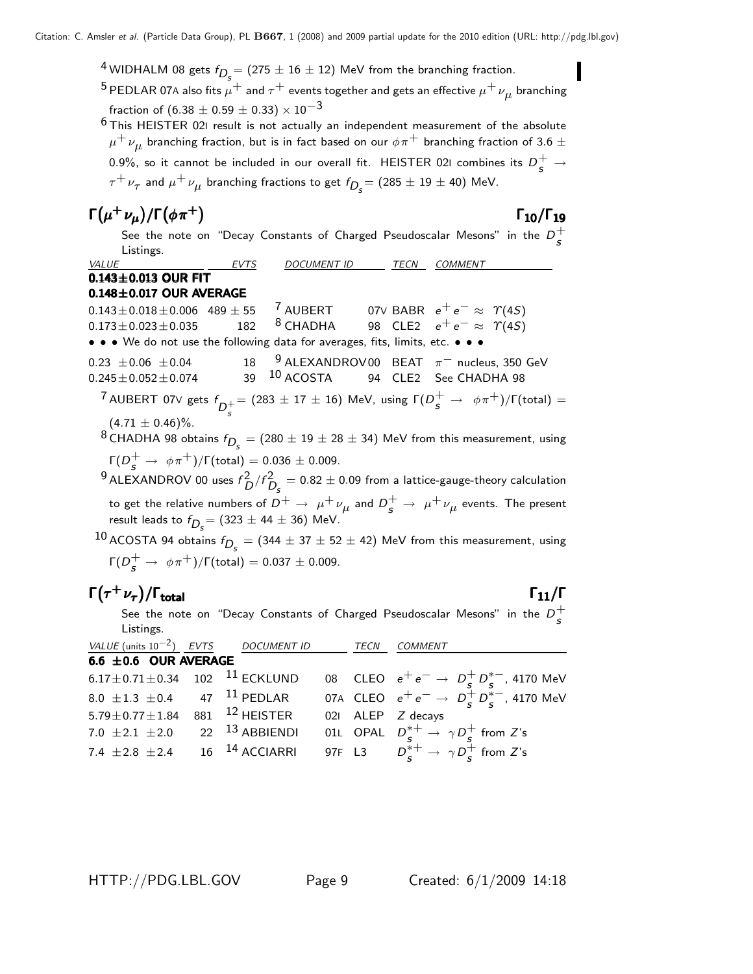$^4$ WIDHALM 08 gets  $f_{D_{\cal S}}^{} = (275 \pm 16 \pm 12)$  MeV from the branching fraction.

 $^5$  PEDLAR 07A also fits  $\mu^+$  and  $\tau^+$  events together and gets an effective  $\mu^+\nu_{\mu}$  branching fraction of (6.38  $\pm$  0.59  $\pm$  0.33)  $\times$  10<sup>-3</sup>

 $6$ This HEISTER 021 result is not actually an independent measurement of the absolute  $\mu^+\,\nu_{\mu}$  branching fraction, but is in fact based on our  $\phi\pi^+$  branching fraction of 3.6  $\pm$ 0.9%, so it cannot be included in our overall fit. <code>HEISTER</code> 021 combines its  $D_{\cal S}^+ \rightarrow$  $\tau^+\,\nu_\tau$  and  $\mu^+\,\nu_\mu$  branching fractions to get  $f_{\displaystyle D_s}^{}$   $=$  (285  $\pm$  19  $\pm$  40) MeV.

$$
\Gamma(\mu^+ \nu_\mu)/\Gamma(\phi \pi^+) \tag{10}/\Gamma_{19}
$$

### Γ10/Γ

See the note on "Decay Constants of Charged Pseudoscalar Mesons" in the  $D^+_\epsilon$ s Listings.

VALUE **EVTS** DOCUMENT ID TECN COMMENT 0.143±0.013 OUR FIT **0.148±0.017 OUR AVERAGE**<br>0.143±0.018±0.006 489 ± 55 0.143±0.018±0.006 489±55 <sup>7</sup> AUBERT 07∨ BABR  $e^+e^- \approx \Upsilon(4S)$ <br>0.173±0.023±0.035 182 <sup>8</sup> CHADHA 98 CLE2  $e^+e^- \approx \Upsilon(4S)$ 98 CLE2  $e^+e^- \approx \Upsilon(4S)$ • • • We do not use the following data for averages, fits, limits, etc. • • •  $0.23 \pm 0.06 \pm 0.04$  18 9 ALEXANDROV00 BEAT  $\pi^-$  nucleus, 350 GeV<br>  $0.245 \pm 0.052 \pm 0.074$  39 <sup>10</sup> ACOSTA 94 CLE2 See CHADHA 98 94 CLE2 See CHADHA 98  $^7$  AUBERT 07V gets  $f_{D_c^+} = (283 \pm 17 \pm 16)$  MeV, using  $\Gamma(D^+_s \rightarrow \ \phi \pi^+)/\Gamma({\rm total}) = 0$  $(4.71 \pm 0.46)\%$ .  $^8$ CHADHA 98 obtains  $f_{\displaystyle D_s^{}} = (280 \pm 19 \pm 28 \pm 34)$  MeV from this measurement, using  $Γ(D_s^+ → φπ^+) / Γ (total) = 0.036 ± 0.009.$  $^9$ ALEXANDROV 00 uses  $f_D^2/f_{D_S}^2 = 0.82 \pm 0.09$  from a lattice-gauge-theory calculation to get the relative numbers of  $D^+ \to~\mu^+\nu_\mu$  and  $D^+_s \to~\mu^+\nu_\mu$  events. The present result leads to  $f_{D_{\!S}}^{}=(323\pm44\pm36)\,$  MeV.

 $^{10}$  ACOSTA 94 obtains  $f_{\displaystyle D_s^{}} = (344 \pm 37 \pm 52 \pm 42)$  MeV from this measurement, using  $\Gamma(D_s^+ \to \phi \pi^+)/\Gamma(\text{total}) = 0.037 \pm 0.009.$ 

## $\Gamma(\tau^+\nu_\tau)/\Gamma_{\rm total}$  Γ<sub>11</sub>/Γ

See the note on "Decay Constants of Charged Pseudoscalar Mesons" in the  $D^+_\epsilon$ s Listings.

| VALUE (units $10^{-2}$ ) EVTS DOCUMENT ID            |                           | TECN | <b>COMMENT</b>                                                          |
|------------------------------------------------------|---------------------------|------|-------------------------------------------------------------------------|
| 6.6 $\pm$ 0.6 OUR AVERAGE                            |                           |      |                                                                         |
| 6.17 $\pm$ 0.71 $\pm$ 0.34 102 <sup>11</sup> ECKLUND |                           |      | 08 CLEO $e^+e^- \to D^+_s D^{*-}_s$ , 4170 MeV                          |
| 8.0 $\pm$ 1.3 $\pm$ 0.4 47 <sup>11</sup> PEDLAR      |                           |      | 07A CLEO $e^+e^- \rightarrow D^+_s D^{*-}_s$ , 4170 MeV                 |
| $5.79 \pm 0.77 \pm 1.84$                             | 881 <sup>12</sup> HEISTER |      | 021 ALEP Z decays                                                       |
| 7.0 $\pm 2.1 \pm 2.0$                                | 22 <sup>13</sup> ABBIENDI |      | 01L OPAL $D_s^{*+} \rightarrow \gamma D_s^+$ from Z's                   |
| 7.4 $\pm 2.8 \pm 2.4$                                | 16 <sup>14</sup> ACCIARRI |      | 97F L3 $D_{\epsilon}^{*+} \rightarrow \gamma D_{\epsilon}^{+}$ from Z's |
|                                                      |                           |      |                                                                         |

HTTP://PDG.LBL.GOV Page 9 Created: 6/1/2009 14:18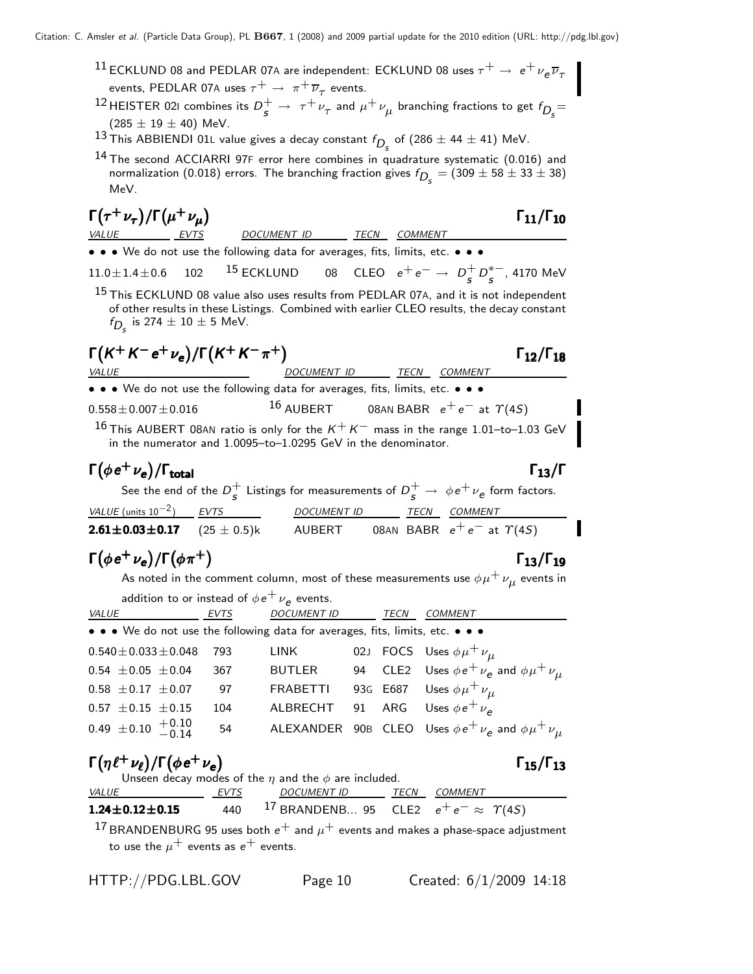- $^{11}$ ECKLUND 08 and PEDLAR 07A are independent: ECKLUND 08 uses  $\tau^+ \rightarrow\ e^+ \nu_e \overline{\nu}_\tau$ events, PEDLAR 07A uses  $\tau^+ \rightarrow \pi^+ \overline{\nu}_\tau$  events.
- $^{12}$ HEISTER 021 combines its  $D_s^+ \rightarrow \tau^+ \nu_\tau$  and  $\mu^+ \nu_\mu$  branching fractions to get  $f_{D_s}$  $(285 \pm 19 \pm 40)$  MeV.
- $^{13}$ This ABBIENDI 01L value gives a decay constant  $f_{D_{\cal S}}$  of (286  $\pm$  44  $\pm$  41) MeV.
- <sup>14</sup> The second ACCIARRI 97F error here combines in quadrature systematic (0.016) and normalization (0.018) errors. The branching fraction gives  $f_{D_{\cal S}}=(309\pm58\pm33\pm38)$ MeV.

| $\Gamma(\tau^+\nu_\tau)/\Gamma(\mu^+\nu_\mu)$                |                                                                               |             |             |                | $\Gamma_{11}/\Gamma_{10}$                                                                                                                                                                      |
|--------------------------------------------------------------|-------------------------------------------------------------------------------|-------------|-------------|----------------|------------------------------------------------------------------------------------------------------------------------------------------------------------------------------------------------|
| <i>VALUE</i><br><i>EVTS</i>                                  | DOCUMENT ID                                                                   | TECN        |             | <b>COMMENT</b> |                                                                                                                                                                                                |
|                                                              | • • • We do not use the following data for averages, fits, limits, etc. • • • |             |             |                |                                                                                                                                                                                                |
|                                                              |                                                                               |             |             |                | 11.0±1.4±0.6 102 <sup>15</sup> ECKLUND 08 CLEO $e^+e^- \to D_s^+D_s^{*-}$ , 4170 MeV                                                                                                           |
| $f_{D_c}$ is 274 $\pm$ 10 $\pm$ 5 MeV.                       |                                                                               |             |             |                | <sup>15</sup> This ECKLUND 08 value also uses results from PEDLAR 07A, and it is not independent<br>of other results in these Listings. Combined with earlier CLEO results, the decay constant |
| $\Gamma(K^+K^-e^+\nu_e)/\Gamma(K^+K^-\pi^+)$<br><b>VALUE</b> |                                                                               | DOCUMENT ID |             | TECN           | $\Gamma_{12}/\Gamma_{18}$<br><b>COMMENT</b>                                                                                                                                                    |
|                                                              | • • • We do not use the following data for averages, fits, limits, etc. • • • |             |             |                |                                                                                                                                                                                                |
| $0.558 \pm 0.007 \pm 0.016$                                  |                                                                               |             |             |                | 16 AUBERT 08AN BABR $e^+e^-$ at $\gamma(45)$                                                                                                                                                   |
|                                                              | in the numerator and 1.0095-to-1.0295 GeV in the denominator.                 |             |             |                | 16 This AUBERT 08AN ratio is only for the $K^+K^-$ mass in the range 1.01-to-1.03 GeV                                                                                                          |
| $\Gamma(\phi e^+ \nu_e)/\Gamma_{\rm total}$                  |                                                                               |             |             |                | $\Gamma_{13}/\Gamma$                                                                                                                                                                           |
|                                                              |                                                                               |             |             |                | See the end of the $D_c^+$ Listings for measurements of $D_c^+ \rightarrow \phi e^+ \nu_e$ form factors.                                                                                       |
| VALUE (units $10^{-2}$ ) EVTS                                |                                                                               | DOCUMENT ID | <b>TECN</b> |                | <b>COMMENT</b>                                                                                                                                                                                 |
| $2.61 \pm 0.03 \pm 0.17$                                     | $(25 \pm 0.5)$ k                                                              |             |             |                | AUBERT 08AN BABR $e^+e^-$ at $\Upsilon(4S)$                                                                                                                                                    |

## $\Gamma(\phi e^+ \nu_e)/\Gamma(\phi \pi^+)$  Γ<sub>13</sub>/Γ<sub>19</sub>

As noted in the comment column, most of these measurements use  $\phi\mu^+\,\nu_{\mu}^{}$  events in

| addition to or instead of $\phi e^+ \nu_e$ events.                            |             |                    |      |                                                                   |
|-------------------------------------------------------------------------------|-------------|--------------------|------|-------------------------------------------------------------------|
| VALUE                                                                         | <b>EVTS</b> | <b>DOCUMENT ID</b> | TECN | <b>COMMENT</b>                                                    |
| • • • We do not use the following data for averages, fits, limits, etc. • • • |             |                    |      |                                                                   |
| $0.540 \pm 0.033 \pm 0.048$                                                   | 793         | LINK               |      | 02J FOCS Uses $\phi\mu^+ \nu_\mu$                                 |
| $0.54 \pm 0.05 \pm 0.04$                                                      | 367         | <b>BUTLER</b>      |      | 94 CLE2 Uses $\phi e^+ \nu_e$ and $\phi \mu^+ \nu_\mu$            |
| $0.58 \pm 0.17 \pm 0.07$                                                      | 97          | <b>FRABETTI</b>    |      | 93G E687 Uses $\phi \mu^+ \nu_\mu$                                |
| $0.57 \pm 0.15 \pm 0.15$                                                      | 104         | ALBRECHT           |      | 91 ARG Uses $\phi e^+ \nu_e$                                      |
| 0.49 $\pm$ 0.10 $+$ 0.10                                                      | 54          |                    |      | ALEXANDER 90B CLEO Uses $\phi e^+ \nu_e$ and $\phi \mu^+ \nu_\mu$ |
|                                                                               |             |                    |      |                                                                   |

#### $\Gamma(\eta \ell^+ \nu_\ell)/\Gamma(\phi e^+ \nu_e)$   $\Gamma_{15}/\Gamma_{13}$ e) and  $\frac{15}{13}$

Unseen decay modes of the  $\eta$  and the  $\phi$  are included. VALUE EVTS DOCUMENT ID TECN COMMENT **1.24±0.12±0.15** 440 <sup>17</sup> BRANDENB... 95 CLE2  $e^+e^- \approx \Upsilon(4S)$ 

<sup>17</sup> BRANDENBURG 95 uses both  $e^+$  and  $\mu^+$  events and makes a phase-space adjustment to use the  $\mu^+$  events as  $e^+$  events.

 $\Gamma_{13}/\Gamma_{19}$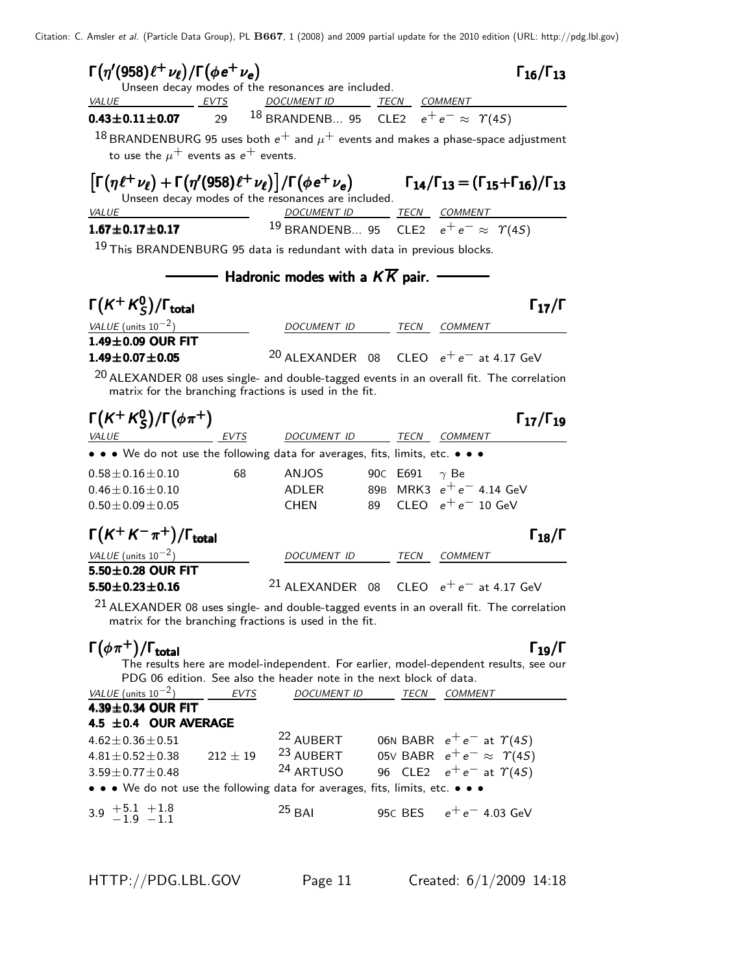| $\Gamma(\eta'(958)\ell^+\nu_{\ell})/\Gamma(\phi e^+\nu_{e})$                      | Unseen decay modes of the resonances are included.                  | $\Gamma_{16}/\Gamma_{13}$                                                                                                                                        |
|-----------------------------------------------------------------------------------|---------------------------------------------------------------------|------------------------------------------------------------------------------------------------------------------------------------------------------------------|
| <b>EVTS</b><br><b>VALUE</b>                                                       | DOCUMENT ID TECN COMMENT                                            |                                                                                                                                                                  |
| 29<br>$0.43 \pm 0.11 \pm 0.07$                                                    | <sup>18</sup> BRANDENB 95 CLE2 $e^+e^- \approx \Upsilon(45)$        |                                                                                                                                                                  |
| to use the $\mu^+$ events as $e^+$ events.                                        |                                                                     | $^{18}$ BRANDENBURG 95 uses both $e^+$ and $\mu^+$ events and makes a phase-space adjustment                                                                     |
|                                                                                   | Unseen decay modes of the resonances are included.                  | $\left \Gamma(\eta\ell^+\nu_\ell)+\Gamma(\eta'(958)\ell^+\nu_\ell)\right /\Gamma(\phi e^+\nu_e)$ $\Gamma_{14}/\Gamma_{13}=(\Gamma_{15}+\Gamma_{16})/\Gamma_{13}$ |
| VALUE                                                                             | DOCUMENT ID TECN COMMENT                                            |                                                                                                                                                                  |
| $1.67 \pm 0.17 \pm 0.17$                                                          |                                                                     | <sup>19</sup> BRANDENB 95 CLE2 $e^+e^- \approx \Upsilon(45)$                                                                                                     |
| <sup>19</sup> This BRANDENBURG 95 data is redundant with data in previous blocks. |                                                                     |                                                                                                                                                                  |
|                                                                                   | $\overline{\phantom{a}}$ Hadronic modes with a $KK$ pair.           |                                                                                                                                                                  |
| $\Gamma(K^+K^0_S)/\Gamma_{\rm total}$                                             |                                                                     | $\Gamma_{17}/\Gamma$                                                                                                                                             |
| VALUE (units $10^{-2}$ )                                                          | DOCUMENT ID TECN COMMENT                                            |                                                                                                                                                                  |
| $1.49\pm0.09$ OUR FIT<br>$1.49 \pm 0.07 \pm 0.05$                                 |                                                                     | <sup>20</sup> ALEXANDER 08 CLEO $e^+e^-$ at 4.17 GeV                                                                                                             |
|                                                                                   |                                                                     | $^{20}$ ALEXANDER 08 uses single- and double-tagged events in an overall fit. The correlation                                                                    |
| matrix for the branching fractions is used in the fit.                            |                                                                     |                                                                                                                                                                  |
| $\Gamma(K^+K^0_S)/\Gamma(\phi\pi^+)$                                              |                                                                     | $\Gamma_{17}/\Gamma_{19}$                                                                                                                                        |
| <u>EVTS</u><br><u>VALUE</u>                                                       | DOCUMENT ID TECN COMMENT                                            |                                                                                                                                                                  |
| • • • We do not use the following data for averages, fits, limits, etc. • • •     |                                                                     |                                                                                                                                                                  |
| $0.58 \pm 0.16 \pm 0.10$<br>68                                                    | ANJOS                                                               | 90C E691<br>$\gamma$ Be                                                                                                                                          |
| $0.46 \pm 0.16 \pm 0.10$                                                          | ADLER                                                               | 89B MRK3 $e^+e^-$ 4.14 GeV<br>CLEO $e^+e^-$ 10 GeV                                                                                                               |
| $0.50 \pm 0.09 \pm 0.05$                                                          | <b>CHEN</b><br>89                                                   |                                                                                                                                                                  |
| $\Gamma(K^+K^-\pi^+)/\Gamma_{\rm total}$                                          |                                                                     | $\Gamma_{18}/\Gamma$                                                                                                                                             |
| VALUE (units $10^{-2}$ )                                                          | DOCUMENT ID                                                         | TECN<br>COMMENT                                                                                                                                                  |
| 5.50±0.28 OUR FIT<br>$5.50 \pm 0.23 \pm 0.16$                                     |                                                                     | <sup>21</sup> ALEXANDER 08 CLEO $e^+e^-$ at 4.17 GeV                                                                                                             |
|                                                                                   |                                                                     |                                                                                                                                                                  |
| matrix for the branching fractions is used in the fit.                            |                                                                     | $21$ ALEXANDER 08 uses single- and double-tagged events in an overall fit. The correlation                                                                       |
| $\Gamma(\phi \pi^+) / \Gamma_{\text{total}}$                                      |                                                                     | $\Gamma_{19}/\Gamma$<br>The results here are model-independent. For earlier, model-dependent results, see our                                                    |
|                                                                                   | PDG 06 edition. See also the header note in the next block of data. |                                                                                                                                                                  |
| VALUE (units $10^{-2}$ )<br>EVTS                                                  | DOCUMENT ID TECN                                                    | COMMENT                                                                                                                                                          |
| 4.39±0.34 OUR FIT                                                                 |                                                                     |                                                                                                                                                                  |
| 4.5 ±0.4 OUR AVERAGE                                                              |                                                                     |                                                                                                                                                                  |
| $4.62 \pm 0.36 \pm 0.51$                                                          | <sup>23</sup> AUBERT                                                | <sup>22</sup> AUBERT 06N BABR $e^+e^-$ at $\gamma(4S)$                                                                                                           |
| $212 \pm 19$<br>$4.81 \pm 0.52 \pm 0.38$                                          | <sup>24</sup> ARTUSO                                                | 05V BABR $e^+e^- \approx \Upsilon(4S)$                                                                                                                           |
| $3.59 \pm 0.77 \pm 0.48$                                                          |                                                                     | 96 CLE2 $e^+e^-$ at $\Upsilon(4S)$                                                                                                                               |
| • • • We do not use the following data for averages, fits, limits, etc. • • •     |                                                                     |                                                                                                                                                                  |
| $3.9 \begin{array}{l} +5.1 \\ -1.9 \end{array}$ $-1.1$                            | $25$ BAI                                                            | 95C BES $e^+e^-$ 4.03 GeV                                                                                                                                        |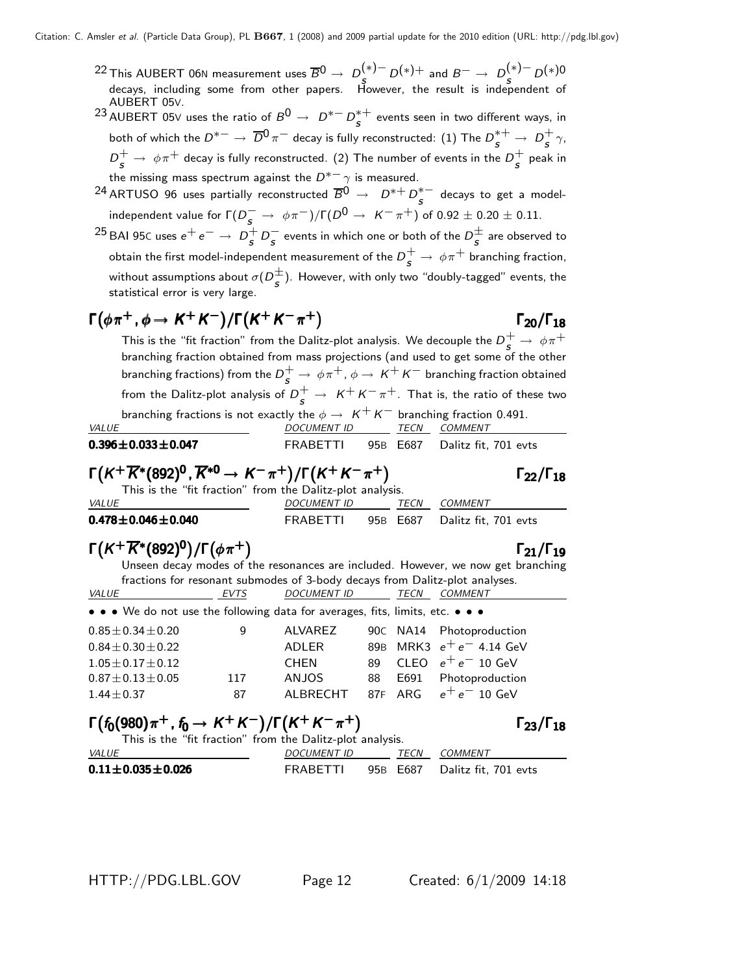$22$  This AUBERT 06N measurement uses  $\overline{B^0} \rightarrow D^{(*)-}_5 D^{(*)+}$  and  $B^- \rightarrow D^{(*)-}_5 D^{(*)-}$ decays, including some from other papers. However, the result is independent of AUBERT 05V.

<sup>23</sup> AUBERT 05∨ uses the ratio of  $B^0 \rightarrow D^{*-} D^{*+}_s$  events seen in two different ways, in both of which the  $D^{*-}\to\,\overline{D}{}^0\,\pi^-$  decay is fully reconstructed:  $(1)$  The  $D_S^{*+}\to\, D_S^+$  $\frac{+}{s}$   $\gamma$ ,  $D_{\cal S}^+\to\ \phi\pi^+$  decay is fully reconstructed. (2) The number of events in the  $D_{\cal S}^+$  $\frac{1}{s}$  peak in the missing mass spectrum against the  $D^{*+} \gamma$  is measured.

 $^{24}$ ARTUSO 96 uses partially reconstructed  $\overline{B}{}^0$   $\rightarrow$   $\;$   $D^{*+}$   $D^{*-}_{\bm{s}}\;$  decays to get a modelindependent value for  $\Gamma(D_S^- \to \phi \pi^-)/\Gamma(D^0 \to \, K^- \pi^+)$  of  $0.92 \pm 0.20 \pm 0.11.$ 

 $^{25}$  BAI 95C uses  $e^+e^-\rightarrow\,D^+_s$  $\frac{+}{s}$   $D_s^-$  events in which one or both of the  $D_s^{\pm}$  are observed to obtain the first model-independent measurement of the  $D_{\bm{s}}^+ \rightarrow \, \phi \pi^+$  branching fraction, without assumptions about  $\sigma(D_s^{\pm})$ . However, with only two "doubly-tagged" events, the statistical error is very large.

## $\Gamma(\phi \pi^+, \phi \to K^+ K^-)/\Gamma(K^+ K^- \pi^+)$   $\Gamma_{20}/\Gamma_{18}$

This is the "fit fraction" from the Dalitz-plot analysis. We decouple the  $D_{S_1}^+ \rightarrow \ \phi \pi^+$ branching fraction obtained from mass projections (and used to get some of the other branching fractions) from the  $D^+_{\bm{s}} \rightarrow \phi \pi^+, \phi \rightarrow \mathcal{K}^+ \, \mathcal{K}^-$  branching fraction obtained from the Dalitz-plot analysis of  $D_{\bm{s}}^+ \rightarrow~\mathcal{K}^+ \, \mathcal{K}^- \, \pi^+.$  That is, the ratio of these two branching fractions is not exactly the  $\phi \rightarrow K^+ K^-$  branching fraction 0.491.

| <b>VALUE</b>                | DOCUMENT ID | TFCN | COMMENT                       |
|-----------------------------|-------------|------|-------------------------------|
| $0.396 \pm 0.033 \pm 0.047$ | FRABETTI    |      | 95B E687 Dalitz fit, 701 evts |

# $\Gamma(K^+\overline{K}^*(892)^{\mathbf{0}}, \overline{K}^{*\mathbf{0}} \to K^-\pi^+) / \Gamma(K^+K^-\pi^+)$   $\Gamma_{22}/\Gamma_{18}$

|                               | This is the "fit fraction" from the Dalitz-plot analysis. |      |                               |
|-------------------------------|-----------------------------------------------------------|------|-------------------------------|
| <i>VALUE</i>                  | <i>DOCUMENT ID</i>                                        | TECN | COMMENT                       |
| 0.478 $\pm$ 0.046 $\pm$ 0.040 | FRABETTI                                                  |      | 95B E687 Dalitz fit. 701 evts |

# $\Gamma(K^+\overline{K}{}^*(892)^0)/\Gamma(\phi\pi^+)$  Γ<sub>21</sub>/Γ<sub>19</sub>

#### $\Gamma_{21}/\Gamma_{19}$

 $\Gamma_{22}/\Gamma_{18}$ 

¢Γ20/Γ

Unseen decay modes of the resonances are included. However, we now get branching fractions for resonant submodes of 3-body decays from Dalitz-plot analyses. <u>VALUE EVTS</u> DOCUMENT ID TECN COMMENT • • • We do not use the following data for averages, fits, limits, etc. • • •  $0.85 \pm 0.34 \pm 0.20$  9 ALVAREZ 90C NA14 Photoproduction<br> $0.84 \pm 0.30 \pm 0.22$  ADLER 89B MRK3  $e^+e^-$  4.14 GeV  $0.84 \pm 0.30 \pm 0.22$ <br>  $1.05 \pm 0.17 \pm 0.12$ <br>  $0.84 \pm 0.12$ <br>  $0.84 \pm 0.17 \pm 0.12$ <br>  $0.84 \pm 0.17 \pm 0.12$ <br>  $0.84 \pm 0.17 \pm 0.12$ <br>  $0.84 \pm 0.17 \pm 0.12$  $1.05 \pm 0.17 \pm 0.12$  CHEN 89 CLEO  $e^+ e^-$  10 GeV<br> $0.87 \pm 0.13 \pm 0.05$  117 ANJOS 88 E691 Photoproductic 0.87±0.13±0.05 117 ANJOS 88 E691 Photoproduction  $e^+e^-$  10 GeV

# $\Gamma(f_0(980)\pi^+, f_0 \to K^+K^-)/\Gamma(K^+K^-\pi^+)$   $\Gamma_{23}/\Gamma_{18}$

 $\Gamma_{23}/\Gamma_{18}$ 

| This is the "fit fraction" from the Dalitz-plot analysis. |             |      |                               |
|-----------------------------------------------------------|-------------|------|-------------------------------|
| <i>VALUE</i>                                              | DOCUMENT ID | TECN | COMMENT                       |
| $0.11 \pm 0.035 \pm 0.026$                                | FRABETTI    |      | 95B E687 Dalitz fit. 701 evts |

HTTP://PDG.LBL.GOV Page 12 Created: 6/1/2009 14:18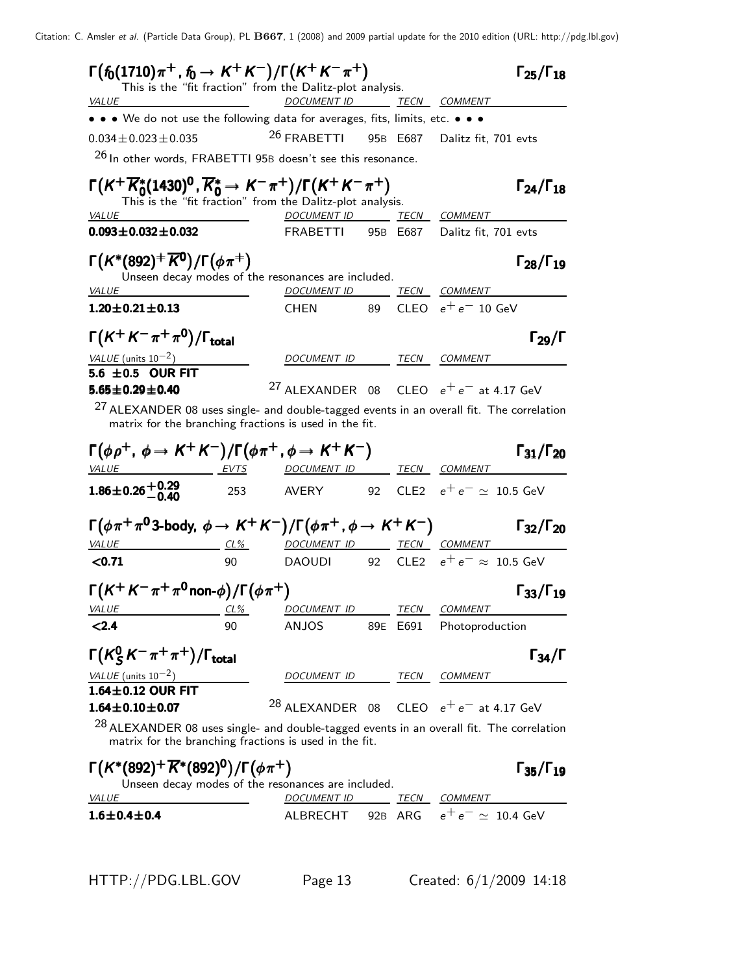| $\Gamma(f_0(1710)\pi^+, f_0 \to K^+K^-)/\Gamma(K^+K^-\pi^+)$                                      |            | This is the "fit fraction" from the Dalitz-plot analysis. |          | $\Gamma_{25}/\Gamma_{18}$                                                                           |
|---------------------------------------------------------------------------------------------------|------------|-----------------------------------------------------------|----------|-----------------------------------------------------------------------------------------------------|
| <i>VALUE</i>                                                                                      |            | DOCUMENT ID TECN COMMENT                                  |          |                                                                                                     |
| • • • We do not use the following data for averages, fits, limits, etc. • • •                     |            |                                                           |          |                                                                                                     |
| $0.034 \pm 0.023 \pm 0.035$                                                                       |            | <sup>26</sup> FRABETTI                                    |          | 95B E687 Dalitz fit, 701 evts                                                                       |
| $26$ In other words, FRABETTI 95B doesn't see this resonance.                                     |            |                                                           |          |                                                                                                     |
| $\Gamma(K^+\overline{K}^*_0(1430)^0, \overline{K}^*_0 \to K^-\pi^+)/\Gamma(K^+K^-\pi^+)$          |            | This is the "fit fraction" from the Dalitz-plot analysis. |          | $\Gamma_{24}/\Gamma_{18}$                                                                           |
| VALUE                                                                                             |            | DOCUMENT ID TECN COMMENT                                  |          |                                                                                                     |
| $0.093 \pm 0.032 \pm 0.032$                                                                       |            | FRABETTI                                                  |          | 95B E687 Dalitz fit, 701 evts                                                                       |
| $\Gamma(K^*(892)^+\overline{K^0})/\Gamma(\phi\pi^+)$                                              |            |                                                           |          | $\Gamma_{28}/\Gamma_{19}$                                                                           |
|                                                                                                   |            | Unseen decay modes of the resonances are included.        |          |                                                                                                     |
| <i>VALUE</i><br>$1.20 \pm 0.21 \pm 0.13$                                                          |            | DOCUMENT ID TECN COMMENT<br>CHEN 89                       |          | CLEO $e^+e^-$ 10 GeV                                                                                |
|                                                                                                   |            |                                                           |          |                                                                                                     |
| $\Gamma(K^+K^-\pi^+\pi^0)/\Gamma_{\rm total}$                                                     |            |                                                           |          | $\Gamma_{29}/\Gamma$                                                                                |
| VALUE (units $10^{-2}$ )                                                                          |            | DOCUMENT ID TECN COMMENT                                  |          |                                                                                                     |
| 5.6 $\pm$ 0.5 OUR FIT                                                                             |            |                                                           |          |                                                                                                     |
| $5.65 \pm 0.29 \pm 0.40$                                                                          |            |                                                           |          | <sup>27</sup> ALEXANDER 08 CLEO $e^+e^-$ at 4.17 GeV                                                |
| matrix for the branching fractions is used in the fit.                                            |            |                                                           |          | <sup>27</sup> ALEXANDER 08 uses single- and double-tagged events in an overall fit. The correlation |
| $\Gamma(\phi \rho^+, \phi \to K^+ K^-)/\Gamma(\phi \pi^+, \phi \to K^+ K^-)$                      |            |                                                           |          | $\Gamma_{31}/\Gamma_{20}$                                                                           |
| <u>VALUE EVTS</u>                                                                                 |            | <u>DOCUMENT ID _______ TECN __ COMMENT</u>                |          |                                                                                                     |
| $1.86\pm0.26\frac{+0.29}{-0.40}$                                                                  | 253        |                                                           |          | AVERY    92  CLE2 $e^+ \, e^- \simeq \;$ 10.5 GeV                                                   |
| $\Gamma(\phi\pi^+\pi^{\mathsf{0}}$ 3-body, $\phi\to K^+K^-)/\Gamma(\phi\pi^+$ , $\phi\to K^+K^-)$ |            |                                                           |          | $\Gamma_{32}/\Gamma_{20}$                                                                           |
| $CL\%$<br><i>VALUE</i>                                                                            |            | DOCUMENT ID TECN COMMENT                                  |          |                                                                                                     |
| < 0.71                                                                                            | 90         |                                                           |          | DAOUDI 92 CLE2 $e^+e^-\approx\,10.5$ GeV                                                            |
| $\Gamma(K^+K^-\pi^+\pi^0$ non- $\phi$ )/ $\Gamma(\phi\pi^+)$                                      |            |                                                           |          | $\Gamma_{33}/\Gamma_{19}$                                                                           |
| <u>VALUE</u>                                                                                      | <u>CL%</u> | <u>DOCUMENT ID ______ TECN __ COMMENT</u>                 |          |                                                                                                     |
| < 2.4                                                                                             | 90         | ANJOS                                                     | 89E E691 | Photoproduction                                                                                     |
| $\Gamma(K_S^0 K^- \pi^+ \pi^+) / \Gamma_{\text{total}}$                                           |            |                                                           |          | $\Gamma_{34}/\Gamma$                                                                                |
| VALUE (units $10^{-2}$ )                                                                          |            | DOCUMENT ID TECN COMMENT                                  |          |                                                                                                     |
| $1.64 \pm 0.12$ OUR FIT                                                                           |            |                                                           |          |                                                                                                     |
| $1.64 \pm 0.10 \pm 0.07$                                                                          |            |                                                           |          | <sup>28</sup> ALEXANDER 08 CLEO $e^+e^-$ at 4.17 GeV                                                |
| matrix for the branching fractions is used in the fit.                                            |            |                                                           |          | $^{28}$ ALEXANDER 08 uses single- and double-tagged events in an overall fit. The correlation       |
| $\Gamma(K^*(892)^+\overline{K}^*(892)^0)/\Gamma(\phi\pi^+)$                                       |            | Unseen decay modes of the resonances are included.        |          | $\Gamma_{35}/\Gamma_{19}$                                                                           |
| <b>VALUE</b>                                                                                      |            |                                                           |          | DOCUMENT ID TECN COMMENT                                                                            |
| $1.6 \pm 0.4 \pm 0.4$                                                                             |            | ALBRECHT                                                  |          | 92B ARG $e^+e^- \simeq 10.4$ GeV                                                                    |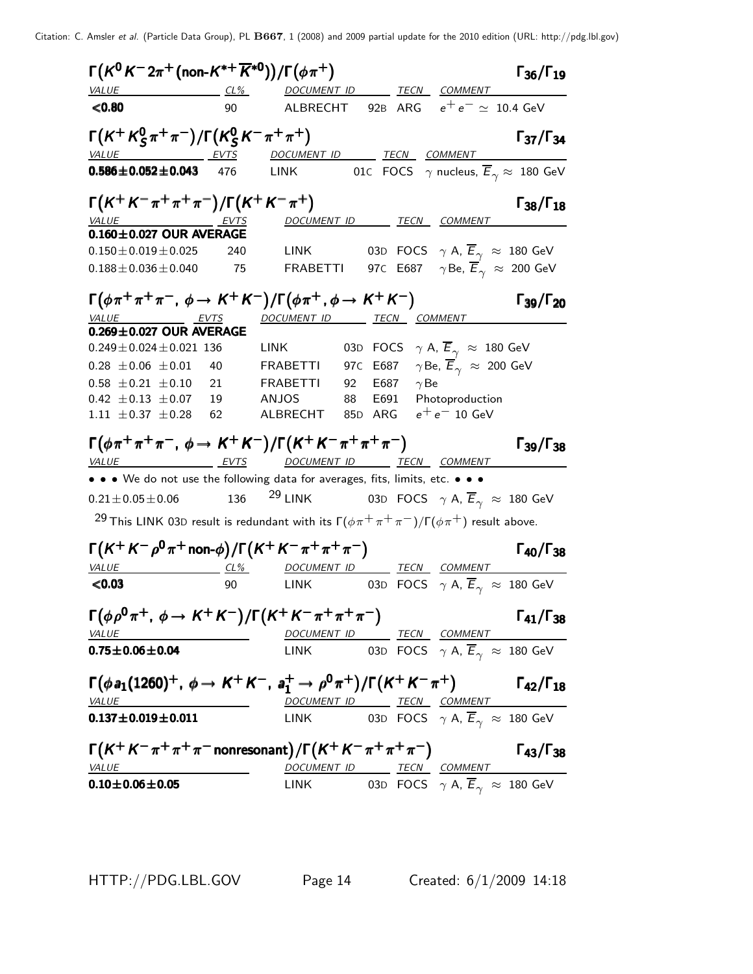| $\Gamma(K^0 K^- 2\pi^+ \text{(non-K^{*+} \overline{K}^{*0})})/\Gamma(\phi \pi^+)$                      |        | $\Gamma_{36}/\Gamma_{19}$                                                                                                                                  |
|--------------------------------------------------------------------------------------------------------|--------|------------------------------------------------------------------------------------------------------------------------------------------------------------|
| <b>VALUE</b>                                                                                           |        | <u>CL% DOCUMENT ID TECN COMMENT</u>                                                                                                                        |
| < 0.80                                                                                                 | 90     | ALBRECHT 92B ARG $e^+e^- \simeq 10.4$ GeV                                                                                                                  |
| $\Gamma(K^+ K^0_S \pi^+ \pi^-)/\Gamma(K^0_S K^- \pi^+ \pi^+)$<br>VALUE EVTS                            |        | $\Gamma_{37}/\Gamma_{34}$<br>DOCUMENT ID TECN COMMENT                                                                                                      |
| $0.586 \pm 0.052 \pm 0.043$ 476                                                                        |        | LINK 610 FOCS $\gamma$ nucleus, $\overline{E}_{\gamma} \approx 180$ GeV                                                                                    |
| $\Gamma(K^+K^-\pi^+\pi^+\pi^-)/\Gamma(K^+K^-\pi^+)$                                                    |        | $\Gamma_{38}/\Gamma_{18}$                                                                                                                                  |
|                                                                                                        |        | DOCUMENT ID TECN COMMENT                                                                                                                                   |
| $\frac{\text{VALUE}}{\text{0.160} \pm \text{0.027}} \frac{\text{EVTS}}{\text{D.160} \pm \text{0.027}}$ |        |                                                                                                                                                            |
| $0.150 \pm 0.019 \pm 0.025$                                                                            | 240    | <b>LINK</b>                                                                                                                                                |
| $0.188 \pm 0.036 \pm 0.040$ 75                                                                         |        | 03D FOCS $\gamma$ A, $\overline{E}_{\gamma} \approx 180$ GeV<br>97C E687 $\gamma$ Be, $\overline{E}_{\gamma} \approx 200$ GeV<br>FRABETTI                  |
|                                                                                                        |        | $\Gamma(\phi \pi^+ \pi^+ \pi^-$ , $\phi \rightarrow K^+ K^-)/\Gamma(\phi \pi^+$ , $\phi \rightarrow K^+ K^-)$<br>$\Gamma_{39}/\Gamma_{20}$                 |
| <b>EVTS</b><br><i>VALUE</i>                                                                            |        | DOCUMENT ID TECN COMMENT                                                                                                                                   |
| $0.269 \pm 0.027$ OUR AVERAGE                                                                          |        |                                                                                                                                                            |
| $0.249 \pm 0.024 \pm 0.021$ 136                                                                        |        | 03D FOCS $\gamma$ A, $\overline{E}_{\gamma} \approx 180$ GeV<br><b>LINK</b>                                                                                |
| $0.28 \pm 0.06 \pm 0.01$                                                                               | 40     |                                                                                                                                                            |
| $0.58 \pm 0.21 \pm 0.10$                                                                               | 21     | 92 E687 $\gamma$ Be<br>FRABETTI                                                                                                                            |
| $0.42 \pm 0.13 \pm 0.07$                                                                               | 19     | 88<br>E691 Photoproduction<br>ANJOS                                                                                                                        |
| 1.11 $\pm$ 0.37 $\pm$ 0.28                                                                             | 62     | ALBRECHT 85D ARG $e^+e^-$ 10 GeV                                                                                                                           |
|                                                                                                        |        |                                                                                                                                                            |
| VALUE                                                                                                  |        | $\Gamma(\phi \pi^+ \pi^+ \pi^-$ , $\phi \to K^+ K^-)/\Gamma(K^+ K^- \pi^+ \pi^+ \pi^-)$<br>$\Gamma$ <sub>39</sub> / $\Gamma$ <sub>38</sub><br>TECN COMMENT |
| <u>EVTS</u>                                                                                            |        | DOCUMENT ID<br>• • • We do not use the following data for averages, fits, limits, etc. • • •                                                               |
| $0.21 \pm 0.05 \pm 0.06$                                                                               | 136    |                                                                                                                                                            |
|                                                                                                        |        | $29$ LINK<br>03D FOCS $\gamma$ A, $\overline{E}_{\gamma} \approx 180$ GeV                                                                                  |
|                                                                                                        |        | <sup>29</sup> This LINK 03D result is redundant with its $\Gamma(\phi \pi^+ \pi^+ \pi^-)/\Gamma(\phi \pi^+)$ result above.                                 |
|                                                                                                        |        | $\Gamma(K^+K^-\rho^0\pi^+$ non- $\phi$ ) / $\Gamma(K^+K^-\pi^+\pi^+\pi^-)$<br>$\Gamma_{40}/\Gamma_{38}$                                                    |
| <i>VALUE</i>                                                                                           | $CL\%$ | DOCUMENT ID TECN COMMENT                                                                                                                                   |
| < 0.03                                                                                                 | 90     | 03D FOCS $\gamma$ A, $\overline{E}_{\gamma} \approx 180$ GeV<br>LINK                                                                                       |
|                                                                                                        |        | $\Gamma(\phi \rho^0 \pi^+, \phi \to K^+ K^-)/\Gamma(K^+ K^- \pi^+ \pi^+ \pi^-)$<br>$\Gamma_{41}/\Gamma_{38}$                                               |
| <i>VALUE</i>                                                                                           |        | DOCUMENT ID TECN COMMENT                                                                                                                                   |
| $0.75 \pm 0.06 \pm 0.04$                                                                               |        | LINK 03D FOCS $\gamma$ A, $\overline{E}_{\gamma} \approx 180$ GeV                                                                                          |
|                                                                                                        |        | $\Gamma(\phi a_1(1260)^+, \phi \to K^+K^-, a_1^+ \to \rho^0 \pi^+)/\Gamma(K^+K^-\pi^+)$<br>$\Gamma_{42}/\Gamma_{18}$                                       |
| <b>VALUE</b>                                                                                           |        | DOCUMENT ID TECN COMMENT                                                                                                                                   |
| $0.137 \pm 0.019 \pm 0.011$                                                                            |        | 03D FOCS $\gamma$ A, $\overline{E}_{\gamma}$ $\approx$ 180 GeV<br>LINK                                                                                     |
|                                                                                                        |        | $\Gamma(K^+K^-\pi^+\pi^+\pi^-$ nonresonant)/ $\Gamma(K^+K^-\pi^+\pi^+\pi^-)$<br>$\Gamma_{43}/\Gamma_{38}$                                                  |
| <b>VALUE</b><br>$0.10 \pm 0.06 \pm 0.05$                                                               |        | DOCUMENT ID TECN COMMENT<br>03D FOCS $\gamma$ A, $\overline{E}_{\gamma}$ $\approx$ 180 GeV<br>LINK                                                         |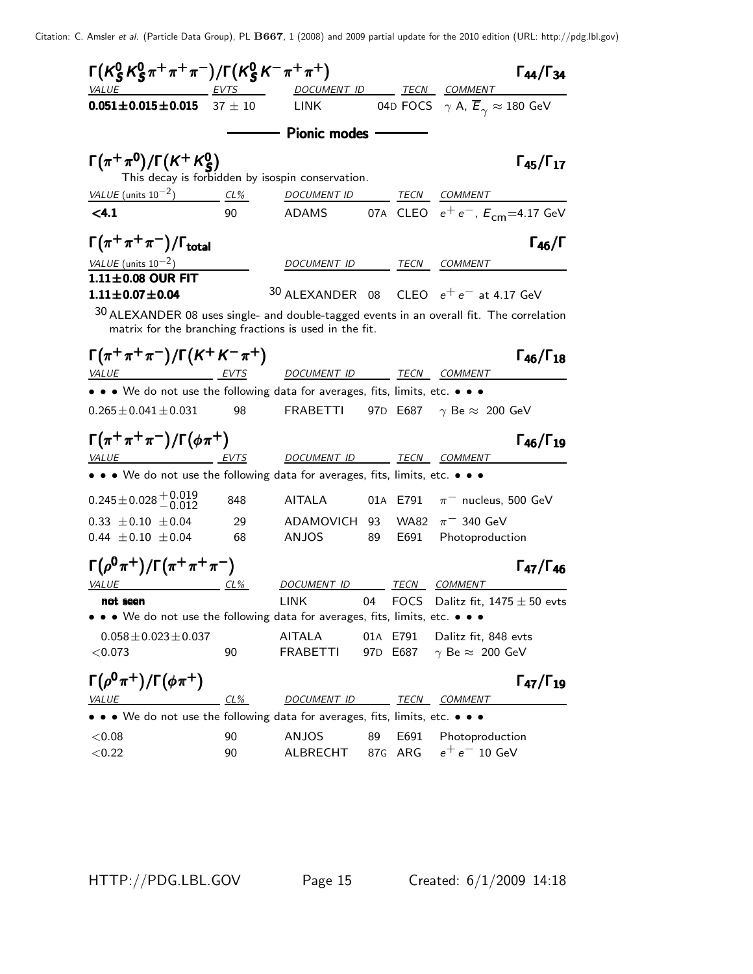| $\Gamma(K_S^0 K_S^0 \pi^+ \pi^+ \pi^-)/\Gamma(K_S^0 K^- \pi^+ \pi^+)$                                                                                |        |                                                                                                     |     |                      |                                                              | $\Gamma_{44}/\Gamma_{34}$ |
|------------------------------------------------------------------------------------------------------------------------------------------------------|--------|-----------------------------------------------------------------------------------------------------|-----|----------------------|--------------------------------------------------------------|---------------------------|
| VALUE EVTS DOCUMENT ID TECN COMMENT                                                                                                                  |        |                                                                                                     |     |                      |                                                              |                           |
| $0.051 \pm 0.015 \pm 0.015$ 37 $\pm$ 10 LINK                                                                                                         |        |                                                                                                     |     |                      | 04D FOCS $\gamma$ A, $\overline{E}_{\gamma} \approx 180$ GeV |                           |
|                                                                                                                                                      |        | <b>Nomic modes</b>                                                                                  |     |                      |                                                              |                           |
| $\Gamma(\pi^+\pi^0)/\Gamma(K^+K^0_S)$                                                                                                                |        | This decay is forbidden by isospin conservation.                                                    |     |                      |                                                              | $\Gamma_{45}/\Gamma_{17}$ |
| VALUE (units $10^{-2}$ )                                                                                                                             | CL%    | DOCUMENT ID TECN COMMENT                                                                            |     |                      |                                                              |                           |
| < 4.1                                                                                                                                                | 90     | ADAMS             07A    CLEO     e <sup>+</sup> e <sup>-</sup> , $E_{cm}$ =4.17  GeV               |     |                      |                                                              |                           |
| $\Gamma(\pi^+\pi^+\pi^-)/\Gamma_{\rm total}$                                                                                                         |        |                                                                                                     |     |                      |                                                              | $\Gamma_{46}/\Gamma$      |
| VALUE (units $10^{-2}$ )                                                                                                                             |        | DOCUMENT ID TECN COMMENT                                                                            |     |                      |                                                              |                           |
| $1.11\pm0.08$ OUR FIT                                                                                                                                |        |                                                                                                     |     |                      |                                                              |                           |
| $1.11 \pm 0.07 \pm 0.04$                                                                                                                             |        | $30$ ALEXANDER 08 CLEO $e^+e^-$ at 4.17 GeV                                                         |     |                      |                                                              |                           |
| $30$ ALEXANDER 08 uses single- and double-tagged events in an overall fit. The correlation<br>matrix for the branching fractions is used in the fit. |        |                                                                                                     |     |                      |                                                              |                           |
| $\Gamma(\pi^+\pi^+\pi^-)/\Gamma(K^+K^-\pi^+)$                                                                                                        |        |                                                                                                     |     |                      |                                                              | $\Gamma_{46}/\Gamma_{18}$ |
| <u>VALUE EVTS</u> DOCUMENT ID TECN COMMENT                                                                                                           |        |                                                                                                     |     |                      |                                                              |                           |
| • • • We do not use the following data for averages, fits, limits, etc. • • •                                                                        |        |                                                                                                     |     |                      |                                                              |                           |
| $0.265 \pm 0.041 \pm 0.031$ 98                                                                                                                       |        | <code>FRABETTI</code> 97D <code>E687</code> $\gamma$ <code>Be</code> $\approx$ <code>200 GeV</code> |     |                      |                                                              |                           |
| $\Gamma(\pi^+\pi^+\pi^-)/\Gamma(\phi\pi^+)$                                                                                                          |        |                                                                                                     |     |                      |                                                              | $\Gamma_{46}/\Gamma_{19}$ |
| <u>VALUE EVTS</u>                                                                                                                                    |        | DOCUMENT ID TECN COMMENT                                                                            |     |                      |                                                              |                           |
| • • • We do not use the following data for averages, fits, limits, etc. • • •                                                                        |        |                                                                                                     |     |                      |                                                              |                           |
| $0.245 \pm 0.028 \begin{array}{l} +0.019 \\ -0.012 \end{array}$                                                                                      | 848    | AITALA                                                                                              |     |                      | 01A E791 $\pi^-$ nucleus, 500 GeV                            |                           |
| $0.33 \pm 0.10 \pm 0.04$                                                                                                                             | 29     | ADAMOVICH 93                                                                                        |     |                      | WA82 $\pi^-$ 340 GeV                                         |                           |
| 0.44 $\pm$ 0.10 $\pm$ 0.04                                                                                                                           | 68     | ANJOS                                                                                               | 89  | E691                 | Photoproduction                                              |                           |
| $\Gamma(\rho^0\pi^+)/\Gamma(\pi^+\pi^+\pi^-)$                                                                                                        |        |                                                                                                     |     |                      |                                                              | $\Gamma_{47}/\Gamma_{46}$ |
| $VALUE$ $CL\%$                                                                                                                                       |        | DOCUMENT ID TECN COMMENT                                                                            |     |                      |                                                              |                           |
| not seen <b>that is a set of the see</b>                                                                                                             |        | LINK 04 FOCS Dalitz fit, $1475 \pm 50$ evts                                                         |     |                      |                                                              |                           |
| • • • We do not use the following data for averages, fits, limits, etc. • • •                                                                        |        |                                                                                                     |     |                      |                                                              |                           |
| $0.058 \pm 0.023 \pm 0.037$<br>< 0.073                                                                                                               | 90     | <b>AITALA</b><br><b>FRABETTI</b>                                                                    |     | 01A E791<br>97D E687 | Dalitz fit, 848 evts<br>$\gamma$ Be $\approx$ 200 GeV        |                           |
|                                                                                                                                                      |        |                                                                                                     |     |                      |                                                              |                           |
| $\Gamma(\rho^0\pi^+) / \Gamma(\phi\pi^+)$<br>VALUE                                                                                                   | $CL\%$ | DOCUMENT ID                                                                                         |     | TECN                 | COMMENT                                                      | $\Gamma_{47}/\Gamma_{19}$ |
| • • • We do not use the following data for averages, fits, limits, etc. • • •                                                                        |        |                                                                                                     |     |                      |                                                              |                           |
| < 0.08                                                                                                                                               | 90     | <b>ANJOS</b>                                                                                        | 89  | E691                 | Photoproduction                                              |                           |
| < 0.22                                                                                                                                               | 90     | <b>ALBRECHT</b>                                                                                     | 87G | ARG                  | $e^+e^-$ 10 GeV                                              |                           |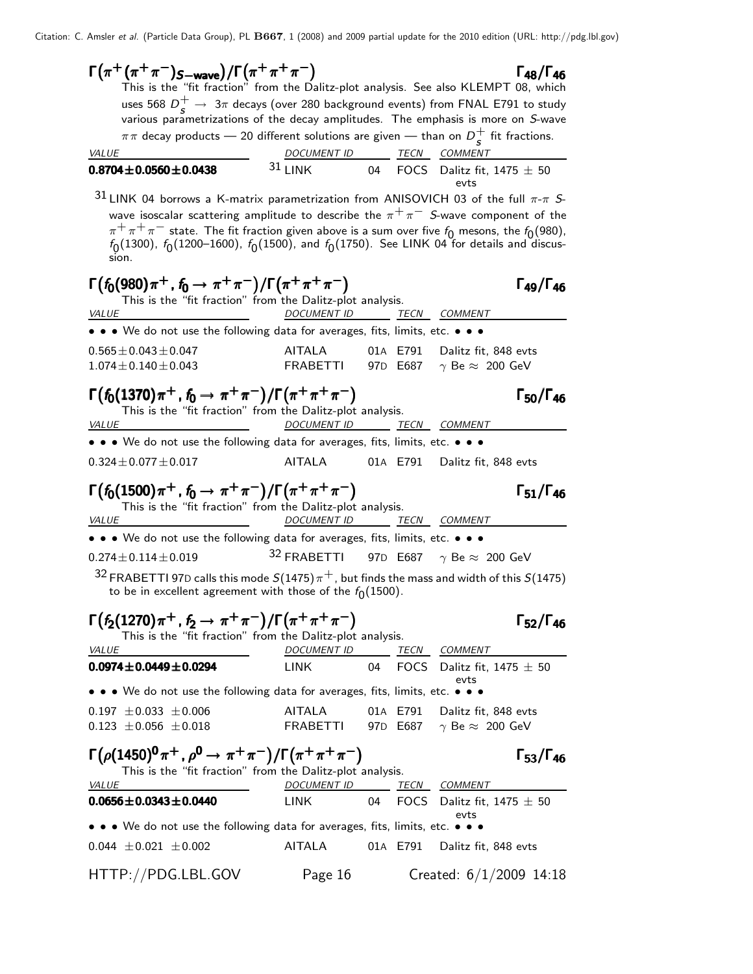$\Gamma(\pi^+\pi^-\gamma^-)$ <sub>S-wave</sub> $)/\Gamma(\pi^+\pi^+\pi^-)$   $\Gamma_{48}/\Gamma_{46}$  $\Gamma_{48}/\Gamma_{46}$ This is the "fit fraction" from the Dalitz-plot analysis. See also KLEMPT 08, which uses 568  $D_s^+ \rightarrow 3\pi$  decays (over 280 background events) from FNAL E791 to study various parametrizations of the decay amplitudes. The emphasis is more on S-wave  $\pi\pi$  decay products — 20 different solutions are given — than on  $D_\epsilon^+$  $\frac{1}{s}$  fit fractions. VALUE **DOCUMENT ID TECN COMMENT 0.8704±0.0560±0.0438**  $31$  LINK 04 FOCS Dalitz fit, 1475  $\pm$  50 evts  $31$  LINK 04 borrows a K-matrix parametrization from ANISOVICH 03 of the full  $\pi$ - $\pi$  Swave isoscalar scattering amplitude to describe the  $\pi^+\pi^-$  S-wave component of the  $\pi^+ \pi^+ \pi^-$  state. The fit fraction given above is a sum over five  $f_0$  mesons, the  $f_0(980)$ ,  $f_{\rm 0}(1300)$ ,  $f_{\rm 0}(1200\text{--}1600)$ ,  $f_{\rm 0}(1500)$ , and  $f_{\rm 0}(1750)$ . See LINK 04 for details and discussion.  $\Gamma(f_0(980)\pi^+, f_0 \to \pi^+\pi^-)/\Gamma(\pi^+\pi^+\pi^-)$   $\Gamma_{49}/\Gamma_{46}$  $\Gamma_{49}/\Gamma_{46}$ This is the "fit fraction" from the Dalitz-plot analysis. VALUE **DOCUMENT ID** TECN COMMENT • • • We do not use the following data for averages, fits, limits, etc. • •  $0.565 \pm 0.043 \pm 0.047$ <br> $1.074 \pm 0.140 \pm 0.043$ <br> $0.043$ <br> $0.074 \pm 0.140 \pm 0.043$ <br> $0.043$ <br> $0.043$ <br> $0.043$ <br> $0.043$ <br> $0.043$ <br> $0.043$ <br> $0.043$ <br> $0.043$ <br> $0.043$ <br> $0.043$ <br> $0.043$  $1.074 \pm 0.140 \pm 0.043$  $\Gamma(f_0(1370)\pi^+$  ,  $f_0 \to \pi^+\pi^-)/\Gamma(\pi^+\pi^+\pi^-)$   $\Gamma_{50}/\Gamma_{46}$  $\Gamma_{50}/\Gamma_{46}$ This is the "fit fraction" from the Dalitz-plot analysis. VALUE DOCUMENT ID TECN COMMENT • • • We do not use the following data for averages, fits, limits, etc. • • •  $0.324 \pm 0.077 \pm 0.017$  AITALA 01A E791 Dalitz fit, 848 evts  $\Gamma(f_0(1500)\pi^+$ ,  $f_0 \to \pi^+\pi^-)/\Gamma(\pi^+\pi^+\pi^-)$   $\Gamma_{51}/\Gamma_{46}$  $\Gamma_{51}/\Gamma_{46}$ This is the "fit fraction" from the Dalitz-plot analysis.<br>DOCUMENT ID 7 VALUE DOCUMENT ID TECN COMMENT • • • We do not use the following data for averages, fits, limits, etc. • • •  $0.274 \pm 0.114 \pm 0.019$  3<sup>2</sup> FRABETTI 97D E687  $\gamma$  Be  $\approx 200$  GeV  $32$  FRABETTI 97D calls this mode  $S(1475)\pi^+$ , but finds the mass and width of this  $S(1475)$ to be in excellent agreement with those of the  $f_{\mathbf{0}}(1500).$  $\Gamma(f_2(1270)\pi^+$ ,  $f_2 \to \pi^+\pi^-)/\Gamma(\pi^+\pi^+\pi^-)$   $\Gamma_{52}/\Gamma_{46}$  $\Gamma_{52}/\Gamma_{46}$ This is the "fit fraction" from the Dalitz-plot analysis. VALUE 2000 DOCUMENT ID TECN COMMENT **0.0974** $\pm$ **0.0449** $\pm$ **0.0294** LINK 04 FOCS Dalitz fit, 1475  $\pm$  50 evts • • • We do not use the following data for averages, fits, limits, etc. • • • 0.197  $\pm$ 0.033  $\pm$ 0.006 AITALA 01A E791 Dalitz fit, 848 evts<br>0.123  $\pm$ 0.056  $\pm$ 0.018 FRABETTI 97D E687  $\gamma$  Be  $\approx$  200 GeV  $0.123 \pm 0.056 \pm 0.018$ Γ ¡ ρ(1450)<sup>0</sup> π <sup>+</sup> , ρ <sup>0</sup> → π <sup>+</sup> π − ¢ /Γ¡ π <sup>+</sup> π <sup>+</sup> π − ¢ Γ53/Γ<sup>46</sup> ρ<sup>0</sup> π<sup>+</sup> ρ<sup>0</sup> π<sup>+</sup> π<sup>−</sup> π<sup>+</sup> π<sup>+</sup> π<sup>−</sup> Γ <sup>5346</sup>¡ ρ(1450)<sup>0</sup> π <sup>+</sup> , ρ 0 → + − ¢ /Γ¡ <sup>+</sup> π<sup>+</sup> <sup>−</sup> ¢ Γ53/Γ ρ<sup>0</sup> π<sup>+</sup> ρ<sup>0</sup> <sup>+</sup> <sup>−</sup> <sup>+</sup> π<sup>+</sup> <sup>−</sup>  $\Gamma_{53}/\Gamma_{46}$ This is the "fit fraction" from the Dalitz-plot analysis. VALUE **Example 2012 COMMENT DE COMMENT ID** TECN COMMENT **0.0656** $\pm$ **0.0343** $\pm$ **0.0440** LINK 04 FOCS Dalitz fit, 1475  $\pm$  50 evts • • • We do not use the following data for averages, fits, limits, etc. • • • 0.044  $\pm$  0.021  $\pm$  0.002 AITALA 01A E791 Dalitz fit, 848 evts HTTP://PDG.LBL.GOV Page 16 Created: 6/1/2009 14:18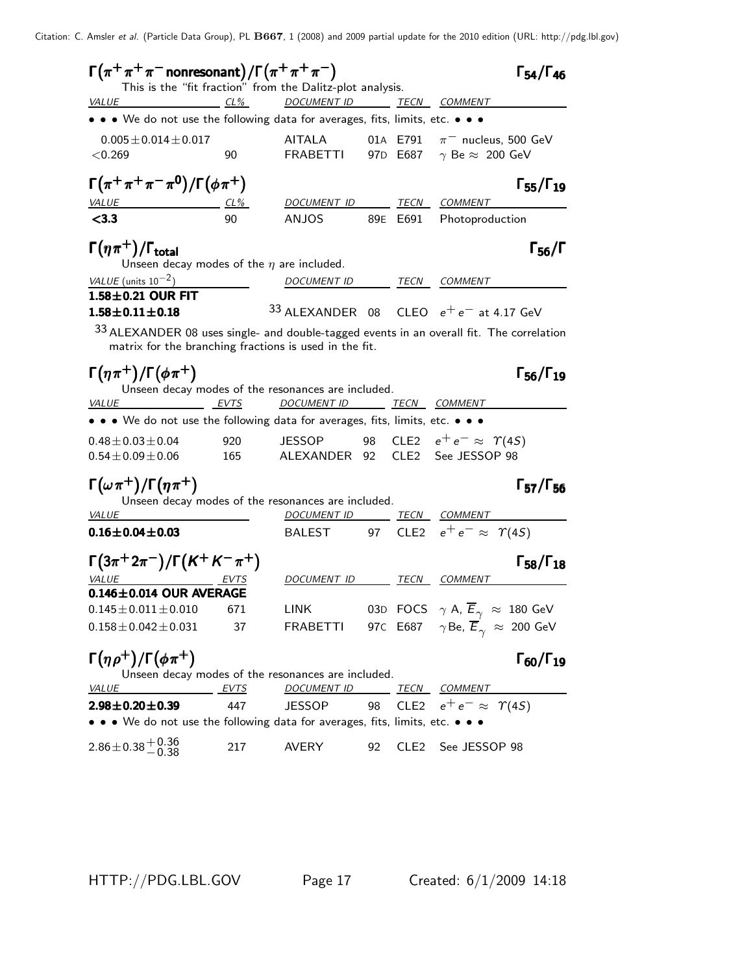| $\Gamma(\pi^+\pi^+\pi^-$ nonresonant) / $\Gamma(\pi^+\pi^+\pi^-)$                               |                |                                                                                       |    |          | $\Gamma_{54}/\Gamma_{46}$                                                                                                                                                   |
|-------------------------------------------------------------------------------------------------|----------------|---------------------------------------------------------------------------------------|----|----------|-----------------------------------------------------------------------------------------------------------------------------------------------------------------------------|
| <b>VALUE</b><br>$CL\%$                                                                          |                | This is the "fit fraction" from the Dalitz-plot analysis.<br>DOCUMENT ID TECN COMMENT |    |          |                                                                                                                                                                             |
| • • • We do not use the following data for averages, fits, limits, etc. • • •                   |                |                                                                                       |    |          |                                                                                                                                                                             |
| $0.005 \pm 0.014 \pm 0.017$                                                                     |                | AITALA                                                                                |    |          | 01A E791 $\pi^-$ nucleus, 500 GeV                                                                                                                                           |
| < 0.269                                                                                         | 90             | <b>FRABETTI</b>                                                                       |    |          | 97D E687 $\gamma$ Be $\approx$ 200 GeV                                                                                                                                      |
| $\Gamma(\pi^+\pi^+\pi^-\pi^0)/\Gamma(\phi\pi^+)$                                                |                |                                                                                       |    |          | $\Gamma_{55}/\Gamma_{19}$                                                                                                                                                   |
| <b>VALUE</b><br>$\frac{CL\%}{90}$                                                               |                | DOCUMENT ID TECN COMMENT                                                              |    |          |                                                                                                                                                                             |
| < 3.3                                                                                           |                | <b>ANJOS</b>                                                                          |    | 89E E691 | Photoproduction                                                                                                                                                             |
| $\Gamma(\eta\pi^+)$ / $\Gamma_{\text{total}}$<br>Unseen decay modes of the $\eta$ are included. |                |                                                                                       |    |          | $\Gamma_{56}/\Gamma$                                                                                                                                                        |
| VALUE (units $10^{-2}$ )                                                                        |                | DOCUMENT ID                                                                           |    |          | TECN COMMENT                                                                                                                                                                |
| $1.58\pm0.21$ OUR FIT                                                                           |                |                                                                                       |    |          |                                                                                                                                                                             |
| $1.58 \pm 0.11 \pm 0.18$                                                                        |                |                                                                                       |    |          | 33 ALEXANDER 08 CLEO $e^+e^-$ at 4.17 GeV                                                                                                                                   |
| matrix for the branching fractions is used in the fit.                                          |                |                                                                                       |    |          | <sup>33</sup> ALEXANDER 08 uses single- and double-tagged events in an overall fit. The correlation                                                                         |
| $\Gamma(\eta \pi^+) / \Gamma(\phi \pi^+)$                                                       |                | Unseen decay modes of the resonances are included.                                    |    |          | $\Gamma_{56}/\Gamma_{19}$                                                                                                                                                   |
| <u>EVTS</u><br><i>VALUE</i>                                                                     |                | <u>DOCUMENT ID TECN COMMENT</u>                                                       |    |          |                                                                                                                                                                             |
| • • • We do not use the following data for averages, fits, limits, etc. • • •                   |                |                                                                                       |    |          |                                                                                                                                                                             |
| $0.48 \pm 0.03 \pm 0.04$                                                                        | 920            | JESSOP                                                                                |    |          | 98 CLE2 $e^+e^- \approx \Upsilon(45)$                                                                                                                                       |
| $0.54 \pm 0.09 \pm 0.06$                                                                        | 165            | ALEXANDER 92                                                                          |    |          | CLE2 See JESSOP 98                                                                                                                                                          |
| $\Gamma(\omega \pi^+) / \Gamma(\eta \pi^+)$                                                     |                |                                                                                       |    |          | $\Gamma_{57}/\Gamma_{56}$                                                                                                                                                   |
| <b>VALUE</b>                                                                                    |                | Unseen decay modes of the resonances are included.                                    |    |          | DOCUMENT ID TECN COMMENT                                                                                                                                                    |
| $0.16 \pm 0.04 \pm 0.03$                                                                        |                |                                                                                       |    |          | BALEST 97 CLE2 $e^+e^- \approx \Upsilon(45)$                                                                                                                                |
| $\Gamma(3\pi^+2\pi^-)/\Gamma(K^+K^-\pi^+)$                                                      |                |                                                                                       |    |          | $\Gamma_{58}/\Gamma_{18}$                                                                                                                                                   |
| <i>VALUE</i><br>$0.146 \pm 0.014$ OUR AVERAGE                                                   |                | DOCUMENT ID TECN COMMENT                                                              |    |          |                                                                                                                                                                             |
|                                                                                                 |                |                                                                                       |    |          |                                                                                                                                                                             |
| $0.158 \pm 0.042 \pm 0.031$                                                                     | 37             |                                                                                       |    |          | $0.145 \pm 0.011 \pm 0.010$ 671 LINK 03D FOCS $\gamma$ A, $\overline{E}_{\gamma} \approx 180$ GeV<br>FRABETTI 97C E687 $\gamma$ Be, $\overline{E}_{\gamma} \approx 200$ GeV |
|                                                                                                 |                |                                                                                       |    |          |                                                                                                                                                                             |
| $\Gamma(\eta \rho^+)/\Gamma(\phi \pi^+)$                                                        |                | Unseen decay modes of the resonances are included.                                    |    |          | $\Gamma_{60}/\Gamma_{19}$                                                                                                                                                   |
| VALUE                                                                                           | <u>__ EVTS</u> | DOCUMENT ID TECN COMMENT                                                              |    |          |                                                                                                                                                                             |
| $2.98 \pm 0.20 \pm 0.39$                                                                        | 447            | <b>JESSOP</b>                                                                         |    |          | 98 CLE2 $e^+e^- \approx \Upsilon(4S)$                                                                                                                                       |
| • • • We do not use the following data for averages, fits, limits, etc. • • •                   |                |                                                                                       |    |          |                                                                                                                                                                             |
| $2.86 \pm 0.38 \begin{array}{l} +0.36 \\ -0.38 \end{array}$                                     | 217            | <b>AVERY</b>                                                                          | 92 |          | CLE2 See JESSOP 98                                                                                                                                                          |

HTTP://PDG.LBL.GOV Page 17 Created: 6/1/2009 14:18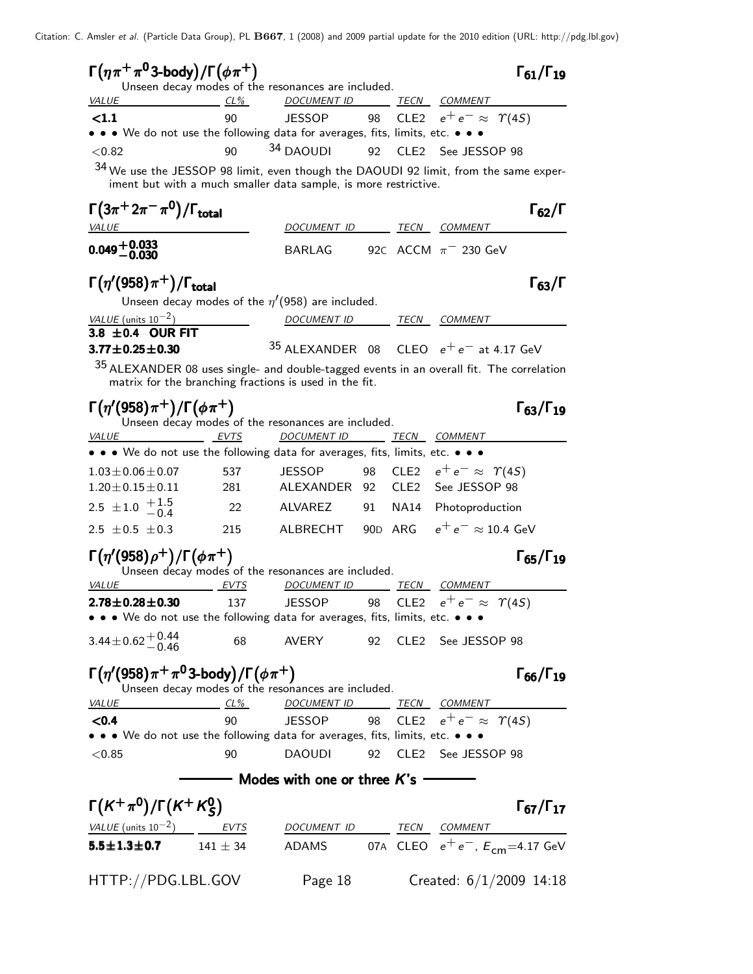| $\Gamma(\eta \pi^+ \pi^0 3$ -body)/ $\Gamma(\phi \pi^+)$                                   |        | Unseen decay modes of the resonances are included.              |    |      |                                                                                       | $\Gamma_{61}/\Gamma_{19}$ |
|--------------------------------------------------------------------------------------------|--------|-----------------------------------------------------------------|----|------|---------------------------------------------------------------------------------------|---------------------------|
| <i>VALUE</i>                                                                               | $CL\%$ | DOCUMENT ID                                                     |    |      | <b>TECN COMMENT</b>                                                                   |                           |
| <1.1                                                                                       | 90     | <b>JESSOP</b>                                                   | 98 |      | CLE2 $e^+e^- \approx \Upsilon(4S)$                                                    |                           |
| • • • We do not use the following data for averages, fits, limits, etc. • • •              |        |                                                                 |    |      |                                                                                       |                           |
| < 0.82                                                                                     | 90     | 34 DAOUDI                                                       | 92 |      | CLE2 See JESSOP 98                                                                    |                           |
| 34 We use the JESSOP 98 limit, even though the DAOUDI 92 limit, from the same exper-       |        | iment but with a much smaller data sample, is more restrictive. |    |      |                                                                                       |                           |
| $\Gamma(3\pi^+2\pi^-\pi^0)/\Gamma_{\rm total}$                                             |        |                                                                 |    |      |                                                                                       | $\Gamma_{62}/\Gamma$      |
| <i>VALUE</i>                                                                               |        | DOCUMENT ID                                                     |    |      | TECN COMMENT                                                                          |                           |
| $0.049 + 0.033$                                                                            |        | BARLAG                                                          |    |      | 92C ACCM $\pi$ <sup>-</sup> 230 GeV                                                   |                           |
| $\Gamma(\eta'(958)\pi^+)$ / $\Gamma_{\rm total}$                                           |        |                                                                 |    |      |                                                                                       | $\Gamma_{63}/\Gamma$      |
|                                                                                            |        | Unseen decay modes of the $\eta'(958)$ are included.            |    |      |                                                                                       |                           |
| VALUE (units $10^{-2}$ )<br>3.8 $\pm$ 0.4 OUR FIT                                          |        | DOCUMENT ID TECN COMMENT                                        |    |      |                                                                                       |                           |
| $3.77 \pm 0.25 \pm 0.30$                                                                   |        |                                                                 |    |      | $35$ ALEXANDER 08 CLEO $e^+e^-$ at 4.17 GeV                                           |                           |
| $35$ ALEXANDER 08 uses single- and double-tagged events in an overall fit. The correlation |        | matrix for the branching fractions is used in the fit.          |    |      |                                                                                       |                           |
| $\Gamma(\eta'(958)\pi^{+})/\Gamma(\phi\pi^{+})$                                            |        | Unseen decay modes of the resonances are included.              |    |      |                                                                                       | $\Gamma_{63}/\Gamma_{19}$ |
| <i>VALUE</i>                                                                               | EVTS   | <b>DOCUMENT ID</b>                                              |    |      | <b>TECN COMMENT</b>                                                                   |                           |
| • • • We do not use the following data for averages, fits, limits, etc. • • •              |        |                                                                 |    |      |                                                                                       |                           |
| $1.03 \pm 0.06 \pm 0.07$                                                                   | 537    | <b>JESSOP</b>                                                   | 98 |      | CLE2 $e^+e^- \approx \Upsilon(4S)$                                                    |                           |
| $1.20 \pm 0.15 \pm 0.11$                                                                   | 281    | ALEXANDER 92                                                    |    | CLE2 | See JESSOP 98                                                                         |                           |
| 2.5 $\pm$ 1.0 $\frac{+1.5}{-0.4}$                                                          | 22     | <b>ALVAREZ</b>                                                  | 91 | NA14 | Photoproduction                                                                       |                           |
| 2.5 $\pm$ 0.5 $\pm$ 0.3                                                                    | 215    | ALBRECHT                                                        |    |      | 90D ARG $e^+e^- \approx 10.4$ GeV                                                     |                           |
| $\Gamma(\eta'(958)\rho^+)/\Gamma(\phi\pi^+)$<br><i>VALUE</i>                               | EVTS   | Unseen decay modes of the resonances are included.              |    |      | TECN COMMENT                                                                          | $\Gamma_{65}/\Gamma_{19}$ |
| $2.78 \pm 0.28 \pm 0.30$                                                                   | 137    | DOCUMENT ID<br><b>JESSOP</b>                                    | 98 |      | CLE2 $e^+e^- \approx \Upsilon(4S)$                                                    |                           |
| • • • We do not use the following data for averages, fits, limits, etc. • • •              |        |                                                                 |    |      |                                                                                       |                           |
| $3.44 \pm 0.62 \begin{array}{c} +0.44 \\ -0.46 \end{array}$                                | 68     |                                                                 |    |      | AVERY 92 CLE2 See JESSOP 98                                                           |                           |
| $\Gamma(\eta'(958)\pi^+\pi^03\text{-body})/\Gamma(\phi\pi^+)$                              |        | Unseen decay modes of the resonances are included.              |    |      |                                                                                       | $\Gamma_{66}/\Gamma_{19}$ |
| <b>VALUE</b>                                                                               |        |                                                                 |    |      | <u>CL% DOCUMENT ID TECN COMMENT</u>                                                   |                           |
| <0.4                                                                                       | 90     |                                                                 |    |      | JESSOP 98 CLE2 $e^+e^- \approx \Upsilon(4S)$                                          |                           |
| • • • We do not use the following data for averages, fits, limits, etc. • • •              |        |                                                                 |    |      |                                                                                       |                           |
| < 0.85                                                                                     | 90     | <b>DAOUDI</b>                                                   |    |      | 92 CLE2 See JESSOP 98                                                                 |                           |
|                                                                                            |        | — Modes with one or three $\bm{\mathit{K}}$ 's ———              |    |      |                                                                                       |                           |
| $\Gamma(K^+\pi^0)/\Gamma(K^+K^0_S)$                                                        |        |                                                                 |    |      |                                                                                       | $\Gamma_{67}/\Gamma_{17}$ |
| $VALUE$ (units $10^{-2}$ ) EVTS DOCUMENT ID TECN COMMENT                                   |        |                                                                 |    |      |                                                                                       |                           |
| 5.5 $\pm$ 1.3 $\pm$ 0.7 141 $\pm$ 34                                                       |        |                                                                 |    |      | ADAMS            07A   CLEO $e^+ \, e^-, \, E_{\mathsf{cm}}{=}4.17 \,\, \mathsf{GeV}$ |                           |
| HTTP://PDG.LBL.GOV                                                                         |        | Page 18                                                         |    |      | Created: $6/1/2009$ 14:18                                                             |                           |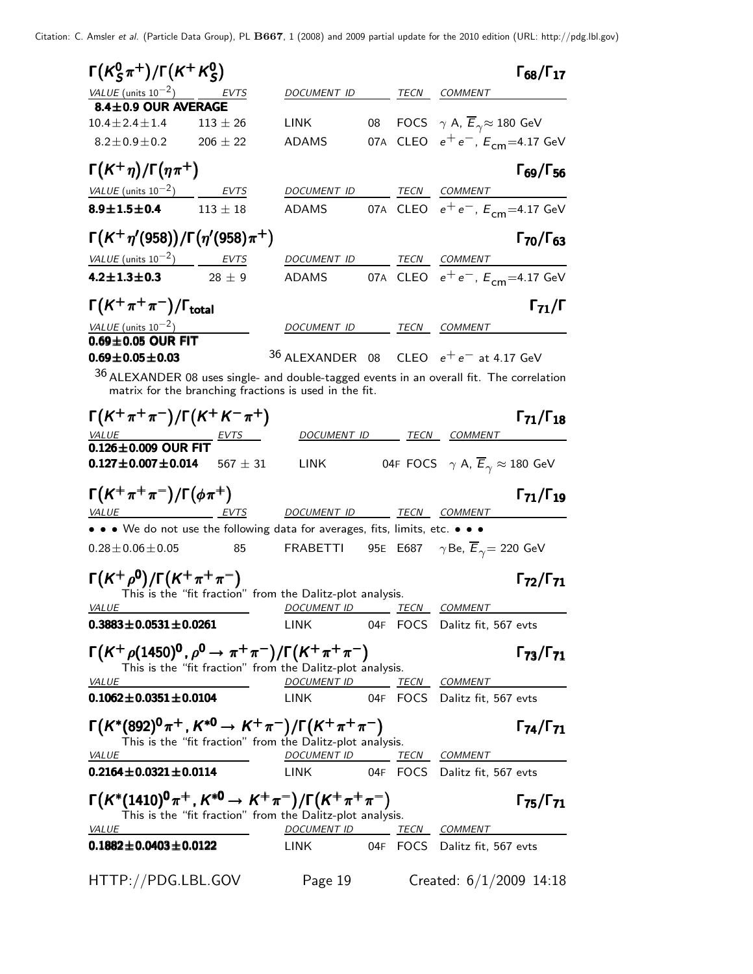| VALUE (units $10^{-2}$ )<br>DOCUMENT ID<br>TECN<br>COMMENT<br>EVTS<br>8.4±0.9 OUR AVERAGE<br>08 FOCS $\gamma$ A, $\overline{E}_{\gamma} \approx 180$ GeV<br>$10.4 \pm 2.4 \pm 1.4$<br><b>LINK</b><br>$113 \pm 26$<br>07A CLEO $e^+e^-$ , $E_{cm} = 4.17$ GeV<br>$206 \pm 22$<br>$8.2 \pm 0.9 \pm 0.2$<br><b>ADAMS</b><br>$\Gamma(K^+\eta)/\Gamma(\eta\pi^+)$<br>VALUE (units $10^{-2}$ )<br>DOCUMENT ID<br>TECN COMMENT<br><b>EVTS</b><br>07A CLEO $e^+ \, e^-$ , $E^{}_{\mathsf{cm}}$ =4.17 GeV<br>8.9 $\pm$ 1.5 $\pm$ 0.4 113 $\pm$ 18<br>ADAMS<br>$\Gamma(K^+\eta'(958))/\Gamma(\eta'(958)\pi^+)$<br>$VALUE$ (units $10^{-2}$ ) EVTS<br>DOCUMENT ID TECN COMMENT<br>07A CLEO $e^+e^-$ , $E_{cm} = 4.17$ GeV<br>$4.2 \pm 1.3 \pm 0.3$<br>$28 \pm 9$<br><b>ADAMS</b><br>$\Gamma(K^+\pi^+\pi^-)/\Gamma_{\rm total}$<br><i>VALUE</i> (units $10^{-2}$ )<br>DOCUMENT ID TECN COMMENT<br>$0.69 \pm 0.05$ OUR FIT<br>$36$ ALEXANDER 08 CLEO $e^+e^-$ at 4.17 GeV<br>$0.69 \pm 0.05 \pm 0.03$<br>$36$ ALEXANDER 08 uses single- and double-tagged events in an overall fit. The correlation<br>matrix for the branching fractions is used in the fit.<br>$\Gamma(K^+\pi^+\pi^-)/\Gamma(K^+K^-\pi^+)$<br>$\Gamma_{71}/\Gamma_{18}$<br>DOCUMENT ID TECN COMMENT<br>$\frac{VALUE}{0.126 \pm 0.009}$ OUR FIT<br>LINK 04F FOCS $\gamma$ A, $\overline{E}_{\gamma} \approx 180$ GeV<br>$0.127 \pm 0.007 \pm 0.014$<br>$567 \pm 31$<br>$\Gamma(K^+\pi^+\pi^-)/\Gamma(\phi\pi^+)$<br>VALUE<br>EVTS<br>DOCUMENT ID TECN COMMENT<br>• • • We do not use the following data for averages, fits, limits, etc. • • •<br>FRABETTI 95E E687 $\gamma$ Be, $\overline{E}_{\gamma}$ = 220 GeV<br>$0.28 \pm 0.06 \pm 0.05$<br>85<br>$\Gamma(K^+\rho^0)/\Gamma(K^+\pi^+\pi^-)$<br>$\Gamma_{72}/\Gamma_{71}$<br>This is the "fit fraction" from the Dalitz-plot analysis.<br>DOCUMENT ID TECN COMMENT<br><i>VALUE</i><br>$0.3883 \pm 0.0531 \pm 0.0261$<br>LINK 04F FOCS Dalitz fit, 567 evts<br>$\Gamma(K^+\rho(1450)^0, \rho^0 \to \pi^+\pi^-)/\Gamma(K^+\pi^+\pi^-)$<br>This is the "fit fraction" from the Dalitz-plot analysis.<br><u>VALUE</u><br>DOCUMENT ID TECN COMMENT<br>$0.1062 \pm 0.0351 \pm 0.0104$<br>LINK 04F FOCS Dalitz fit, 567 evts<br>$\Gamma(K^*(892)^0 \pi^+, K^{*0} \to K^+ \pi^-)/\Gamma(K^+ \pi^+ \pi^-)$<br>$\Gamma_{74}/\Gamma_{71}$<br>This is the "fit fraction" from the Dalitz-plot analysis.<br><u>VALUE</u><br>DOCUMENT ID TECN COMMENT<br>$0.2164 \pm 0.0321 \pm 0.0114$<br>LINK 04F FOCS Dalitz fit, 567 evts<br>$\Gamma(K^*(1410)^0 \pi^+, K^{*0} \to K^+ \pi^-)/\Gamma(K^+ \pi^+ \pi^-)$<br>This is the "fit fraction" from the Dalitz-plot analysis.<br>DOCUMENT ID TECN COMMENT<br><b>VALUE</b><br>$0.1882 \pm 0.0403 \pm 0.0122$<br>LINK 04F FOCS Dalitz fit, 567 evts | $\Gamma(K_S^0\pi^+)/\Gamma(K^+K_S^0)$ |  |  | $\Gamma_{68}/\Gamma_{17}$ |
|----------------------------------------------------------------------------------------------------------------------------------------------------------------------------------------------------------------------------------------------------------------------------------------------------------------------------------------------------------------------------------------------------------------------------------------------------------------------------------------------------------------------------------------------------------------------------------------------------------------------------------------------------------------------------------------------------------------------------------------------------------------------------------------------------------------------------------------------------------------------------------------------------------------------------------------------------------------------------------------------------------------------------------------------------------------------------------------------------------------------------------------------------------------------------------------------------------------------------------------------------------------------------------------------------------------------------------------------------------------------------------------------------------------------------------------------------------------------------------------------------------------------------------------------------------------------------------------------------------------------------------------------------------------------------------------------------------------------------------------------------------------------------------------------------------------------------------------------------------------------------------------------------------------------------------------------------------------------------------------------------------------------------------------------------------------------------------------------------------------------------------------------------------------------------------------------------------------------------------------------------------------------------------------------------------------------------------------------------------------------------------------------------------------------------------------------------------------------------------------------------------------------------------------------------------------------------------------------------------------------------------------------------------------------------------------------------------------------------------------------------------------------------------------|---------------------------------------|--|--|---------------------------|
|                                                                                                                                                                                                                                                                                                                                                                                                                                                                                                                                                                                                                                                                                                                                                                                                                                                                                                                                                                                                                                                                                                                                                                                                                                                                                                                                                                                                                                                                                                                                                                                                                                                                                                                                                                                                                                                                                                                                                                                                                                                                                                                                                                                                                                                                                                                                                                                                                                                                                                                                                                                                                                                                                                                                                                                        |                                       |  |  |                           |
|                                                                                                                                                                                                                                                                                                                                                                                                                                                                                                                                                                                                                                                                                                                                                                                                                                                                                                                                                                                                                                                                                                                                                                                                                                                                                                                                                                                                                                                                                                                                                                                                                                                                                                                                                                                                                                                                                                                                                                                                                                                                                                                                                                                                                                                                                                                                                                                                                                                                                                                                                                                                                                                                                                                                                                                        |                                       |  |  |                           |
|                                                                                                                                                                                                                                                                                                                                                                                                                                                                                                                                                                                                                                                                                                                                                                                                                                                                                                                                                                                                                                                                                                                                                                                                                                                                                                                                                                                                                                                                                                                                                                                                                                                                                                                                                                                                                                                                                                                                                                                                                                                                                                                                                                                                                                                                                                                                                                                                                                                                                                                                                                                                                                                                                                                                                                                        |                                       |  |  |                           |
|                                                                                                                                                                                                                                                                                                                                                                                                                                                                                                                                                                                                                                                                                                                                                                                                                                                                                                                                                                                                                                                                                                                                                                                                                                                                                                                                                                                                                                                                                                                                                                                                                                                                                                                                                                                                                                                                                                                                                                                                                                                                                                                                                                                                                                                                                                                                                                                                                                                                                                                                                                                                                                                                                                                                                                                        |                                       |  |  |                           |
|                                                                                                                                                                                                                                                                                                                                                                                                                                                                                                                                                                                                                                                                                                                                                                                                                                                                                                                                                                                                                                                                                                                                                                                                                                                                                                                                                                                                                                                                                                                                                                                                                                                                                                                                                                                                                                                                                                                                                                                                                                                                                                                                                                                                                                                                                                                                                                                                                                                                                                                                                                                                                                                                                                                                                                                        |                                       |  |  | $\Gamma_{69}/\Gamma_{56}$ |
|                                                                                                                                                                                                                                                                                                                                                                                                                                                                                                                                                                                                                                                                                                                                                                                                                                                                                                                                                                                                                                                                                                                                                                                                                                                                                                                                                                                                                                                                                                                                                                                                                                                                                                                                                                                                                                                                                                                                                                                                                                                                                                                                                                                                                                                                                                                                                                                                                                                                                                                                                                                                                                                                                                                                                                                        |                                       |  |  |                           |
|                                                                                                                                                                                                                                                                                                                                                                                                                                                                                                                                                                                                                                                                                                                                                                                                                                                                                                                                                                                                                                                                                                                                                                                                                                                                                                                                                                                                                                                                                                                                                                                                                                                                                                                                                                                                                                                                                                                                                                                                                                                                                                                                                                                                                                                                                                                                                                                                                                                                                                                                                                                                                                                                                                                                                                                        |                                       |  |  |                           |
|                                                                                                                                                                                                                                                                                                                                                                                                                                                                                                                                                                                                                                                                                                                                                                                                                                                                                                                                                                                                                                                                                                                                                                                                                                                                                                                                                                                                                                                                                                                                                                                                                                                                                                                                                                                                                                                                                                                                                                                                                                                                                                                                                                                                                                                                                                                                                                                                                                                                                                                                                                                                                                                                                                                                                                                        |                                       |  |  | $\Gamma_{70}/\Gamma_{63}$ |
|                                                                                                                                                                                                                                                                                                                                                                                                                                                                                                                                                                                                                                                                                                                                                                                                                                                                                                                                                                                                                                                                                                                                                                                                                                                                                                                                                                                                                                                                                                                                                                                                                                                                                                                                                                                                                                                                                                                                                                                                                                                                                                                                                                                                                                                                                                                                                                                                                                                                                                                                                                                                                                                                                                                                                                                        |                                       |  |  |                           |
|                                                                                                                                                                                                                                                                                                                                                                                                                                                                                                                                                                                                                                                                                                                                                                                                                                                                                                                                                                                                                                                                                                                                                                                                                                                                                                                                                                                                                                                                                                                                                                                                                                                                                                                                                                                                                                                                                                                                                                                                                                                                                                                                                                                                                                                                                                                                                                                                                                                                                                                                                                                                                                                                                                                                                                                        |                                       |  |  |                           |
|                                                                                                                                                                                                                                                                                                                                                                                                                                                                                                                                                                                                                                                                                                                                                                                                                                                                                                                                                                                                                                                                                                                                                                                                                                                                                                                                                                                                                                                                                                                                                                                                                                                                                                                                                                                                                                                                                                                                                                                                                                                                                                                                                                                                                                                                                                                                                                                                                                                                                                                                                                                                                                                                                                                                                                                        |                                       |  |  | $\Gamma_{71}/\Gamma$      |
|                                                                                                                                                                                                                                                                                                                                                                                                                                                                                                                                                                                                                                                                                                                                                                                                                                                                                                                                                                                                                                                                                                                                                                                                                                                                                                                                                                                                                                                                                                                                                                                                                                                                                                                                                                                                                                                                                                                                                                                                                                                                                                                                                                                                                                                                                                                                                                                                                                                                                                                                                                                                                                                                                                                                                                                        |                                       |  |  |                           |
|                                                                                                                                                                                                                                                                                                                                                                                                                                                                                                                                                                                                                                                                                                                                                                                                                                                                                                                                                                                                                                                                                                                                                                                                                                                                                                                                                                                                                                                                                                                                                                                                                                                                                                                                                                                                                                                                                                                                                                                                                                                                                                                                                                                                                                                                                                                                                                                                                                                                                                                                                                                                                                                                                                                                                                                        |                                       |  |  |                           |
|                                                                                                                                                                                                                                                                                                                                                                                                                                                                                                                                                                                                                                                                                                                                                                                                                                                                                                                                                                                                                                                                                                                                                                                                                                                                                                                                                                                                                                                                                                                                                                                                                                                                                                                                                                                                                                                                                                                                                                                                                                                                                                                                                                                                                                                                                                                                                                                                                                                                                                                                                                                                                                                                                                                                                                                        |                                       |  |  |                           |
|                                                                                                                                                                                                                                                                                                                                                                                                                                                                                                                                                                                                                                                                                                                                                                                                                                                                                                                                                                                                                                                                                                                                                                                                                                                                                                                                                                                                                                                                                                                                                                                                                                                                                                                                                                                                                                                                                                                                                                                                                                                                                                                                                                                                                                                                                                                                                                                                                                                                                                                                                                                                                                                                                                                                                                                        |                                       |  |  |                           |
|                                                                                                                                                                                                                                                                                                                                                                                                                                                                                                                                                                                                                                                                                                                                                                                                                                                                                                                                                                                                                                                                                                                                                                                                                                                                                                                                                                                                                                                                                                                                                                                                                                                                                                                                                                                                                                                                                                                                                                                                                                                                                                                                                                                                                                                                                                                                                                                                                                                                                                                                                                                                                                                                                                                                                                                        |                                       |  |  |                           |
|                                                                                                                                                                                                                                                                                                                                                                                                                                                                                                                                                                                                                                                                                                                                                                                                                                                                                                                                                                                                                                                                                                                                                                                                                                                                                                                                                                                                                                                                                                                                                                                                                                                                                                                                                                                                                                                                                                                                                                                                                                                                                                                                                                                                                                                                                                                                                                                                                                                                                                                                                                                                                                                                                                                                                                                        |                                       |  |  |                           |
|                                                                                                                                                                                                                                                                                                                                                                                                                                                                                                                                                                                                                                                                                                                                                                                                                                                                                                                                                                                                                                                                                                                                                                                                                                                                                                                                                                                                                                                                                                                                                                                                                                                                                                                                                                                                                                                                                                                                                                                                                                                                                                                                                                                                                                                                                                                                                                                                                                                                                                                                                                                                                                                                                                                                                                                        |                                       |  |  |                           |
|                                                                                                                                                                                                                                                                                                                                                                                                                                                                                                                                                                                                                                                                                                                                                                                                                                                                                                                                                                                                                                                                                                                                                                                                                                                                                                                                                                                                                                                                                                                                                                                                                                                                                                                                                                                                                                                                                                                                                                                                                                                                                                                                                                                                                                                                                                                                                                                                                                                                                                                                                                                                                                                                                                                                                                                        |                                       |  |  |                           |
|                                                                                                                                                                                                                                                                                                                                                                                                                                                                                                                                                                                                                                                                                                                                                                                                                                                                                                                                                                                                                                                                                                                                                                                                                                                                                                                                                                                                                                                                                                                                                                                                                                                                                                                                                                                                                                                                                                                                                                                                                                                                                                                                                                                                                                                                                                                                                                                                                                                                                                                                                                                                                                                                                                                                                                                        |                                       |  |  | $\Gamma_{71}/\Gamma_{19}$ |
|                                                                                                                                                                                                                                                                                                                                                                                                                                                                                                                                                                                                                                                                                                                                                                                                                                                                                                                                                                                                                                                                                                                                                                                                                                                                                                                                                                                                                                                                                                                                                                                                                                                                                                                                                                                                                                                                                                                                                                                                                                                                                                                                                                                                                                                                                                                                                                                                                                                                                                                                                                                                                                                                                                                                                                                        |                                       |  |  |                           |
|                                                                                                                                                                                                                                                                                                                                                                                                                                                                                                                                                                                                                                                                                                                                                                                                                                                                                                                                                                                                                                                                                                                                                                                                                                                                                                                                                                                                                                                                                                                                                                                                                                                                                                                                                                                                                                                                                                                                                                                                                                                                                                                                                                                                                                                                                                                                                                                                                                                                                                                                                                                                                                                                                                                                                                                        |                                       |  |  |                           |
|                                                                                                                                                                                                                                                                                                                                                                                                                                                                                                                                                                                                                                                                                                                                                                                                                                                                                                                                                                                                                                                                                                                                                                                                                                                                                                                                                                                                                                                                                                                                                                                                                                                                                                                                                                                                                                                                                                                                                                                                                                                                                                                                                                                                                                                                                                                                                                                                                                                                                                                                                                                                                                                                                                                                                                                        |                                       |  |  |                           |
|                                                                                                                                                                                                                                                                                                                                                                                                                                                                                                                                                                                                                                                                                                                                                                                                                                                                                                                                                                                                                                                                                                                                                                                                                                                                                                                                                                                                                                                                                                                                                                                                                                                                                                                                                                                                                                                                                                                                                                                                                                                                                                                                                                                                                                                                                                                                                                                                                                                                                                                                                                                                                                                                                                                                                                                        |                                       |  |  |                           |
|                                                                                                                                                                                                                                                                                                                                                                                                                                                                                                                                                                                                                                                                                                                                                                                                                                                                                                                                                                                                                                                                                                                                                                                                                                                                                                                                                                                                                                                                                                                                                                                                                                                                                                                                                                                                                                                                                                                                                                                                                                                                                                                                                                                                                                                                                                                                                                                                                                                                                                                                                                                                                                                                                                                                                                                        |                                       |  |  |                           |
|                                                                                                                                                                                                                                                                                                                                                                                                                                                                                                                                                                                                                                                                                                                                                                                                                                                                                                                                                                                                                                                                                                                                                                                                                                                                                                                                                                                                                                                                                                                                                                                                                                                                                                                                                                                                                                                                                                                                                                                                                                                                                                                                                                                                                                                                                                                                                                                                                                                                                                                                                                                                                                                                                                                                                                                        |                                       |  |  |                           |
|                                                                                                                                                                                                                                                                                                                                                                                                                                                                                                                                                                                                                                                                                                                                                                                                                                                                                                                                                                                                                                                                                                                                                                                                                                                                                                                                                                                                                                                                                                                                                                                                                                                                                                                                                                                                                                                                                                                                                                                                                                                                                                                                                                                                                                                                                                                                                                                                                                                                                                                                                                                                                                                                                                                                                                                        |                                       |  |  |                           |
|                                                                                                                                                                                                                                                                                                                                                                                                                                                                                                                                                                                                                                                                                                                                                                                                                                                                                                                                                                                                                                                                                                                                                                                                                                                                                                                                                                                                                                                                                                                                                                                                                                                                                                                                                                                                                                                                                                                                                                                                                                                                                                                                                                                                                                                                                                                                                                                                                                                                                                                                                                                                                                                                                                                                                                                        |                                       |  |  | $\Gamma_{73}/\Gamma_{71}$ |
|                                                                                                                                                                                                                                                                                                                                                                                                                                                                                                                                                                                                                                                                                                                                                                                                                                                                                                                                                                                                                                                                                                                                                                                                                                                                                                                                                                                                                                                                                                                                                                                                                                                                                                                                                                                                                                                                                                                                                                                                                                                                                                                                                                                                                                                                                                                                                                                                                                                                                                                                                                                                                                                                                                                                                                                        |                                       |  |  |                           |
|                                                                                                                                                                                                                                                                                                                                                                                                                                                                                                                                                                                                                                                                                                                                                                                                                                                                                                                                                                                                                                                                                                                                                                                                                                                                                                                                                                                                                                                                                                                                                                                                                                                                                                                                                                                                                                                                                                                                                                                                                                                                                                                                                                                                                                                                                                                                                                                                                                                                                                                                                                                                                                                                                                                                                                                        |                                       |  |  |                           |
|                                                                                                                                                                                                                                                                                                                                                                                                                                                                                                                                                                                                                                                                                                                                                                                                                                                                                                                                                                                                                                                                                                                                                                                                                                                                                                                                                                                                                                                                                                                                                                                                                                                                                                                                                                                                                                                                                                                                                                                                                                                                                                                                                                                                                                                                                                                                                                                                                                                                                                                                                                                                                                                                                                                                                                                        |                                       |  |  |                           |
|                                                                                                                                                                                                                                                                                                                                                                                                                                                                                                                                                                                                                                                                                                                                                                                                                                                                                                                                                                                                                                                                                                                                                                                                                                                                                                                                                                                                                                                                                                                                                                                                                                                                                                                                                                                                                                                                                                                                                                                                                                                                                                                                                                                                                                                                                                                                                                                                                                                                                                                                                                                                                                                                                                                                                                                        |                                       |  |  |                           |
|                                                                                                                                                                                                                                                                                                                                                                                                                                                                                                                                                                                                                                                                                                                                                                                                                                                                                                                                                                                                                                                                                                                                                                                                                                                                                                                                                                                                                                                                                                                                                                                                                                                                                                                                                                                                                                                                                                                                                                                                                                                                                                                                                                                                                                                                                                                                                                                                                                                                                                                                                                                                                                                                                                                                                                                        |                                       |  |  |                           |
|                                                                                                                                                                                                                                                                                                                                                                                                                                                                                                                                                                                                                                                                                                                                                                                                                                                                                                                                                                                                                                                                                                                                                                                                                                                                                                                                                                                                                                                                                                                                                                                                                                                                                                                                                                                                                                                                                                                                                                                                                                                                                                                                                                                                                                                                                                                                                                                                                                                                                                                                                                                                                                                                                                                                                                                        |                                       |  |  |                           |
|                                                                                                                                                                                                                                                                                                                                                                                                                                                                                                                                                                                                                                                                                                                                                                                                                                                                                                                                                                                                                                                                                                                                                                                                                                                                                                                                                                                                                                                                                                                                                                                                                                                                                                                                                                                                                                                                                                                                                                                                                                                                                                                                                                                                                                                                                                                                                                                                                                                                                                                                                                                                                                                                                                                                                                                        |                                       |  |  | $\Gamma_{75}/\Gamma_{71}$ |
|                                                                                                                                                                                                                                                                                                                                                                                                                                                                                                                                                                                                                                                                                                                                                                                                                                                                                                                                                                                                                                                                                                                                                                                                                                                                                                                                                                                                                                                                                                                                                                                                                                                                                                                                                                                                                                                                                                                                                                                                                                                                                                                                                                                                                                                                                                                                                                                                                                                                                                                                                                                                                                                                                                                                                                                        |                                       |  |  |                           |
| HTTP://PDG.LBL.GOV<br>Page 19<br>Created: $6/1/2009$ 14:18                                                                                                                                                                                                                                                                                                                                                                                                                                                                                                                                                                                                                                                                                                                                                                                                                                                                                                                                                                                                                                                                                                                                                                                                                                                                                                                                                                                                                                                                                                                                                                                                                                                                                                                                                                                                                                                                                                                                                                                                                                                                                                                                                                                                                                                                                                                                                                                                                                                                                                                                                                                                                                                                                                                             |                                       |  |  |                           |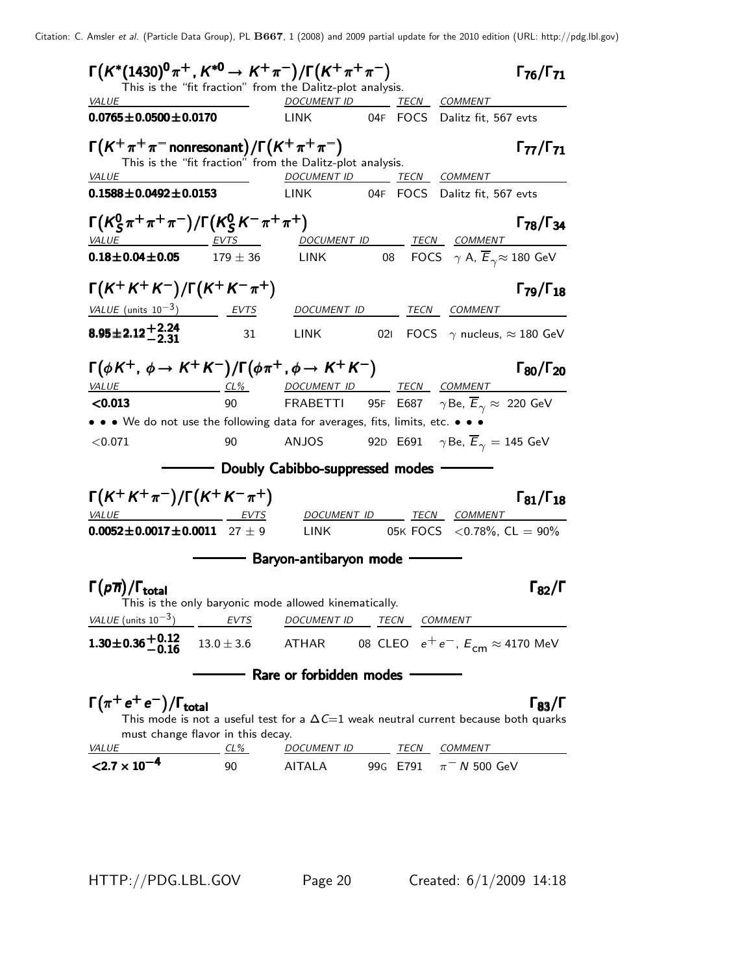| This is the "fit fraction" from the Dalitz-plot analysis.                                                                                 |      |                                                                           |     |                                                             |                                  |
|-------------------------------------------------------------------------------------------------------------------------------------------|------|---------------------------------------------------------------------------|-----|-------------------------------------------------------------|----------------------------------|
| VALUE                                                                                                                                     |      | DOCUMENT ID TECN COMMENT                                                  |     |                                                             |                                  |
| $0.0765 \pm 0.0500 \pm 0.0170$                                                                                                            |      | LINK                                                                      |     | 04F FOCS Dalitz fit, 567 evts                               |                                  |
| $\Gamma(K^+\pi^+\pi^-$ nonresonant $)/\Gamma(K^+\pi^+\pi^-)$<br>This is the "fit fraction" from the Dalitz-plot analysis.<br><b>VALUE</b> |      | DOCUMENT ID TECN COMMENT                                                  |     |                                                             | $\Gamma_{77}/\Gamma_{71}$        |
| $0.1588 \pm 0.0492 \pm 0.0153$                                                                                                            |      | <b>LINK</b>                                                               |     | 04F FOCS Dalitz fit, 567 evts                               |                                  |
| $\Gamma(K_S^0 \pi^+ \pi^+ \pi^-)/\Gamma(K_S^0 K^- \pi^+ \pi^+)$<br><u>VALUE EVTS</u>                                                      |      | <u>DOCUMENT ID _______ TECN __ COMMENT _</u>                              |     |                                                             | $\Gamma_{78}/\Gamma_{34}$        |
| $0.18 \pm 0.04 \pm 0.05$ $179 \pm 36$ LINK                                                                                                |      |                                                                           |     | 08 FOCS $\gamma$ A, $\overline{E}_{\gamma} \approx 180$ GeV |                                  |
| $\Gamma(K^+K^+K^-)/\Gamma(K^+K^-\pi^+)$                                                                                                   |      |                                                                           |     |                                                             | $\Gamma_{79}/\Gamma_{18}$        |
| <u>VALUE</u> (units $10^{-3}$ ) EVTS                                                                                                      |      | DOCUMENT ID                                                               |     | <u>TECN COMMENT</u>                                         |                                  |
| $8.95 \pm 2.12 + 2.24$                                                                                                                    | 31   | <b>LINK</b>                                                               | 02I | FOCS $\gamma$ nucleus, $\approx$ 180 GeV                    |                                  |
| $\Gamma(\phi K^+, \phi \to K^+ K^-)/\Gamma(\phi \pi^+, \phi \to K^+ K^-)$                                                                 |      |                                                                           |     |                                                             | Г <sub>80</sub> /Г <sub>20</sub> |
| VALUE                                                                                                                                     |      | <u>CL% DOCUMENT ID TECN COMMENT</u>                                       |     |                                                             |                                  |
| < 0.013                                                                                                                                   |      | 90 FRABETTI 95F E687 $\gamma$ Be, $\overline{E}_{\gamma} \approx 220$ GeV |     |                                                             |                                  |
| • • • We do not use the following data for averages, fits, limits, etc. • • •                                                             |      |                                                                           |     |                                                             |                                  |
| < 0.071                                                                                                                                   | 90   | ANJOS                                                                     |     | 92D E691 $\gamma$ Be, $\overline{E}_{\gamma} = 145$ GeV     |                                  |
|                                                                                                                                           |      | - Doubly Cabibbo-suppressed modes -                                       |     |                                                             |                                  |
| $\Gamma(K^+K^+\pi^-)/\Gamma(K^+K^-\pi^+)$                                                                                                 |      |                                                                           |     |                                                             | $\Gamma_{81}/\Gamma_{18}$        |
| VALUE<br><b>EVTS</b>                                                                                                                      |      |                                                                           |     | DOCUMENT ID TECN COMMENT                                    |                                  |
| $0.0052 \pm 0.0017 \pm 0.0011$ 27 ± 9                                                                                                     |      |                                                                           |     | LINK 05K FOCS $\langle 0.78\% , CL = 90\% \rangle$          |                                  |
|                                                                                                                                           |      | —— Baryon-antibaryon mode —                                               |     |                                                             |                                  |
| $\Gamma(p\overline{n})/\Gamma_{\rm total}$                                                                                                |      |                                                                           |     |                                                             | $\Gamma_{82}/\Gamma$             |
| This is the only baryonic mode allowed kinematically.<br>VALUE (units $10^{-3}$ )                                                         | EVTS | DOCUMENT ID TECN COMMENT                                                  |     |                                                             |                                  |
| $1.30 \pm 0.36 + 0.12$<br>-0.16                                                                                                           |      | 13.0 $\pm$ 3.6 ATHAR 08 CLEO $e^+e^-$ , $E_{cm} \approx$ 4170 MeV         |     |                                                             |                                  |
|                                                                                                                                           |      | - Rare or forbidden modes -                                               |     |                                                             |                                  |
| $\Gamma(\pi^+e^+e^-)/\Gamma_{\rm total}$<br>This mode is not a useful test for a $\Delta C=1$ weak neutral current because both quarks    |      |                                                                           |     |                                                             |                                  |
| must change flavor in this decay.<br><i>VALUE</i>                                                                                         | CL%  | DOCUMENT ID TECN COMMENT                                                  |     |                                                             | $\Gamma_{83}/\Gamma$             |

HTTP://PDG.LBL.GOV Page 20 Created: 6/1/2009 14:18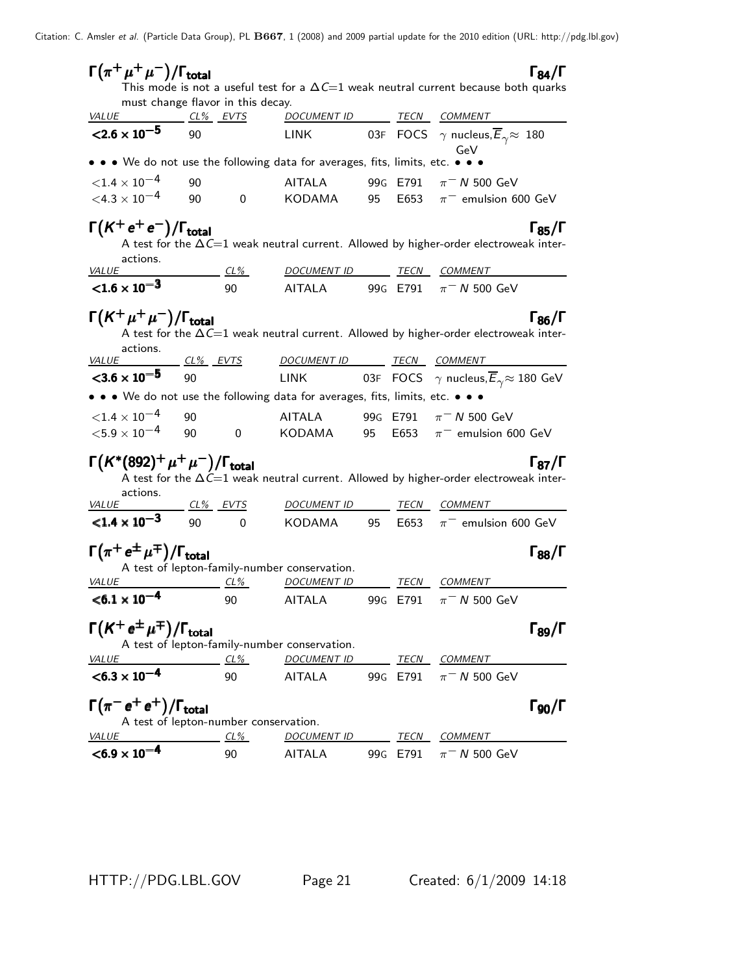| $\Gamma(\pi^+\mu^+\mu^-)/\Gamma_{\rm total}$                                  |                            |                |                                              |    |          |                                                                                                        | $\mathsf{I}_{\mathbf{A}}$ |
|-------------------------------------------------------------------------------|----------------------------|----------------|----------------------------------------------|----|----------|--------------------------------------------------------------------------------------------------------|---------------------------|
|                                                                               |                            |                |                                              |    |          | This mode is not a useful test for a $\Delta C=1$ weak neutral current because both quarks             |                           |
| must change flavor in this decay.<br><u>VALUE CL% EVTS</u>                    |                            |                | DOCUMENT ID TECN COMMENT                     |    |          |                                                                                                        |                           |
| $<$ 2.6 $\times$ 10 <sup>-5</sup>                                             | 90                         |                | LINK                                         |    |          | 03F FOCS $\gamma$ nucleus, $\overline{E}_{\gamma} \approx 180$<br>GeV                                  |                           |
| • • • We do not use the following data for averages, fits, limits, etc. • • • |                            |                |                                              |    |          |                                                                                                        |                           |
| ${<}1.4 \times 10^{-4}$                                                       | 90                         |                | <b>AITALA</b>                                |    | 99G E791 | $\pi$ <sup>-</sup> N 500 GeV                                                                           |                           |
| $<$ 4.3 $\times$ 10 <sup>-4</sup>                                             | 90                         | $\mathbf{0}$   | KODAMA                                       | 95 | E653     | $\pi^-$ emulsion 600 GeV                                                                               |                           |
|                                                                               |                            |                |                                              |    |          |                                                                                                        |                           |
| $\Gamma(K^+e^+e^-)/\Gamma_{\rm total}$                                        |                            |                |                                              |    |          |                                                                                                        | $\Gamma_{85}/\Gamma$      |
|                                                                               |                            |                |                                              |    |          | A test for the $\Delta C=1$ weak neutral current. Allowed by higher-order electroweak inter-           |                           |
| actions.<br><i>VALUE</i>                                                      |                            | $CL\%$         | DOCUMENT ID TECN COMMENT                     |    |          |                                                                                                        |                           |
| ${<}1.6 \times 10^{-3}$                                                       |                            | 90             | AITALA                                       |    | 99G E791 | $\pi$ <sup>-</sup> N 500 GeV                                                                           |                           |
|                                                                               |                            |                |                                              |    |          |                                                                                                        |                           |
| $\Gamma({\cal K}^+\mu^+\mu^-)/\Gamma_{\rm total}$                             |                            |                |                                              |    |          |                                                                                                        | $\Gamma_{86}/\Gamma$      |
|                                                                               |                            |                |                                              |    |          | A test for the $\Delta C=1$ weak neutral current. Allowed by higher-order electroweak inter-           |                           |
| actions.<br><i>VALUE</i>                                                      | <u>_ CL% _ EVTS</u>        |                | DOCUMENT ID TECN COMMENT                     |    |          |                                                                                                        |                           |
| $3.6 \times 10^{-5}$                                                          | 90                         |                | LINK                                         |    |          | 03F FOCS $\gamma$ nucleus, $\overline{E}_{\gamma} \approx 180$ GeV                                     |                           |
| • • • We do not use the following data for averages, fits, limits, etc. • • • |                            |                |                                              |    |          |                                                                                                        |                           |
|                                                                               |                            |                |                                              |    |          |                                                                                                        |                           |
| ${<}1.4\times10^{-4}$<br>${<}5.9\times10^{-4}$                                | 90                         |                | <b>AITALA</b>                                |    | 99G E791 | $\pi$ <sup>-</sup> N 500 GeV                                                                           |                           |
|                                                                               | 90                         | $\overline{0}$ |                                              |    |          | KODAMA 95 E653 $\pi^-$ emulsion 600 GeV                                                                |                           |
| $\Gamma(K^*(892)^+\mu^+\mu^-)/\Gamma_{\rm total}$                             |                            |                |                                              |    |          |                                                                                                        | $\Gamma_{87}/\Gamma$      |
|                                                                               |                            |                |                                              |    |          | A test for the $\Delta \tilde{C} = 1$ weak neutral current. Allowed by higher-order electroweak inter- |                           |
| actions.                                                                      |                            |                |                                              |    |          |                                                                                                        |                           |
| <i>VALUE</i><br>$< 1.4 \times 10^{-3}$                                        | <u>CL% EVTS</u><br>90 - 10 |                | <u>DOCUMENT ID</u>                           |    |          | TECN COMMENT                                                                                           |                           |
|                                                                               |                            | $\Omega$       | KODAMA                                       |    | 95 E653  | $\pi^-$ emulsion 600 GeV                                                                               |                           |
| $\Gamma(\pi^+\,e^{\pm}\,\mu^{\mp})/\Gamma_{\rm total}$                        |                            |                |                                              |    |          |                                                                                                        | $\Gamma_{88}/\Gamma$      |
|                                                                               |                            |                | A test of lepton-family-number conservation. |    |          |                                                                                                        |                           |
| <b>VALUE</b>                                                                  |                            | $CL\%$         | <u>DOCUMENT ID</u>                           |    |          | TECN COMMENT                                                                                           |                           |
| $< 6.1 \times 10^{-4}$                                                        |                            | 90             | AITALA                                       |    | 99G E791 | $\pi$ <sup>-</sup> N 500 GeV                                                                           |                           |
|                                                                               |                            |                |                                              |    |          |                                                                                                        |                           |
| $\Gamma(K^+e^{\pm}\mu^{\mp})/\Gamma_{\rm total}$                              |                            |                | A test of lepton-family-number conservation. |    |          |                                                                                                        | $\Gamma_{89}/\Gamma$      |
| <i>VALUE</i><br>$CL\%$                                                        |                            |                | DOCUMENT ID TECN COMMENT                     |    |          |                                                                                                        |                           |
| $< 6.3 \times 10^{-4}$                                                        |                            | 90             | AITALA                                       |    |          | 99G E791 $\pi$ <sup>-</sup> N 500 GeV                                                                  |                           |
|                                                                               |                            |                |                                              |    |          |                                                                                                        |                           |
| $\Gamma(\pi^- e^+ e^+) / \Gamma_{\text{total}}$                               |                            |                |                                              |    |          |                                                                                                        | $\Gamma$ 90/ $\Gamma$     |
| A test of lepton-number conservation.                                         |                            |                |                                              |    |          |                                                                                                        |                           |
| <i>VALUE</i>                                                                  | $CL\%$                     |                | DOCUMENT ID TECN COMMENT                     |    |          |                                                                                                        |                           |
| $< 6.9 \times 10^{-7}$                                                        |                            | 90             | <b>AITALA</b>                                |    | 99G E791 | $\pi$ <sup>-</sup> N 500 GeV                                                                           |                           |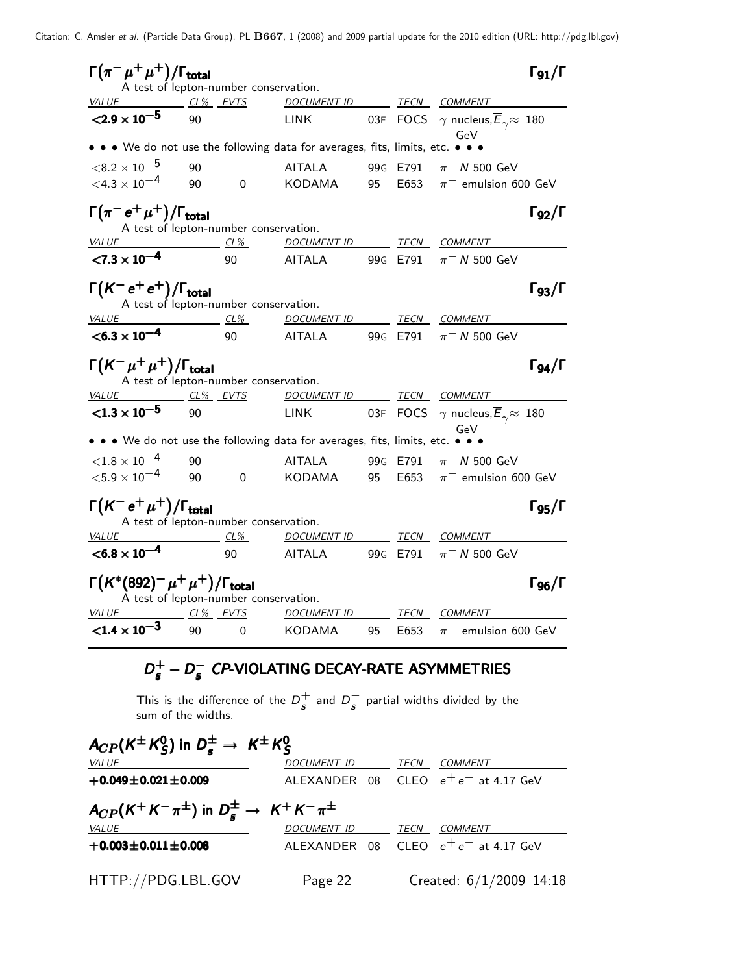| $\Gamma(\pi^-\mu^+\mu^+)/\Gamma_{\rm total}$<br>$\Gamma_{91}/\Gamma$<br>A test of lepton-number conservation. |        |                |                          |    |          |                                                                       |  |  |  |
|---------------------------------------------------------------------------------------------------------------|--------|----------------|--------------------------|----|----------|-----------------------------------------------------------------------|--|--|--|
| $CL\%$ EVTS<br>VALUE                                                                                          |        |                | DOCUMENT ID TECN         |    |          | COMMENT                                                               |  |  |  |
| $<$ 2.9 $\times$ 10 <sup>-5</sup>                                                                             | 90     |                | <b>LINK</b>              |    |          | 03F FOCS $\gamma$ nucleus, $\overline{E}_{\gamma} \approx 180$<br>GeV |  |  |  |
| • • We do not use the following data for averages, fits, limits, etc. • • •                                   |        |                |                          |    |          |                                                                       |  |  |  |
| ${<}8.2\times10^{-5}$                                                                                         | 90     |                | <b>AITALA</b>            |    | 99G E791 | $\pi$ <sup>-</sup> N 500 GeV                                          |  |  |  |
| $<$ 4.3 $\times$ 10 <sup>-4</sup>                                                                             | 90     | $\overline{0}$ | KODAMA                   | 95 | E653     | $\pi^-$ emulsion 600 GeV                                              |  |  |  |
| $\Gamma(\pi^- e^+ \mu^+)/\Gamma_{\rm total}$<br>A test of lepton-number conservation.                         |        |                |                          |    |          | $\Gamma_{92}/\Gamma$                                                  |  |  |  |
| <i>VALUE</i>                                                                                                  |        | $CL\%$         | DOCUMENT ID              |    |          | TECN COMMENT                                                          |  |  |  |
| $< 7.3 \times 10^{-4}$                                                                                        |        | 90             | AITALA                   |    | 99G E791 | $\pi$ <sup>-</sup> N 500 GeV                                          |  |  |  |
| $\Gamma(K^-e^+e^+)/\Gamma_{\rm total}$<br>A test of lepton-number conservation.                               |        |                |                          |    |          | $\Gamma_{93}/\Gamma$                                                  |  |  |  |
| <i>VALUE</i>                                                                                                  | $CL\%$ |                | DOCUMENT ID TECN COMMENT |    |          |                                                                       |  |  |  |
| $< 6.3 \times 10^{-4}$                                                                                        |        | 90             | AITALA                   |    | 99G E791 | $\pi$ <sup>-</sup> N 500 GeV                                          |  |  |  |
|                                                                                                               |        |                |                          |    |          |                                                                       |  |  |  |
| $\Gamma(K^-\mu^+\mu^+)/\Gamma_{\rm total}$                                                                    |        |                |                          |    |          | $\Gamma_{94}/\Gamma$                                                  |  |  |  |
| A test of lepton-number conservation.<br><i>VALUE</i><br>CL% EVTS                                             |        |                | DOCUMENT ID TECN         |    |          | COMMENT                                                               |  |  |  |
| $<$ 1.3 $\times$ 10 <sup>-5</sup>                                                                             | 90     |                | <b>LINK</b>              |    |          | 03F FOCS $\gamma$ nucleus, $\overline{E}_{\gamma} \approx 180$<br>GeV |  |  |  |
| • • • We do not use the following data for averages, fits, limits, etc. • • •                                 |        |                |                          |    |          |                                                                       |  |  |  |
| ${<}1.8\times10^{-4}$                                                                                         | 90     |                | AITALA                   |    | 99G E791 | $\pi$ <sup>-</sup> N 500 GeV                                          |  |  |  |
| ${<}5.9\times10^{-4}$                                                                                         | 90     | $\overline{0}$ | KODAMA                   | 95 | E653     | $\pi^-$ emulsion 600 GeV                                              |  |  |  |
| $\Gamma(K^-e^+\mu^+)/\Gamma_{\rm total}$<br>A test of lepton-number conservation.                             |        |                |                          |    |          | $\Gamma_{95}/\Gamma$                                                  |  |  |  |
| <b>VALUE</b>                                                                                                  | $CL\%$ |                | <u>DOCUMENT ID</u>       |    | TECN     | <i>COMMENT</i>                                                        |  |  |  |
| $< 6.8 \times 10^{-4}$                                                                                        |        | 90             | AITALA                   |    | 99G E791 | $\pi$ <sup>-</sup> N 500 GeV                                          |  |  |  |
| $\Gamma(K^*(892)^-\mu^+\mu^+)/\Gamma_{\rm total}$<br>A test of lepton-number conservation.                    |        |                |                          |    |          | $\Gamma_{96}/\Gamma$                                                  |  |  |  |
| CL% EVTS<br><i>VALUE</i>                                                                                      |        |                | <b>DOCUMENT ID</b>       |    | TECN     | COMMENT                                                               |  |  |  |

# $D_s^+ - D_s^-$  CP-VIOLATING DECAY-RATE ASYMMETRIES

This is the difference of the  $D^+_{\epsilon}$  $\frac{+}{s}$  and  $D_{\overline{s}}^-$  partial widths divided by the sum of the widths.

| $A_{CP}(K^{\pm} K_S^0)$ in $D_s^{\pm} \rightarrow K^{\pm} K_S^0$     |                          |  |                                        |  |  |  |  |  |  |  |
|----------------------------------------------------------------------|--------------------------|--|----------------------------------------|--|--|--|--|--|--|--|
| <i>VALUE</i>                                                         | DOCUMENT ID              |  | TECN COMMENT                           |  |  |  |  |  |  |  |
| $+0.049 \pm 0.021 \pm 0.009$                                         |                          |  | ALEXANDER 08 CLEO $e^+e^-$ at 4.17 GeV |  |  |  |  |  |  |  |
| $A_{CP}(K^+K^-\pi^{\pm})$ in $D_s^{\pm} \rightarrow K^+K^-\pi^{\pm}$ |                          |  |                                        |  |  |  |  |  |  |  |
| <i>VALUE</i>                                                         | DOCUMENT ID TECN COMMENT |  |                                        |  |  |  |  |  |  |  |
| $+0.003 \pm 0.011 \pm 0.008$                                         |                          |  | ALEXANDER 08 CLEO $e^+e^-$ at 4.17 GeV |  |  |  |  |  |  |  |
| HTTP://PDG.LBL.GOV                                                   | Page 22                  |  | Created: $6/1/2009$ 14:18              |  |  |  |  |  |  |  |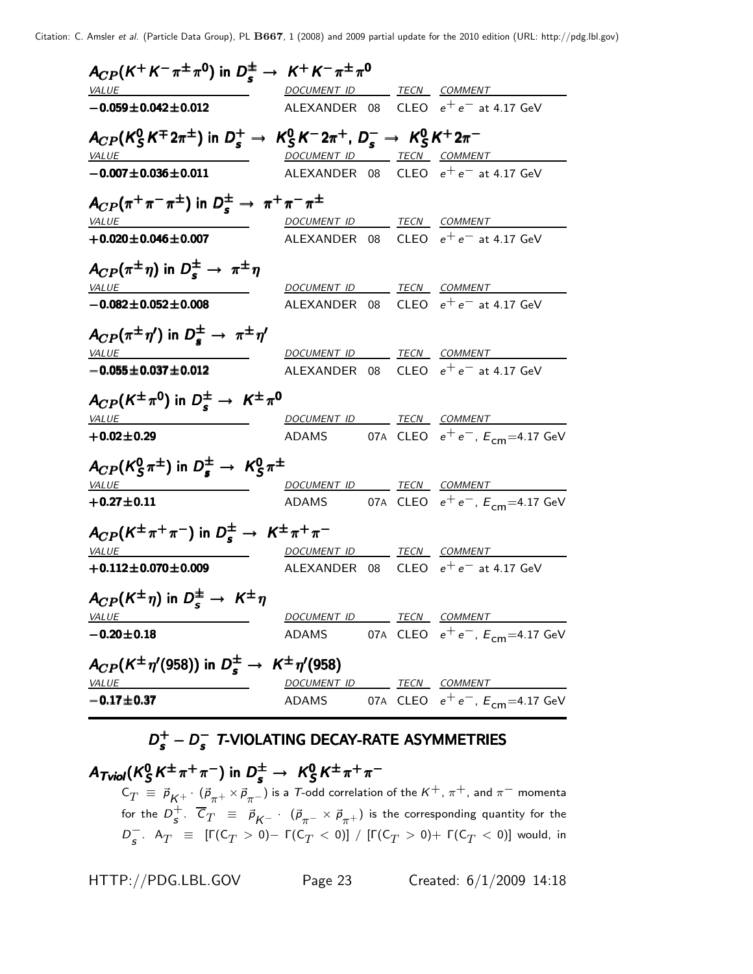| $A_{CP}(K^+K^-\pi^{\pm}\pi^0)$ in $D_s^{\pm} \rightarrow K^+K^-\pi^{\pm}\pi^0$                             |                          |  |                                               |
|------------------------------------------------------------------------------------------------------------|--------------------------|--|-----------------------------------------------|
| <i>VALUE</i>                                                                                               |                          |  | DOCUMENT ID TECN COMMENT                      |
| $-0.059 \pm 0.042 \pm 0.012$                                                                               |                          |  | ALEXANDER 08 CLEO $e^+e^-$ at 4.17 GeV        |
| $A_{CP}(K_S^0 K^{\pm} 2\pi^{\pm})$ in $D_s^+ \to K_S^0 K^- 2\pi^+$ , $D_s^- \to K_S^0 K^+ 2\pi^-$<br>VALUE | DOCUMENT ID TECN COMMENT |  |                                               |
| $-0.007 \pm 0.036 \pm 0.011$                                                                               |                          |  | ALEXANDER 08 CLEO $e^+e^-$ at 4.17 GeV        |
| $A_{CP}(\pi^+\pi^-\pi^{\pm})$ in $D_s^{\pm} \rightarrow \pi^+\pi^-\pi^{\pm}$                               |                          |  |                                               |
| <i>VALUE</i>                                                                                               | DOCUMENT ID TECN COMMENT |  |                                               |
| $+0.020 \pm 0.046 \pm 0.007$                                                                               |                          |  | ALEXANDER 08 CLEO $e^+e^-$ at 4.17 GeV        |
| $A_{CP}(\pi^{\pm}\eta)$ in $D_{\epsilon}^{\pm} \rightarrow \pi^{\pm}\eta$<br><i>VALUE</i>                  |                          |  | DOCUMENT ID TECN COMMENT                      |
| $-0.082 \pm 0.052 \pm 0.008$                                                                               |                          |  | ALEXANDER 08 CLEO $e^+e^-$ at 4.17 GeV        |
|                                                                                                            |                          |  |                                               |
| $A_{CP}(\pi^{\pm}\eta')$ in $D_{s}^{\pm} \rightarrow \pi^{\pm}\eta'$<br><i>VALUE</i>                       | DOCUMENT ID TECN COMMENT |  |                                               |
| $-0.055 \pm 0.037 \pm 0.012$                                                                               |                          |  | ALEXANDER 08 CLEO $e^+e^-$ at 4.17 GeV        |
| $A_{CP}(K^{\pm}\pi^0)$ in $D_{\epsilon}^{\pm} \rightarrow K^{\pm}\pi^0$<br><i>VALUE</i>                    | DOCUMENT ID TECN COMMENT |  |                                               |
| $+0.02 \pm 0.29$                                                                                           |                          |  | ADAMS 07A CLEO $e^+e^-$ , $E_{cm} = 4.17$ GeV |
| $A_{CP}(K_S^0 \pi^{\pm})$ in $D_s^{\pm} \rightarrow K_S^0 \pi^{\pm}$                                       |                          |  |                                               |
| <i>VALUE</i>                                                                                               | DOCUMENT ID TECN COMMENT |  |                                               |
| $+0.27 \pm 0.11$                                                                                           |                          |  | ADAMS 07A CLEO $e^+e^-$ , $E_{cm} = 4.17$ GeV |
| $A_{CP}(K^{\pm}\pi^{+}\pi^{-})$ in $D_{\epsilon}^{\pm} \rightarrow K^{\pm}\pi^{+}\pi^{-}$                  |                          |  |                                               |
| <i>VALUE</i>                                                                                               | DOCUMENT ID TECN COMMENT |  |                                               |
| $+0.112 \pm 0.070 \pm 0.009$                                                                               |                          |  | ALEXANDER 08 CLEO $e^+e^-$ at 4.17 GeV        |
| $A_{CP}(K^{\pm}\eta)$ in $D_{s}^{\pm} \rightarrow K^{\pm}\eta$<br><u>VALUE</u>                             |                          |  | DOCUMENT ID TECN COMMENT                      |
| $-0.20 \pm 0.18$                                                                                           |                          |  | ADAMS 07A CLEO $e^+e^-$ , $E_{cm} = 4.17$ GeV |
|                                                                                                            |                          |  |                                               |
| $A_{CP}(K^{\pm}\eta'(958))$ in $D_{\rm s}^{\pm} \rightarrow K^{\pm}\eta'(958)$<br>VALUE                    |                          |  | DOCUMENT ID TECN COMMENT                      |
| $-0.17 \pm 0.37$                                                                                           |                          |  | ADAMS 07A CLEO $e^+e^-$ , $E_{cm} = 4.17$ GeV |
|                                                                                                            |                          |  |                                               |

# $D_s^+ - D_s^-$  T-VIOLATING DECAY-RATE ASYMMETRIES

A $_{Tviol}$ (K $_{S}^{\rm 0}$  $\frac{0}{5}$ K<sup> $\pm$ </sup> $\pi$ <sup>+</sup> $\pi$ <sup>-</sup>) in  $D_s^{\pm}$   $\rightarrow$  K<sub>S</sub>  $A_{\mathcal{T} \mathcal{N} \mathcal{N}}(K^0_S K^{\pm}\pi^+\pi^-)$  in  $D^{\pm}_s\to~K^0_S K^{\pm}\pi^+\pi^ A_{Tviol}$ ( $K_S^0 K^{\pm} \pi^+ \pi^-$ ) in  $D_s^{\pm} \rightarrow K_S^0 K^{\pm} \pi^+ \pi^ \mathsf{C}_T~\equiv~\vec{\rho}^{}_{\mathcal{K}^+}\cdot~(\vec{\rho}^{}_{\pi^+}\!\times\!\vec{\rho}^{}_{\pi^-})$  is a  $\tau^-$ odd correlation of the  $\mathcal{K}^+$ ,  $\pi^+$ , and  $\pi^-$  momenta for the  $D_c^+$  $^+_\mathsf{s}$ .  $\,C^{\,}_T\;\;\equiv\;\;\vec{\rho}_{\mathsf{K}^-}\,\cdot\;(\vec{\rho}_{\pi^-}\times\vec{\rho}_{\pi^+})$  is the corresponding quantity for the  $D^-_{\bm{s}}$ .  $\mathsf{A}_T$   $\equiv$   $[\Gamma(\mathsf{C}_T>0)-\Gamma(\mathsf{C}_T<0)]$  /  $[\Gamma(\mathsf{C}_T>0)+\Gamma(\mathsf{C}_T<0)]$  would, in

HTTP://PDG.LBL.GOV Page 23 Created: 6/1/2009 14:18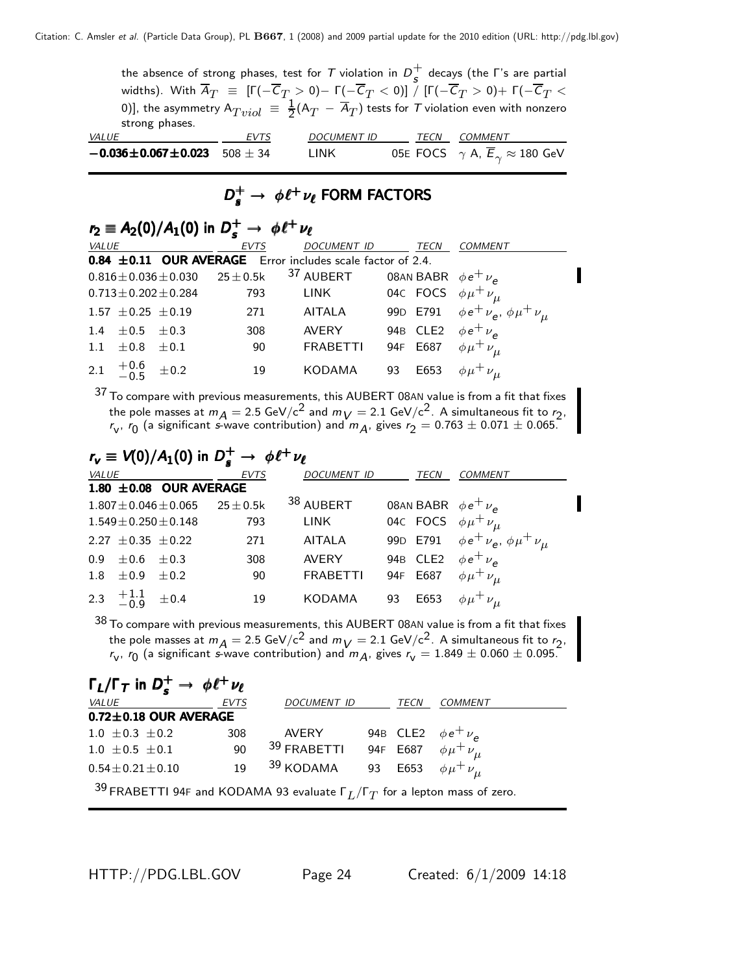the absence of strong phases, test for  $T$  violation in  $D_{\epsilon}^{+}$  $\frac{1}{s}$  decays (the Γ's are partial widths). With  $\overline{A}_T~\equiv~[\Gamma(-\overline{\mathcal{C}}_T>0) \Gamma(-\overline{\mathcal{C}}_T<0)]$  /  $[\Gamma(-\overline{\mathcal{C}}_T>0)+$   $\Gamma(-\overline{\mathcal{C}}_T<$ 0)], the asymmetry  $\mathsf{A}_{Tviol}\ \equiv\ \frac{1}{2}(\mathsf{A}_{T}\ -\ \overline{\mathsf{A}}_{T})$  tests for  $\mathcal T$  violation even with nonzero strong phases. VALUE COMMENT COMMENT COMMENT COMMENT **0.036±0.067±0.023**  $\overline{508 \pm 34}$  LINK 05E FOCS  $\gamma A$ ,  $\overline{E}_{\gamma} \approx 180 \text{ GeV}$ 

# $D_s^+ \rightarrow \phi \ell^+ \nu_{\ell}$  form factors

| $r_2 \equiv A_2(0)/A_1(0)$ in $D_s^+ \to \phi \ell^+ \nu_{\ell}$ |                            |                             |                                                            |                    |    |          |                                                  |  |  |
|------------------------------------------------------------------|----------------------------|-----------------------------|------------------------------------------------------------|--------------------|----|----------|--------------------------------------------------|--|--|
| <b>VALUE</b>                                                     |                            |                             | <b>EVTS</b>                                                | <b>DOCUMENT ID</b> |    | TECN     | COMMENT                                          |  |  |
|                                                                  |                            |                             | 0.84 ±0.11 OUR AVERAGE Error includes scale factor of 2.4. |                    |    |          |                                                  |  |  |
|                                                                  |                            |                             | $0.816 \pm 0.036 \pm 0.030$ 25 $\pm$ 0.5k                  | 37 AUBERT          |    |          | 08AN BABR $\phi e^+ \nu_e$                       |  |  |
|                                                                  |                            | $0.713 \pm 0.202 \pm 0.284$ | 793                                                        | LINK               |    |          | 04c FOCS $\phi\mu^+\nu_\mu$                      |  |  |
|                                                                  | 1.57 $\pm$ 0.25 $\pm$ 0.19 |                             | 271                                                        | <b>AITALA</b>      |    |          | 990 E791 $\phi e^+ \nu_e$ , $\phi \mu^+ \nu_\mu$ |  |  |
|                                                                  | 1.4 $\pm$ 0.5 $\pm$ 0.3    |                             | 308                                                        | <b>AVERY</b>       |    | 94B CLE2 | $\phi e^+ \nu_{\rho}$                            |  |  |
| 1.1                                                              | $\pm 0.8 \pm 0.1$          |                             | 90                                                         | <b>FRABETTI</b>    |    | 94F E687 | $\phi\mu^+\nu_\mu$                               |  |  |
|                                                                  | 2.1 $+0.6$ $\pm 0.2$       |                             | 19                                                         | <b>KODAMA</b>      | 93 | E653     | $\phi \mu^+ \nu_\mu$                             |  |  |

 $^{37}$  To compare with previous measurements, this AUBERT 08AN value is from a fit that fixes the pole masses at  $m_A = 2.5 \text{ GeV/c}^2$  and  $m_V = 2.1 \text{ GeV/c}^2$ . A simultaneous fit to  $r_2$ ,  $r_{\sf v},\,r_{\sf 0}$  (a significant s-wave contribution) and  $m_{\sf A},$  gives  $r_{\sf 2}=0.763\pm0.071\pm0.065.$ 

| $r_v \equiv V(0)/A_1(0)$ in $D_s^+ \rightarrow \phi \ell^+ \nu_{\ell}$ |                                                            |                             |                |                    |     |          |                                         |  |  |
|------------------------------------------------------------------------|------------------------------------------------------------|-----------------------------|----------------|--------------------|-----|----------|-----------------------------------------|--|--|
| VALUE                                                                  |                                                            |                             | <b>EVTS</b>    | <b>DOCUMENT ID</b> |     | TECN     | COMMENT                                 |  |  |
|                                                                        |                                                            | 1.80 $\pm$ 0.08 OUR AVERAGE |                |                    |     |          |                                         |  |  |
|                                                                        |                                                            | $1.807 \pm 0.046 \pm 0.065$ | $25 \pm 0.5$ k | 38 AUBERT          |     |          | 08AN BABR $\phi e^+ \nu_e$              |  |  |
|                                                                        |                                                            | $1.549 + 0.250 + 0.148$     | 793            | <b>LINK</b>        |     |          | 04c FOCS $\phi\mu^+\nu_\mu$             |  |  |
|                                                                        | 2.27 $\pm$ 0.35 $\pm$ 0.22                                 |                             | 271            | <b>AITALA</b>      |     | 99D E791 | $\phi e^+ \nu_e$ , $\phi \mu^+ \nu_\mu$ |  |  |
| 0.9                                                                    | $\pm 0.6$ $\pm 0.3$                                        |                             | 308            | <b>AVERY</b>       |     | 94B CLE2 | $\phi e^+ \nu_{\rm o}$                  |  |  |
| 1.8                                                                    | $\pm 0.9$                                                  | $+0.2$                      | 90             | <b>FRABETTI</b>    | 94F | E687     | $\phi\mu^+\nu_\mu$                      |  |  |
|                                                                        | 2.3 $\begin{array}{cc} +1.1 \\ -0.9 \end{array}$ $\pm 0.4$ |                             | 19             | <b>KODAMA</b>      | 93  | E653     | $\phi\mu^+\nu_\mu$                      |  |  |

 $^{38}\!$  To compare with previous measurements, this AUBERT 08AN value is from a fit that fixes the pole masses at  $m_A = 2.5 \text{ GeV/c}^2$  and  $m_V = 2.1 \text{ GeV/c}^2$ . A simultaneous fit to  $r_2$ ,  $r_{\sf v},\,r_{\sf 0}$  (a significant s-wave contribution) and  $m_{\sf A},$  gives  $r_{\sf v}=1.849\pm0.060\pm0.095.$ 

| $\Gamma_L/\Gamma_T$ in $D_s^+ \rightarrow \phi \ell^+ \nu_{\ell}$                     |      |                                                                              |      |                                |
|---------------------------------------------------------------------------------------|------|------------------------------------------------------------------------------|------|--------------------------------|
| <i>VALUE</i>                                                                          | EVTS | DOCUMENT ID                                                                  | TECN | COMMENT                        |
| $0.72 \pm 0.18$ OUR AVERAGE                                                           |      |                                                                              |      |                                |
| $1.0 \pm 0.3 \pm 0.2$                                                                 | 308  |                                                                              |      |                                |
| $1.0 \pm 0.5 \pm 0.1$                                                                 | 90   | AVERY 94B CLE2 $\phi e^+ \nu_e$<br>39 FRABETTI 94F E687 $\phi \mu^+ \nu_\mu$ |      |                                |
| $0.54 \pm 0.21 \pm 0.10$                                                              | 19   | <sup>39</sup> KODAMA                                                         |      | 93 E653 $\phi \mu^+ \nu_{\mu}$ |
| 39 FRABETTI 94F and KODAMA 93 evaluate $\Gamma_L/\Gamma_T$ for a lepton mass of zero. |      |                                                                              |      |                                |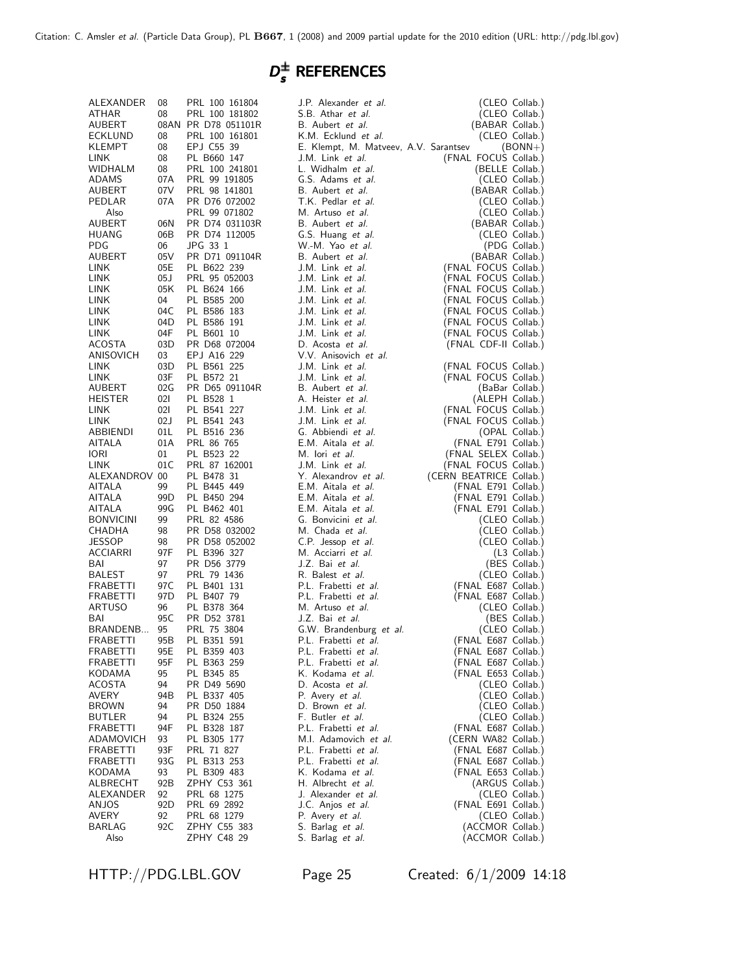# $D_{s}^{\pm}$  References

| ALEXANDER        | 08              | PRL 100 161804                 | J.P. Alexander et al.                     | (CLEO Collab.)                              |
|------------------|-----------------|--------------------------------|-------------------------------------------|---------------------------------------------|
| ATHAR            | 08              | PRL 100 181802                 | S.B. Athar et al.                         | (CLEO Collab.)                              |
| AUBERT           |                 | 08AN PR D78 051101R            | B. Aubert et al.                          | (BABAR Collab.)                             |
| ECKLUND          | 08              | PRL 100 161801                 | K.M. Ecklund et al.                       | (CLEO Collab.)                              |
| <b>KLEMPT</b>    | 08              | EPJ C55 39                     | E. Klempt, M. Matveev, A.V. Sarantsev     | $(BONN+)$                                   |
| LINK             | 08              | PL B660 147                    | J.M. Link et al.                          | (FNAL FOCUS Collab.)                        |
| WIDHALM          | 08              | PRL 100 241801                 | L. Widhalm et al.                         | (BELLE Collab.)                             |
| ADAMS            | 07A             | PRL 99 191805                  | G.S. Adams et al.                         | (CLEO Collab.)                              |
| AUBERT           | 07V             | PRL 98 141801                  | B. Aubert et al.                          | (BABAR Collab.)                             |
| PEDLAR           | 07A             | PR D76 072002                  | T.K. Pedlar et al.                        | (CLEO Collab.)                              |
| Also             |                 | PRL 99 071802                  | M. Artuso et al.                          | (CLEO Collab.)                              |
| AUBERT           | 06N             | PR D74 031103R                 | B. Aubert et al.                          | (BABAR Collab.)                             |
| HUANG            | 06B             | PR D74 112005                  | G.S. Huang et al.                         | (CLEO Collab.)                              |
| <b>PDG</b>       | 06              | JPG 33 1                       | W.-M. Yao et al.                          | (PDG Collab.)                               |
| AUBERT           | 05V             | PR D71 091104R                 | B. Aubert et al.                          | (BABAR Collab.)<br>(FNAL FOCUS Collab.)     |
| LINK.            | 05E             | PL B622 239                    | J.M. Link et al.                          |                                             |
| LINK.            | 05J             | PRL 95 052003                  | J.M. Link et al.                          | (FNAL FOCUS Collab.)                        |
| LINK.            | 05K             | PL B624 166                    | J.M. Link et al.                          | (FNAL FOCUS Collab.)                        |
| LINK.            | 04              | PL B585 200                    | J.M. Link et al.                          | (FNAL FOCUS Collab.)                        |
| LINK.            | 04C             | PL B586 183                    | J.M. Link et al.                          | (FNAL FOCUS Collab.)                        |
| LINK             | 04D             | PL B586 191                    | J.M. Link et al.                          | (FNAL FOCUS Collab.)                        |
| LINK.            | 04F             | PL B601 10                     | J.M. Link et al.                          | (FNAL FOCUS Collab.)                        |
| ACOSTA           | 03D             | PR D68 072004                  | D. Acosta et al.                          | (FNAL CDF-II Collab.)                       |
| ANISOVICH        | 03              | EPJ A16 229                    | V.V. Anisovich et al.                     | (FNAL FOCUS Collab.)                        |
| LINK             | 03D             | PL B561 225                    | J.M. Link et al.                          |                                             |
| LINK             | 03F             | PL B572 21                     | J.M. Link et al.                          | (FNAL FOCUS Collab.)                        |
| AUBERT           | 02G             | PR D65 091104R                 | B. Aubert et al.                          | (BaBar Collab.)                             |
| <b>HEISTER</b>   | 021             | PL B528 1                      | A. Heister et al.<br>J.M. Link et al.     | (ALEPH Collab.)                             |
| LINK.            | 021<br>02J      | PL B541 227                    |                                           | (FNAL FOCUS Collab.)                        |
| LINK.            |                 | PL B541 243                    | J.M. Link et al.                          | (FNAL FOCUS Collab.)                        |
| ABBIENDI         | 01L             | PL B516 236                    | G. Abbiendi et al.                        | (OPAL Collab.)                              |
| AITALA           | 01A             | PRL 86 765                     | E.M. Aitala et al.                        | (FNAL E791 Collab.)<br>(FNAL SELEX Collab.) |
| <b>IORI</b>      | 01<br>01 C      | PL B523 22                     | M. lori et al.                            |                                             |
| LINK.            |                 | PRL 87 162001                  | J.M. Link et al.                          | (FNAL FOCUS Collab.)                        |
| ALEXANDROV 00    |                 | PL B478 31                     | Y. Alexandrov et al.                      | (CERN BEATRICE Collab.)                     |
| AITALA           | 99              | PL B445 449                    | E.M. Aitala et al.                        | (FNAL E791 Collab.)<br>(FNAL E791 Collab.)  |
| AITALA           | 99D             | PL B450 294                    | E.M. Aitala et al.                        |                                             |
| AITALA           | 99G<br>99       | PL B462 401                    | E.M. Aitala et al.<br>G. Bonvicini et al. | (FNAL E791 Collab.)                         |
| <b>BONVICINI</b> | 98              | PRL 82 4586                    | M. Chada et al.                           | (CLEO Collab.)                              |
| CHADHA<br>JESSOP | 98              | PR D58 032002<br>PR D58 052002 | C.P. Jessop et al.                        | (CLEO Collab.)                              |
| ACCIARRI         | 97F             | PL B396 327                    | M. Acciarri et al.                        | (CLEO Collab.)                              |
| BAI              | 97              | PR D56 3779                    | J.Z. Bai et al.                           | (L3 Collab.)<br>(BES Collab.)               |
| BALEST           | 97              | PRL 79 1436                    | R. Balest et al.                          | (CLEO Collab.)                              |
| FRABETTI         | 97 C            | PL B401 131                    | P.L. Frabetti et al.                      | (FNAL E687 Collab.)                         |
| FRABETTI         | 97 <sub>D</sub> | PL B407 79                     | P.L. Frabetti et al.                      | (FNAL E687 Collab.)                         |
| ARTUSO           | 96              | PL B378 364                    | M. Artuso et al.                          |                                             |
| BAI              | 95C             | PR D52 3781                    | J.Z. Bai et al.                           | (CLEO Collab.)<br>(BES Collab.)             |
| BRANDENB 95      |                 | PRL 75 3804                    | G.W. Brandenburg et al.                   | (CLEO Collab.)                              |
| <b>FRABETTI</b>  | 95B             | PL B351 591                    | P.L. Frabetti et al.                      | (FNAL E687 Collab.)                         |
| FRABETTI         |                 | 95E PL B359 403                | P.L. Frabetti et al.                      | (FNAL E687 Collab.)                         |
| <b>FRABETTI</b>  | 95F             | PL B363 259                    | P.L. Frabetti et al.                      | (FNAL E687 Collab.)                         |
| KODAMA           | 95              | PL B345 85                     | K. Kodama et al.                          | (FNAL E653 Collab.)                         |
| ACOSTA           | 94              | PR D49 5690                    | D. Acosta et al.                          | (CLEO Collab.)                              |
| AVERY            | 94B             | PL B337 405                    | P. Avery <i>et al.</i>                    | (CLEO Collab.)                              |
| <b>BROWN</b>     | 94              | PR D50 1884                    | D. Brown et al.                           | (CLEO Collab.)                              |
| BUTLER           | 94              | PL B324 255                    | F. Butler et al.                          | (CLEO Collab.)                              |
| FRABETTI         | 94F             | PL B328 187                    | P.L. Frabetti et al.                      | (FNAL E687 Collab.)                         |
| ADAMOVICH        | 93              | PL B305 177                    | M.I. Adamovich et al.                     | (CERN WA82 Collab.)                         |
| <b>FRABETTI</b>  | 93F             | PRL 71 827                     | P.L. Frabetti et al.                      | (FNAL E687 Collab.)                         |
| FRABETTI         | 93G             | PL B313 253                    | P.L. Frabetti et al.                      | (FNAL E687 Collab.)                         |
| KODAMA           | 93              | PL B309 483                    | K. Kodama et al.                          | (FNAL E653 Collab.)                         |
| ALBRECHT         | 92B             | ZPHY C53 361                   | H. Albrecht et al.                        | (ARGUS Collab.)                             |
| ALEXANDER        | 92              | PRL 68 1275                    | J. Alexander et al.                       | (CLEO Collab.)                              |
| ANJOS            | 92D             | PRL 69 2892                    | J.C. Anjos et al.                         | (FNAL E691 Collab.)                         |
| <b>AVERY</b>     | 92              | PRL 68 1279                    | P. Avery et al.                           | (CLEO Collab.)                              |
| BARLAG           | 92C             | ZPHY C55 383                   | S. Barlag et al.                          | (ACCMOR Collab.)                            |
| Also             |                 | ZPHY C48 29                    | S. Barlag et al.                          | (ACCMOR Collab.)                            |
|                  |                 |                                |                                           |                                             |

HTTP://PDG.LBL.GOV Page 25 Created: 6/1/2009 14:18